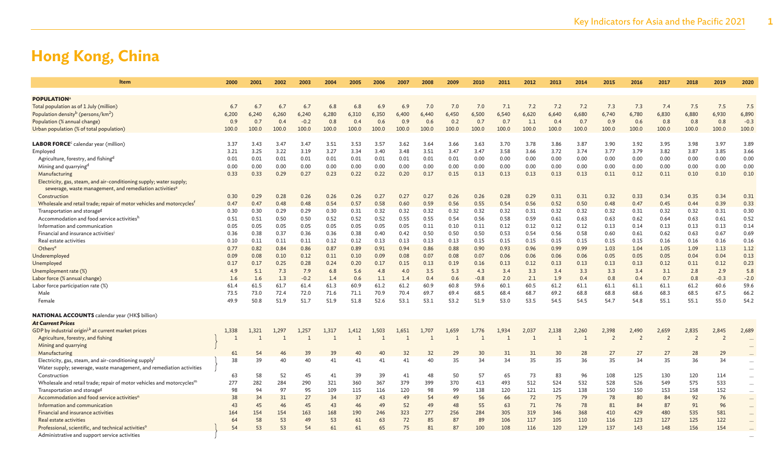| <b>POPULATION</b><br>7.0<br>7.2<br>7.2<br>7.3<br>7.4<br>7.5<br>7.5<br>7.5<br>Total population as of 1 July (million)<br>6.7<br>6.7<br>6.7<br>6.8<br>6.8<br>6.9<br>6.9<br>7.0<br>7.0<br>7.1<br>7.2<br>7.3<br>6.7<br>6,450<br>6,500<br>6,620<br>6,640<br>6,740<br>6,780<br>6,830<br>6,880<br>6,930<br>6,890<br>Population density <sup>b</sup> (persons/km <sup>2</sup> )<br>6,240<br>6,280<br>6,310<br>6,350<br>6,400<br>6,440<br>6,540<br>6,680<br>6,200<br>6,240<br>6,260<br>0.4<br>$-0.2$<br>0.4<br>0.6<br>0.9<br>0.6<br>0.2<br>0.7<br>0.7<br>1.1<br>0.4<br>0.9<br>0.6<br>0.8<br>0.8<br>$-0.3$<br>Population (% annual change)<br>0.9<br>0.7<br>0.8<br>0.7<br>0.8<br>100.0<br>Urban population (% of total population)<br>100.0<br>100.0<br>100.0<br>100.0<br>100.0<br>100.0<br>100.0<br>100.0<br>100.0<br>100.0<br>100.0<br>100.0<br>100.0<br>100.0<br>100.0<br>100.0<br>100.0<br>100.0<br>100.0<br>100.0<br>LABOR FORCE <sup>c</sup> calendar year (million)<br>3.37<br>3.43<br>3.47<br>3.47<br>3.51<br>3.53<br>3.57<br>3.62<br>3.64<br>3.63<br>3.70<br>3.78<br>3.86<br>3.87<br>3.90<br>3.92<br>3.95<br>3.98<br>3.97<br>3.89<br>3.66<br>3.22<br>3.19<br>3.27<br>3.34<br>3.48<br>3.51<br>3.47<br>3.47<br>3.58<br>3.66<br>3.72<br>3.74<br>3.79<br>3.82<br>3.87<br>3.85<br>3.66<br>Employed<br>3.21<br>3.25<br>3.40<br>3.77<br>0.00<br>Agriculture, forestry, and fishing <sup>d</sup><br>0.01<br>0.01<br>0.01<br>0.01<br>0.01<br>0.01<br>0.01<br>0.00<br>0.00<br>0.00<br>0.00<br>0.00<br>0.00<br>0.00<br>0.00<br>0.00<br>0.01<br>0.01<br>0.01<br>0.00<br>0.00<br>0.00<br>0.00<br>0.00<br>0.00<br>0.00<br>0.00<br>0.00<br>0.00<br>0.00<br>0.00<br>0.00<br>0.00<br>0.00<br>0.00<br>0.00<br>0.00<br>0.00<br>Mining and quarrying <sup>d</sup><br>0.00<br>0.00<br>0.00<br>0.33<br>0.33<br>0.29<br>0.27<br>0.22<br>0.20<br>0.15<br>0.13<br>0.13<br>0.13<br>0.13<br>0.11<br>0.12<br>0.11<br>0.10<br>0.10<br>0.10<br>Manufacturing<br>0.23<br>0.22<br>0.17<br>0.13<br>Electricity, gas, steam, and air-conditioning supply; water supply;<br>sewerage, waste management, and remediation activities <sup>e</sup><br>0.29<br>0.28<br>0.26<br>0.26<br>0.27<br>0.27<br>0.26<br>0.26<br>0.28<br>0.29<br>0.31<br>0.31<br>0.32<br>0.33<br>0.34<br>0.35<br>0.34<br>0.31<br>Construction<br>0.30<br>0.26<br>0.27<br>0.48<br>0.54<br>0.57<br>0.58<br>0.59<br>0.55<br>0.56<br>0.52<br>0.50<br>0.48<br>0.47<br>0.39<br>0.33<br>Wholesale and retail trade; repair of motor vehicles and motorcycles <sup>f</sup><br>0.47<br>0.47<br>0.48<br>0.60<br>0.56<br>0.54<br>0.45<br>0.44<br>0.29<br>0.31<br>0.32<br>0.32<br>0.32<br>0.32<br>0.32<br>0.32<br>0.31<br>0.32<br>0.32<br>0.31<br>0.30<br>Transportation and storage <sup>g</sup><br>0.30<br>0.30<br>0.29<br>0.30<br>0.32<br>0.32<br>0.32<br>0.31<br>0.52<br>Accommodation and food service activitiesh<br>0.51<br>0.50<br>0.52<br>0.55<br>0.55<br>0.54<br>0.56<br>0.58<br>0.59<br>0.63<br>0.63<br>0.62<br>0.63<br>0.61<br>0.51<br>0.50<br>0.52<br>0.52<br>0.61<br>0.64<br>0.14<br>Information and communication<br>0.05<br>0.05<br>0.05<br>0.05<br>0.05<br>0.05<br>0.05<br>0.05<br>0.11<br>0.10<br>0.11<br>0.12<br>0.12<br>0.12<br>0.12<br>0.13<br>0.14<br>0.13<br>0.13<br>0.13<br>0.69<br>Financial and insurance activities<br>0.36<br>0.38<br>0.37<br>0.36<br>0.38<br>0.40<br>0.50<br>0.50<br>0.50<br>0.53<br>0.54<br>0.56<br>0.58<br>0.60<br>0.61<br>0.62<br>0.63<br>0.67<br>0.36<br>0.42<br>0.11<br>0.11<br>0.11<br>0.12<br>0.13<br>0.13<br>0.13<br>0.15<br>0.15<br>0.15<br>0.15<br>0.15<br>0.15<br>0.15<br>0.16<br>0.16<br>0.16<br>0.16<br>Real estate activities<br>0.10<br>0.12<br>0.13<br>0.89<br>0.99<br>1.04<br>1.09<br>1.12<br>Others <sup>e</sup><br>0.77<br>0.82<br>0.84<br>0.86<br>0.87<br>0.91<br>0.94<br>0.86<br>0.88<br>0.90<br>0.93<br>0.96<br>0.99<br>1.03<br>1.05<br>1.13<br>0.13<br>0.09<br>0.08<br>0.10<br>0.12<br>0.11<br>0.10<br>0.08<br>0.08<br>0.07<br>0.06<br>0.06<br>0.05<br>0.05<br>0.05<br>0.04<br>0.04<br>Underemployed<br>0.09<br>0.07<br>0.06<br>0.06<br>Unemployed<br>0.17<br>0.25<br>0.28<br>0.20<br>0.16<br>0.12<br>0.13<br>0.13<br>0.13<br>0.13<br>0.12<br>0.11<br>0.12<br>0.23<br>0.17<br>0.24<br>0.17<br>0.15<br>0.13<br>0.19<br>0.13<br>5.1<br>7.3<br>7.9<br>5.6<br>4.0<br>5.3<br>4.3<br>3.3<br>3.4<br>3.3<br>3.3<br>3.4<br>3.1<br>2.8<br>2.9<br>5.8<br>Unemployment rate (%)<br>4.9<br>6.8<br>4.8<br>3.5<br>3.4<br>$-0.2$<br>$-2.0$<br>Labor force (% annual change)<br>1.6<br>1.3<br>0.6<br>1.1<br>1.4<br>0.4<br>0.6<br>$-0.8$<br>2.1<br>1.9<br>0.8<br>0.4<br>0.7<br>0.8<br>$-0.3$<br>1.6<br>1.4<br>2.0<br>0.4<br>59.6<br>61.7<br>61.4<br>61.3<br>60.9<br>61.2<br>61.2<br>60.9<br>60.5<br>61.2<br>60.6<br>Labor force participation rate (%)<br>61.4<br>61.5<br>60.8<br>59.6<br>60.1<br>61.1<br>61.1<br>61.1<br>61.1<br>61.2<br>69.7<br>69.2<br>68.8<br>68.3<br>67.5<br>66.2<br>Male<br>73.5<br>73.0<br>72.4<br>72.0<br>71.6<br>71.1<br>70.9<br>70.4<br>69.4<br>68.5<br>68.4<br>68.7<br>68.8<br>68.6<br>68.5<br>54.2<br>50.8<br>51.9<br>51.7<br>51.9<br>51.8<br>52.6<br>53.1<br>53.1<br>53.2<br>51.9<br>53.0<br>53.5<br>54.5<br>54.5<br>54.7<br>54.8<br>55.1<br>55.1<br>55.0<br>49.9<br>Female<br><b>NATIONAL ACCOUNTS</b> calendar year (HK\$ billion)<br><b>At Current Prices</b><br>GDP by industrial origin <sup>j,k</sup> at current market prices<br>2,835<br>2,689<br>1,338<br>1,321<br>1.297<br>1,317<br>1,503<br>1,651<br>1,707<br>1,659<br>1,934<br>2,037<br>2,138<br>2,260<br>2,398<br>2,490<br>2,659<br>2,845<br>1,257<br>1,412<br>1,776<br>$\mathbf{1}$<br>$\overline{2}$<br>$\overline{z}$<br>$\overline{z}$<br>$\overline{2}$<br>$\overline{2}$<br>Agriculture, forestry, and fishing<br>$\overline{1}$<br>$\mathbf{1}$<br>$\mathbf{1}$<br>Mining and quarrying<br>27<br>Manufacturing<br>61<br>54<br>39<br>39<br>40<br>40<br>32<br>32<br>29<br>30<br>31<br>31<br>30<br>28<br>27<br>27<br>28<br>29<br>46<br>34<br>36<br>35<br>35<br>36<br>Electricity, gas, steam, and air-conditioning supply<br>38<br>39<br>40<br>40<br>41<br>41<br>41<br>41<br>40<br>35<br>34<br>35<br>35<br>34<br>34<br>$\cdots$<br>Water supply; sewerage, waste management, and remediation activities<br>58<br>52<br>45<br>41<br>39<br>39<br>41<br>48<br>50<br>57<br>65<br>73<br>83<br>96<br>108<br>125<br>130<br>120<br>114<br>Construction<br>63<br>$\ldots$<br>277<br>282<br>284<br>290<br>321<br>360<br>367<br>379<br>399<br>370<br>413<br>493<br>512<br>524<br>532<br>528<br>526<br>549<br>575<br>533<br>Wholesale and retail trade; repair of motor vehicles and motorcycles <sup>m</sup><br>$\cdots$<br>94<br>97<br>95<br>99<br>138<br>121<br>125<br>158<br>152<br>Transportation and storage <sup>g</sup><br>98<br>109<br>115<br>116<br>120<br>98<br>120<br>138<br>150<br>150<br>153<br>37<br>49<br>72<br>75<br>92<br>76<br>Accommodation and food service activities <sup>r</sup><br>38<br>34<br>31<br>27<br>34<br>43<br>54<br>49<br>56<br>66<br>79<br>78<br>80<br>84<br>45<br>52<br>49<br>87<br>43<br>45<br>46<br>43<br>46<br>49<br>48<br>55<br>63<br>71<br>76<br>78<br>81<br>84<br>91<br>96<br>Information and communication<br>277<br>284<br>410<br>429<br>480<br>535<br>581<br>Financial and insurance activities<br>164<br>154<br>154<br>163<br>168<br>190<br>246<br>323<br>256<br>305<br>319<br>346<br>368<br>58<br>61<br>72<br>85<br>87<br>117<br>122<br>64<br>53<br>49<br>53<br>63<br>89<br>106<br>105<br>110<br>116<br>123<br>127<br>125<br>Real estate activities<br>54<br>53<br>61<br>65<br>75<br>81<br>100<br>120<br>129<br>137<br>148<br>156<br>154<br>Professional, scientific, and technical activities <sup>o</sup><br>53<br>54<br>61<br>87<br>108<br>116<br>143<br>Administrative and support service activities | <b>Item</b> | 2000 | 2001 | 2002 | 2003 | 2004 | 2005 | 2006 | 2007 | 2008 | 2009 | 2010 | 2011 | 2012 | 2013 | 2014 | 2015 | 2016 | 2017 | 2018 | 2019 | 2020     |
|----------------------------------------------------------------------------------------------------------------------------------------------------------------------------------------------------------------------------------------------------------------------------------------------------------------------------------------------------------------------------------------------------------------------------------------------------------------------------------------------------------------------------------------------------------------------------------------------------------------------------------------------------------------------------------------------------------------------------------------------------------------------------------------------------------------------------------------------------------------------------------------------------------------------------------------------------------------------------------------------------------------------------------------------------------------------------------------------------------------------------------------------------------------------------------------------------------------------------------------------------------------------------------------------------------------------------------------------------------------------------------------------------------------------------------------------------------------------------------------------------------------------------------------------------------------------------------------------------------------------------------------------------------------------------------------------------------------------------------------------------------------------------------------------------------------------------------------------------------------------------------------------------------------------------------------------------------------------------------------------------------------------------------------------------------------------------------------------------------------------------------------------------------------------------------------------------------------------------------------------------------------------------------------------------------------------------------------------------------------------------------------------------------------------------------------------------------------------------------------------------------------------------------------------------------------------------------------------------------------------------------------------------------------------------------------------------------------------------------------------------------------------------------------------------------------------------------------------------------------------------------------------------------------------------------------------------------------------------------------------------------------------------------------------------------------------------------------------------------------------------------------------------------------------------------------------------------------------------------------------------------------------------------------------------------------------------------------------------------------------------------------------------------------------------------------------------------------------------------------------------------------------------------------------------------------------------------------------------------------------------------------------------------------------------------------------------------------------------------------------------------------------------------------------------------------------------------------------------------------------------------------------------------------------------------------------------------------------------------------------------------------------------------------------------------------------------------------------------------------------------------------------------------------------------------------------------------------------------------------------------------------------------------------------------------------------------------------------------------------------------------------------------------------------------------------------------------------------------------------------------------------------------------------------------------------------------------------------------------------------------------------------------------------------------------------------------------------------------------------------------------------------------------------------------------------------------------------------------------------------------------------------------------------------------------------------------------------------------------------------------------------------------------------------------------------------------------------------------------------------------------------------------------------------------------------------------------------------------------------------------------------------------------------------------------------------------------------------------------------------------------------------------------------------------------------------------------------------------------------------------------------------------------------------------------------------------------------------------------------------------------------------------------------------------------------------------------------------------------------------------------------------------------------------------------------------------------------------------------------------------------------------------------------------------------------------------------------------------------------------------------------------------------------------------------------------------------------------------------------------------------------------------------------------------------------------------------------------------------------------------------------------------------------------------------------------------------------------------------------------------------------------------------------------------------------------------------------------------------------------------------------------------------------------------------------------------------------------------------------------------------------------------------------------------------------------------------------------------------------------------------------------------------------------------------------------------------------------------------------------------------------------------------------------------------------------------------------------------------------------------------------------------------------------------------------------------------------------------------------------------------------------------------------------------------------------------------------------------------------------------------------------------------------------------------------------------------------------------------------------------------------------------------------------------------------------------------------------------------------------------------------------------------------------------------------------------------------------------------------------------------------------------------------------------------------------------------------|-------------|------|------|------|------|------|------|------|------|------|------|------|------|------|------|------|------|------|------|------|------|----------|
|                                                                                                                                                                                                                                                                                                                                                                                                                                                                                                                                                                                                                                                                                                                                                                                                                                                                                                                                                                                                                                                                                                                                                                                                                                                                                                                                                                                                                                                                                                                                                                                                                                                                                                                                                                                                                                                                                                                                                                                                                                                                                                                                                                                                                                                                                                                                                                                                                                                                                                                                                                                                                                                                                                                                                                                                                                                                                                                                                                                                                                                                                                                                                                                                                                                                                                                                                                                                                                                                                                                                                                                                                                                                                                                                                                                                                                                                                                                                                                                                                                                                                                                                                                                                                                                                                                                                                                                                                                                                                                                                                                                                                                                                                                                                                                                                                                                                                                                                                                                                                                                                                                                                                                                                                                                                                                                                                                                                                                                                                                                                                                                                                                                                                                                                                                                                                                                                                                                                                                                                                                                                                                                                                                                                                                                                                                                                                                                                                                                                                                                                                                                                                                                                                                                                                                                                                                                                                                                                                                                                                                                                                                                                                                                                                                                                                                                                                                                                                                                                                                                                                                                                                                                                                                                |             |      |      |      |      |      |      |      |      |      |      |      |      |      |      |      |      |      |      |      |      |          |
|                                                                                                                                                                                                                                                                                                                                                                                                                                                                                                                                                                                                                                                                                                                                                                                                                                                                                                                                                                                                                                                                                                                                                                                                                                                                                                                                                                                                                                                                                                                                                                                                                                                                                                                                                                                                                                                                                                                                                                                                                                                                                                                                                                                                                                                                                                                                                                                                                                                                                                                                                                                                                                                                                                                                                                                                                                                                                                                                                                                                                                                                                                                                                                                                                                                                                                                                                                                                                                                                                                                                                                                                                                                                                                                                                                                                                                                                                                                                                                                                                                                                                                                                                                                                                                                                                                                                                                                                                                                                                                                                                                                                                                                                                                                                                                                                                                                                                                                                                                                                                                                                                                                                                                                                                                                                                                                                                                                                                                                                                                                                                                                                                                                                                                                                                                                                                                                                                                                                                                                                                                                                                                                                                                                                                                                                                                                                                                                                                                                                                                                                                                                                                                                                                                                                                                                                                                                                                                                                                                                                                                                                                                                                                                                                                                                                                                                                                                                                                                                                                                                                                                                                                                                                                                                |             |      |      |      |      |      |      |      |      |      |      |      |      |      |      |      |      |      |      |      |      |          |
|                                                                                                                                                                                                                                                                                                                                                                                                                                                                                                                                                                                                                                                                                                                                                                                                                                                                                                                                                                                                                                                                                                                                                                                                                                                                                                                                                                                                                                                                                                                                                                                                                                                                                                                                                                                                                                                                                                                                                                                                                                                                                                                                                                                                                                                                                                                                                                                                                                                                                                                                                                                                                                                                                                                                                                                                                                                                                                                                                                                                                                                                                                                                                                                                                                                                                                                                                                                                                                                                                                                                                                                                                                                                                                                                                                                                                                                                                                                                                                                                                                                                                                                                                                                                                                                                                                                                                                                                                                                                                                                                                                                                                                                                                                                                                                                                                                                                                                                                                                                                                                                                                                                                                                                                                                                                                                                                                                                                                                                                                                                                                                                                                                                                                                                                                                                                                                                                                                                                                                                                                                                                                                                                                                                                                                                                                                                                                                                                                                                                                                                                                                                                                                                                                                                                                                                                                                                                                                                                                                                                                                                                                                                                                                                                                                                                                                                                                                                                                                                                                                                                                                                                                                                                                                                |             |      |      |      |      |      |      |      |      |      |      |      |      |      |      |      |      |      |      |      |      |          |
|                                                                                                                                                                                                                                                                                                                                                                                                                                                                                                                                                                                                                                                                                                                                                                                                                                                                                                                                                                                                                                                                                                                                                                                                                                                                                                                                                                                                                                                                                                                                                                                                                                                                                                                                                                                                                                                                                                                                                                                                                                                                                                                                                                                                                                                                                                                                                                                                                                                                                                                                                                                                                                                                                                                                                                                                                                                                                                                                                                                                                                                                                                                                                                                                                                                                                                                                                                                                                                                                                                                                                                                                                                                                                                                                                                                                                                                                                                                                                                                                                                                                                                                                                                                                                                                                                                                                                                                                                                                                                                                                                                                                                                                                                                                                                                                                                                                                                                                                                                                                                                                                                                                                                                                                                                                                                                                                                                                                                                                                                                                                                                                                                                                                                                                                                                                                                                                                                                                                                                                                                                                                                                                                                                                                                                                                                                                                                                                                                                                                                                                                                                                                                                                                                                                                                                                                                                                                                                                                                                                                                                                                                                                                                                                                                                                                                                                                                                                                                                                                                                                                                                                                                                                                                                                |             |      |      |      |      |      |      |      |      |      |      |      |      |      |      |      |      |      |      |      |      |          |
|                                                                                                                                                                                                                                                                                                                                                                                                                                                                                                                                                                                                                                                                                                                                                                                                                                                                                                                                                                                                                                                                                                                                                                                                                                                                                                                                                                                                                                                                                                                                                                                                                                                                                                                                                                                                                                                                                                                                                                                                                                                                                                                                                                                                                                                                                                                                                                                                                                                                                                                                                                                                                                                                                                                                                                                                                                                                                                                                                                                                                                                                                                                                                                                                                                                                                                                                                                                                                                                                                                                                                                                                                                                                                                                                                                                                                                                                                                                                                                                                                                                                                                                                                                                                                                                                                                                                                                                                                                                                                                                                                                                                                                                                                                                                                                                                                                                                                                                                                                                                                                                                                                                                                                                                                                                                                                                                                                                                                                                                                                                                                                                                                                                                                                                                                                                                                                                                                                                                                                                                                                                                                                                                                                                                                                                                                                                                                                                                                                                                                                                                                                                                                                                                                                                                                                                                                                                                                                                                                                                                                                                                                                                                                                                                                                                                                                                                                                                                                                                                                                                                                                                                                                                                                                                |             |      |      |      |      |      |      |      |      |      |      |      |      |      |      |      |      |      |      |      |      |          |
|                                                                                                                                                                                                                                                                                                                                                                                                                                                                                                                                                                                                                                                                                                                                                                                                                                                                                                                                                                                                                                                                                                                                                                                                                                                                                                                                                                                                                                                                                                                                                                                                                                                                                                                                                                                                                                                                                                                                                                                                                                                                                                                                                                                                                                                                                                                                                                                                                                                                                                                                                                                                                                                                                                                                                                                                                                                                                                                                                                                                                                                                                                                                                                                                                                                                                                                                                                                                                                                                                                                                                                                                                                                                                                                                                                                                                                                                                                                                                                                                                                                                                                                                                                                                                                                                                                                                                                                                                                                                                                                                                                                                                                                                                                                                                                                                                                                                                                                                                                                                                                                                                                                                                                                                                                                                                                                                                                                                                                                                                                                                                                                                                                                                                                                                                                                                                                                                                                                                                                                                                                                                                                                                                                                                                                                                                                                                                                                                                                                                                                                                                                                                                                                                                                                                                                                                                                                                                                                                                                                                                                                                                                                                                                                                                                                                                                                                                                                                                                                                                                                                                                                                                                                                                                                |             |      |      |      |      |      |      |      |      |      |      |      |      |      |      |      |      |      |      |      |      |          |
|                                                                                                                                                                                                                                                                                                                                                                                                                                                                                                                                                                                                                                                                                                                                                                                                                                                                                                                                                                                                                                                                                                                                                                                                                                                                                                                                                                                                                                                                                                                                                                                                                                                                                                                                                                                                                                                                                                                                                                                                                                                                                                                                                                                                                                                                                                                                                                                                                                                                                                                                                                                                                                                                                                                                                                                                                                                                                                                                                                                                                                                                                                                                                                                                                                                                                                                                                                                                                                                                                                                                                                                                                                                                                                                                                                                                                                                                                                                                                                                                                                                                                                                                                                                                                                                                                                                                                                                                                                                                                                                                                                                                                                                                                                                                                                                                                                                                                                                                                                                                                                                                                                                                                                                                                                                                                                                                                                                                                                                                                                                                                                                                                                                                                                                                                                                                                                                                                                                                                                                                                                                                                                                                                                                                                                                                                                                                                                                                                                                                                                                                                                                                                                                                                                                                                                                                                                                                                                                                                                                                                                                                                                                                                                                                                                                                                                                                                                                                                                                                                                                                                                                                                                                                                                                |             |      |      |      |      |      |      |      |      |      |      |      |      |      |      |      |      |      |      |      |      |          |
|                                                                                                                                                                                                                                                                                                                                                                                                                                                                                                                                                                                                                                                                                                                                                                                                                                                                                                                                                                                                                                                                                                                                                                                                                                                                                                                                                                                                                                                                                                                                                                                                                                                                                                                                                                                                                                                                                                                                                                                                                                                                                                                                                                                                                                                                                                                                                                                                                                                                                                                                                                                                                                                                                                                                                                                                                                                                                                                                                                                                                                                                                                                                                                                                                                                                                                                                                                                                                                                                                                                                                                                                                                                                                                                                                                                                                                                                                                                                                                                                                                                                                                                                                                                                                                                                                                                                                                                                                                                                                                                                                                                                                                                                                                                                                                                                                                                                                                                                                                                                                                                                                                                                                                                                                                                                                                                                                                                                                                                                                                                                                                                                                                                                                                                                                                                                                                                                                                                                                                                                                                                                                                                                                                                                                                                                                                                                                                                                                                                                                                                                                                                                                                                                                                                                                                                                                                                                                                                                                                                                                                                                                                                                                                                                                                                                                                                                                                                                                                                                                                                                                                                                                                                                                                                |             |      |      |      |      |      |      |      |      |      |      |      |      |      |      |      |      |      |      |      |      |          |
|                                                                                                                                                                                                                                                                                                                                                                                                                                                                                                                                                                                                                                                                                                                                                                                                                                                                                                                                                                                                                                                                                                                                                                                                                                                                                                                                                                                                                                                                                                                                                                                                                                                                                                                                                                                                                                                                                                                                                                                                                                                                                                                                                                                                                                                                                                                                                                                                                                                                                                                                                                                                                                                                                                                                                                                                                                                                                                                                                                                                                                                                                                                                                                                                                                                                                                                                                                                                                                                                                                                                                                                                                                                                                                                                                                                                                                                                                                                                                                                                                                                                                                                                                                                                                                                                                                                                                                                                                                                                                                                                                                                                                                                                                                                                                                                                                                                                                                                                                                                                                                                                                                                                                                                                                                                                                                                                                                                                                                                                                                                                                                                                                                                                                                                                                                                                                                                                                                                                                                                                                                                                                                                                                                                                                                                                                                                                                                                                                                                                                                                                                                                                                                                                                                                                                                                                                                                                                                                                                                                                                                                                                                                                                                                                                                                                                                                                                                                                                                                                                                                                                                                                                                                                                                                |             |      |      |      |      |      |      |      |      |      |      |      |      |      |      |      |      |      |      |      |      |          |
|                                                                                                                                                                                                                                                                                                                                                                                                                                                                                                                                                                                                                                                                                                                                                                                                                                                                                                                                                                                                                                                                                                                                                                                                                                                                                                                                                                                                                                                                                                                                                                                                                                                                                                                                                                                                                                                                                                                                                                                                                                                                                                                                                                                                                                                                                                                                                                                                                                                                                                                                                                                                                                                                                                                                                                                                                                                                                                                                                                                                                                                                                                                                                                                                                                                                                                                                                                                                                                                                                                                                                                                                                                                                                                                                                                                                                                                                                                                                                                                                                                                                                                                                                                                                                                                                                                                                                                                                                                                                                                                                                                                                                                                                                                                                                                                                                                                                                                                                                                                                                                                                                                                                                                                                                                                                                                                                                                                                                                                                                                                                                                                                                                                                                                                                                                                                                                                                                                                                                                                                                                                                                                                                                                                                                                                                                                                                                                                                                                                                                                                                                                                                                                                                                                                                                                                                                                                                                                                                                                                                                                                                                                                                                                                                                                                                                                                                                                                                                                                                                                                                                                                                                                                                                                                |             |      |      |      |      |      |      |      |      |      |      |      |      |      |      |      |      |      |      |      |      |          |
|                                                                                                                                                                                                                                                                                                                                                                                                                                                                                                                                                                                                                                                                                                                                                                                                                                                                                                                                                                                                                                                                                                                                                                                                                                                                                                                                                                                                                                                                                                                                                                                                                                                                                                                                                                                                                                                                                                                                                                                                                                                                                                                                                                                                                                                                                                                                                                                                                                                                                                                                                                                                                                                                                                                                                                                                                                                                                                                                                                                                                                                                                                                                                                                                                                                                                                                                                                                                                                                                                                                                                                                                                                                                                                                                                                                                                                                                                                                                                                                                                                                                                                                                                                                                                                                                                                                                                                                                                                                                                                                                                                                                                                                                                                                                                                                                                                                                                                                                                                                                                                                                                                                                                                                                                                                                                                                                                                                                                                                                                                                                                                                                                                                                                                                                                                                                                                                                                                                                                                                                                                                                                                                                                                                                                                                                                                                                                                                                                                                                                                                                                                                                                                                                                                                                                                                                                                                                                                                                                                                                                                                                                                                                                                                                                                                                                                                                                                                                                                                                                                                                                                                                                                                                                                                |             |      |      |      |      |      |      |      |      |      |      |      |      |      |      |      |      |      |      |      |      |          |
|                                                                                                                                                                                                                                                                                                                                                                                                                                                                                                                                                                                                                                                                                                                                                                                                                                                                                                                                                                                                                                                                                                                                                                                                                                                                                                                                                                                                                                                                                                                                                                                                                                                                                                                                                                                                                                                                                                                                                                                                                                                                                                                                                                                                                                                                                                                                                                                                                                                                                                                                                                                                                                                                                                                                                                                                                                                                                                                                                                                                                                                                                                                                                                                                                                                                                                                                                                                                                                                                                                                                                                                                                                                                                                                                                                                                                                                                                                                                                                                                                                                                                                                                                                                                                                                                                                                                                                                                                                                                                                                                                                                                                                                                                                                                                                                                                                                                                                                                                                                                                                                                                                                                                                                                                                                                                                                                                                                                                                                                                                                                                                                                                                                                                                                                                                                                                                                                                                                                                                                                                                                                                                                                                                                                                                                                                                                                                                                                                                                                                                                                                                                                                                                                                                                                                                                                                                                                                                                                                                                                                                                                                                                                                                                                                                                                                                                                                                                                                                                                                                                                                                                                                                                                                                                |             |      |      |      |      |      |      |      |      |      |      |      |      |      |      |      |      |      |      |      |      |          |
|                                                                                                                                                                                                                                                                                                                                                                                                                                                                                                                                                                                                                                                                                                                                                                                                                                                                                                                                                                                                                                                                                                                                                                                                                                                                                                                                                                                                                                                                                                                                                                                                                                                                                                                                                                                                                                                                                                                                                                                                                                                                                                                                                                                                                                                                                                                                                                                                                                                                                                                                                                                                                                                                                                                                                                                                                                                                                                                                                                                                                                                                                                                                                                                                                                                                                                                                                                                                                                                                                                                                                                                                                                                                                                                                                                                                                                                                                                                                                                                                                                                                                                                                                                                                                                                                                                                                                                                                                                                                                                                                                                                                                                                                                                                                                                                                                                                                                                                                                                                                                                                                                                                                                                                                                                                                                                                                                                                                                                                                                                                                                                                                                                                                                                                                                                                                                                                                                                                                                                                                                                                                                                                                                                                                                                                                                                                                                                                                                                                                                                                                                                                                                                                                                                                                                                                                                                                                                                                                                                                                                                                                                                                                                                                                                                                                                                                                                                                                                                                                                                                                                                                                                                                                                                                |             |      |      |      |      |      |      |      |      |      |      |      |      |      |      |      |      |      |      |      |      |          |
|                                                                                                                                                                                                                                                                                                                                                                                                                                                                                                                                                                                                                                                                                                                                                                                                                                                                                                                                                                                                                                                                                                                                                                                                                                                                                                                                                                                                                                                                                                                                                                                                                                                                                                                                                                                                                                                                                                                                                                                                                                                                                                                                                                                                                                                                                                                                                                                                                                                                                                                                                                                                                                                                                                                                                                                                                                                                                                                                                                                                                                                                                                                                                                                                                                                                                                                                                                                                                                                                                                                                                                                                                                                                                                                                                                                                                                                                                                                                                                                                                                                                                                                                                                                                                                                                                                                                                                                                                                                                                                                                                                                                                                                                                                                                                                                                                                                                                                                                                                                                                                                                                                                                                                                                                                                                                                                                                                                                                                                                                                                                                                                                                                                                                                                                                                                                                                                                                                                                                                                                                                                                                                                                                                                                                                                                                                                                                                                                                                                                                                                                                                                                                                                                                                                                                                                                                                                                                                                                                                                                                                                                                                                                                                                                                                                                                                                                                                                                                                                                                                                                                                                                                                                                                                                |             |      |      |      |      |      |      |      |      |      |      |      |      |      |      |      |      |      |      |      |      |          |
|                                                                                                                                                                                                                                                                                                                                                                                                                                                                                                                                                                                                                                                                                                                                                                                                                                                                                                                                                                                                                                                                                                                                                                                                                                                                                                                                                                                                                                                                                                                                                                                                                                                                                                                                                                                                                                                                                                                                                                                                                                                                                                                                                                                                                                                                                                                                                                                                                                                                                                                                                                                                                                                                                                                                                                                                                                                                                                                                                                                                                                                                                                                                                                                                                                                                                                                                                                                                                                                                                                                                                                                                                                                                                                                                                                                                                                                                                                                                                                                                                                                                                                                                                                                                                                                                                                                                                                                                                                                                                                                                                                                                                                                                                                                                                                                                                                                                                                                                                                                                                                                                                                                                                                                                                                                                                                                                                                                                                                                                                                                                                                                                                                                                                                                                                                                                                                                                                                                                                                                                                                                                                                                                                                                                                                                                                                                                                                                                                                                                                                                                                                                                                                                                                                                                                                                                                                                                                                                                                                                                                                                                                                                                                                                                                                                                                                                                                                                                                                                                                                                                                                                                                                                                                                                |             |      |      |      |      |      |      |      |      |      |      |      |      |      |      |      |      |      |      |      |      |          |
|                                                                                                                                                                                                                                                                                                                                                                                                                                                                                                                                                                                                                                                                                                                                                                                                                                                                                                                                                                                                                                                                                                                                                                                                                                                                                                                                                                                                                                                                                                                                                                                                                                                                                                                                                                                                                                                                                                                                                                                                                                                                                                                                                                                                                                                                                                                                                                                                                                                                                                                                                                                                                                                                                                                                                                                                                                                                                                                                                                                                                                                                                                                                                                                                                                                                                                                                                                                                                                                                                                                                                                                                                                                                                                                                                                                                                                                                                                                                                                                                                                                                                                                                                                                                                                                                                                                                                                                                                                                                                                                                                                                                                                                                                                                                                                                                                                                                                                                                                                                                                                                                                                                                                                                                                                                                                                                                                                                                                                                                                                                                                                                                                                                                                                                                                                                                                                                                                                                                                                                                                                                                                                                                                                                                                                                                                                                                                                                                                                                                                                                                                                                                                                                                                                                                                                                                                                                                                                                                                                                                                                                                                                                                                                                                                                                                                                                                                                                                                                                                                                                                                                                                                                                                                                                |             |      |      |      |      |      |      |      |      |      |      |      |      |      |      |      |      |      |      |      |      |          |
|                                                                                                                                                                                                                                                                                                                                                                                                                                                                                                                                                                                                                                                                                                                                                                                                                                                                                                                                                                                                                                                                                                                                                                                                                                                                                                                                                                                                                                                                                                                                                                                                                                                                                                                                                                                                                                                                                                                                                                                                                                                                                                                                                                                                                                                                                                                                                                                                                                                                                                                                                                                                                                                                                                                                                                                                                                                                                                                                                                                                                                                                                                                                                                                                                                                                                                                                                                                                                                                                                                                                                                                                                                                                                                                                                                                                                                                                                                                                                                                                                                                                                                                                                                                                                                                                                                                                                                                                                                                                                                                                                                                                                                                                                                                                                                                                                                                                                                                                                                                                                                                                                                                                                                                                                                                                                                                                                                                                                                                                                                                                                                                                                                                                                                                                                                                                                                                                                                                                                                                                                                                                                                                                                                                                                                                                                                                                                                                                                                                                                                                                                                                                                                                                                                                                                                                                                                                                                                                                                                                                                                                                                                                                                                                                                                                                                                                                                                                                                                                                                                                                                                                                                                                                                                                |             |      |      |      |      |      |      |      |      |      |      |      |      |      |      |      |      |      |      |      |      |          |
|                                                                                                                                                                                                                                                                                                                                                                                                                                                                                                                                                                                                                                                                                                                                                                                                                                                                                                                                                                                                                                                                                                                                                                                                                                                                                                                                                                                                                                                                                                                                                                                                                                                                                                                                                                                                                                                                                                                                                                                                                                                                                                                                                                                                                                                                                                                                                                                                                                                                                                                                                                                                                                                                                                                                                                                                                                                                                                                                                                                                                                                                                                                                                                                                                                                                                                                                                                                                                                                                                                                                                                                                                                                                                                                                                                                                                                                                                                                                                                                                                                                                                                                                                                                                                                                                                                                                                                                                                                                                                                                                                                                                                                                                                                                                                                                                                                                                                                                                                                                                                                                                                                                                                                                                                                                                                                                                                                                                                                                                                                                                                                                                                                                                                                                                                                                                                                                                                                                                                                                                                                                                                                                                                                                                                                                                                                                                                                                                                                                                                                                                                                                                                                                                                                                                                                                                                                                                                                                                                                                                                                                                                                                                                                                                                                                                                                                                                                                                                                                                                                                                                                                                                                                                                                                |             |      |      |      |      |      |      |      |      |      |      |      |      |      |      |      |      |      |      |      |      |          |
|                                                                                                                                                                                                                                                                                                                                                                                                                                                                                                                                                                                                                                                                                                                                                                                                                                                                                                                                                                                                                                                                                                                                                                                                                                                                                                                                                                                                                                                                                                                                                                                                                                                                                                                                                                                                                                                                                                                                                                                                                                                                                                                                                                                                                                                                                                                                                                                                                                                                                                                                                                                                                                                                                                                                                                                                                                                                                                                                                                                                                                                                                                                                                                                                                                                                                                                                                                                                                                                                                                                                                                                                                                                                                                                                                                                                                                                                                                                                                                                                                                                                                                                                                                                                                                                                                                                                                                                                                                                                                                                                                                                                                                                                                                                                                                                                                                                                                                                                                                                                                                                                                                                                                                                                                                                                                                                                                                                                                                                                                                                                                                                                                                                                                                                                                                                                                                                                                                                                                                                                                                                                                                                                                                                                                                                                                                                                                                                                                                                                                                                                                                                                                                                                                                                                                                                                                                                                                                                                                                                                                                                                                                                                                                                                                                                                                                                                                                                                                                                                                                                                                                                                                                                                                                                |             |      |      |      |      |      |      |      |      |      |      |      |      |      |      |      |      |      |      |      |      |          |
|                                                                                                                                                                                                                                                                                                                                                                                                                                                                                                                                                                                                                                                                                                                                                                                                                                                                                                                                                                                                                                                                                                                                                                                                                                                                                                                                                                                                                                                                                                                                                                                                                                                                                                                                                                                                                                                                                                                                                                                                                                                                                                                                                                                                                                                                                                                                                                                                                                                                                                                                                                                                                                                                                                                                                                                                                                                                                                                                                                                                                                                                                                                                                                                                                                                                                                                                                                                                                                                                                                                                                                                                                                                                                                                                                                                                                                                                                                                                                                                                                                                                                                                                                                                                                                                                                                                                                                                                                                                                                                                                                                                                                                                                                                                                                                                                                                                                                                                                                                                                                                                                                                                                                                                                                                                                                                                                                                                                                                                                                                                                                                                                                                                                                                                                                                                                                                                                                                                                                                                                                                                                                                                                                                                                                                                                                                                                                                                                                                                                                                                                                                                                                                                                                                                                                                                                                                                                                                                                                                                                                                                                                                                                                                                                                                                                                                                                                                                                                                                                                                                                                                                                                                                                                                                |             |      |      |      |      |      |      |      |      |      |      |      |      |      |      |      |      |      |      |      |      |          |
|                                                                                                                                                                                                                                                                                                                                                                                                                                                                                                                                                                                                                                                                                                                                                                                                                                                                                                                                                                                                                                                                                                                                                                                                                                                                                                                                                                                                                                                                                                                                                                                                                                                                                                                                                                                                                                                                                                                                                                                                                                                                                                                                                                                                                                                                                                                                                                                                                                                                                                                                                                                                                                                                                                                                                                                                                                                                                                                                                                                                                                                                                                                                                                                                                                                                                                                                                                                                                                                                                                                                                                                                                                                                                                                                                                                                                                                                                                                                                                                                                                                                                                                                                                                                                                                                                                                                                                                                                                                                                                                                                                                                                                                                                                                                                                                                                                                                                                                                                                                                                                                                                                                                                                                                                                                                                                                                                                                                                                                                                                                                                                                                                                                                                                                                                                                                                                                                                                                                                                                                                                                                                                                                                                                                                                                                                                                                                                                                                                                                                                                                                                                                                                                                                                                                                                                                                                                                                                                                                                                                                                                                                                                                                                                                                                                                                                                                                                                                                                                                                                                                                                                                                                                                                                                |             |      |      |      |      |      |      |      |      |      |      |      |      |      |      |      |      |      |      |      |      |          |
|                                                                                                                                                                                                                                                                                                                                                                                                                                                                                                                                                                                                                                                                                                                                                                                                                                                                                                                                                                                                                                                                                                                                                                                                                                                                                                                                                                                                                                                                                                                                                                                                                                                                                                                                                                                                                                                                                                                                                                                                                                                                                                                                                                                                                                                                                                                                                                                                                                                                                                                                                                                                                                                                                                                                                                                                                                                                                                                                                                                                                                                                                                                                                                                                                                                                                                                                                                                                                                                                                                                                                                                                                                                                                                                                                                                                                                                                                                                                                                                                                                                                                                                                                                                                                                                                                                                                                                                                                                                                                                                                                                                                                                                                                                                                                                                                                                                                                                                                                                                                                                                                                                                                                                                                                                                                                                                                                                                                                                                                                                                                                                                                                                                                                                                                                                                                                                                                                                                                                                                                                                                                                                                                                                                                                                                                                                                                                                                                                                                                                                                                                                                                                                                                                                                                                                                                                                                                                                                                                                                                                                                                                                                                                                                                                                                                                                                                                                                                                                                                                                                                                                                                                                                                                                                |             |      |      |      |      |      |      |      |      |      |      |      |      |      |      |      |      |      |      |      |      |          |
|                                                                                                                                                                                                                                                                                                                                                                                                                                                                                                                                                                                                                                                                                                                                                                                                                                                                                                                                                                                                                                                                                                                                                                                                                                                                                                                                                                                                                                                                                                                                                                                                                                                                                                                                                                                                                                                                                                                                                                                                                                                                                                                                                                                                                                                                                                                                                                                                                                                                                                                                                                                                                                                                                                                                                                                                                                                                                                                                                                                                                                                                                                                                                                                                                                                                                                                                                                                                                                                                                                                                                                                                                                                                                                                                                                                                                                                                                                                                                                                                                                                                                                                                                                                                                                                                                                                                                                                                                                                                                                                                                                                                                                                                                                                                                                                                                                                                                                                                                                                                                                                                                                                                                                                                                                                                                                                                                                                                                                                                                                                                                                                                                                                                                                                                                                                                                                                                                                                                                                                                                                                                                                                                                                                                                                                                                                                                                                                                                                                                                                                                                                                                                                                                                                                                                                                                                                                                                                                                                                                                                                                                                                                                                                                                                                                                                                                                                                                                                                                                                                                                                                                                                                                                                                                |             |      |      |      |      |      |      |      |      |      |      |      |      |      |      |      |      |      |      |      |      |          |
|                                                                                                                                                                                                                                                                                                                                                                                                                                                                                                                                                                                                                                                                                                                                                                                                                                                                                                                                                                                                                                                                                                                                                                                                                                                                                                                                                                                                                                                                                                                                                                                                                                                                                                                                                                                                                                                                                                                                                                                                                                                                                                                                                                                                                                                                                                                                                                                                                                                                                                                                                                                                                                                                                                                                                                                                                                                                                                                                                                                                                                                                                                                                                                                                                                                                                                                                                                                                                                                                                                                                                                                                                                                                                                                                                                                                                                                                                                                                                                                                                                                                                                                                                                                                                                                                                                                                                                                                                                                                                                                                                                                                                                                                                                                                                                                                                                                                                                                                                                                                                                                                                                                                                                                                                                                                                                                                                                                                                                                                                                                                                                                                                                                                                                                                                                                                                                                                                                                                                                                                                                                                                                                                                                                                                                                                                                                                                                                                                                                                                                                                                                                                                                                                                                                                                                                                                                                                                                                                                                                                                                                                                                                                                                                                                                                                                                                                                                                                                                                                                                                                                                                                                                                                                                                |             |      |      |      |      |      |      |      |      |      |      |      |      |      |      |      |      |      |      |      |      |          |
|                                                                                                                                                                                                                                                                                                                                                                                                                                                                                                                                                                                                                                                                                                                                                                                                                                                                                                                                                                                                                                                                                                                                                                                                                                                                                                                                                                                                                                                                                                                                                                                                                                                                                                                                                                                                                                                                                                                                                                                                                                                                                                                                                                                                                                                                                                                                                                                                                                                                                                                                                                                                                                                                                                                                                                                                                                                                                                                                                                                                                                                                                                                                                                                                                                                                                                                                                                                                                                                                                                                                                                                                                                                                                                                                                                                                                                                                                                                                                                                                                                                                                                                                                                                                                                                                                                                                                                                                                                                                                                                                                                                                                                                                                                                                                                                                                                                                                                                                                                                                                                                                                                                                                                                                                                                                                                                                                                                                                                                                                                                                                                                                                                                                                                                                                                                                                                                                                                                                                                                                                                                                                                                                                                                                                                                                                                                                                                                                                                                                                                                                                                                                                                                                                                                                                                                                                                                                                                                                                                                                                                                                                                                                                                                                                                                                                                                                                                                                                                                                                                                                                                                                                                                                                                                |             |      |      |      |      |      |      |      |      |      |      |      |      |      |      |      |      |      |      |      |      |          |
|                                                                                                                                                                                                                                                                                                                                                                                                                                                                                                                                                                                                                                                                                                                                                                                                                                                                                                                                                                                                                                                                                                                                                                                                                                                                                                                                                                                                                                                                                                                                                                                                                                                                                                                                                                                                                                                                                                                                                                                                                                                                                                                                                                                                                                                                                                                                                                                                                                                                                                                                                                                                                                                                                                                                                                                                                                                                                                                                                                                                                                                                                                                                                                                                                                                                                                                                                                                                                                                                                                                                                                                                                                                                                                                                                                                                                                                                                                                                                                                                                                                                                                                                                                                                                                                                                                                                                                                                                                                                                                                                                                                                                                                                                                                                                                                                                                                                                                                                                                                                                                                                                                                                                                                                                                                                                                                                                                                                                                                                                                                                                                                                                                                                                                                                                                                                                                                                                                                                                                                                                                                                                                                                                                                                                                                                                                                                                                                                                                                                                                                                                                                                                                                                                                                                                                                                                                                                                                                                                                                                                                                                                                                                                                                                                                                                                                                                                                                                                                                                                                                                                                                                                                                                                                                |             |      |      |      |      |      |      |      |      |      |      |      |      |      |      |      |      |      |      |      |      |          |
|                                                                                                                                                                                                                                                                                                                                                                                                                                                                                                                                                                                                                                                                                                                                                                                                                                                                                                                                                                                                                                                                                                                                                                                                                                                                                                                                                                                                                                                                                                                                                                                                                                                                                                                                                                                                                                                                                                                                                                                                                                                                                                                                                                                                                                                                                                                                                                                                                                                                                                                                                                                                                                                                                                                                                                                                                                                                                                                                                                                                                                                                                                                                                                                                                                                                                                                                                                                                                                                                                                                                                                                                                                                                                                                                                                                                                                                                                                                                                                                                                                                                                                                                                                                                                                                                                                                                                                                                                                                                                                                                                                                                                                                                                                                                                                                                                                                                                                                                                                                                                                                                                                                                                                                                                                                                                                                                                                                                                                                                                                                                                                                                                                                                                                                                                                                                                                                                                                                                                                                                                                                                                                                                                                                                                                                                                                                                                                                                                                                                                                                                                                                                                                                                                                                                                                                                                                                                                                                                                                                                                                                                                                                                                                                                                                                                                                                                                                                                                                                                                                                                                                                                                                                                                                                |             |      |      |      |      |      |      |      |      |      |      |      |      |      |      |      |      |      |      |      |      |          |
|                                                                                                                                                                                                                                                                                                                                                                                                                                                                                                                                                                                                                                                                                                                                                                                                                                                                                                                                                                                                                                                                                                                                                                                                                                                                                                                                                                                                                                                                                                                                                                                                                                                                                                                                                                                                                                                                                                                                                                                                                                                                                                                                                                                                                                                                                                                                                                                                                                                                                                                                                                                                                                                                                                                                                                                                                                                                                                                                                                                                                                                                                                                                                                                                                                                                                                                                                                                                                                                                                                                                                                                                                                                                                                                                                                                                                                                                                                                                                                                                                                                                                                                                                                                                                                                                                                                                                                                                                                                                                                                                                                                                                                                                                                                                                                                                                                                                                                                                                                                                                                                                                                                                                                                                                                                                                                                                                                                                                                                                                                                                                                                                                                                                                                                                                                                                                                                                                                                                                                                                                                                                                                                                                                                                                                                                                                                                                                                                                                                                                                                                                                                                                                                                                                                                                                                                                                                                                                                                                                                                                                                                                                                                                                                                                                                                                                                                                                                                                                                                                                                                                                                                                                                                                                                |             |      |      |      |      |      |      |      |      |      |      |      |      |      |      |      |      |      |      |      |      |          |
|                                                                                                                                                                                                                                                                                                                                                                                                                                                                                                                                                                                                                                                                                                                                                                                                                                                                                                                                                                                                                                                                                                                                                                                                                                                                                                                                                                                                                                                                                                                                                                                                                                                                                                                                                                                                                                                                                                                                                                                                                                                                                                                                                                                                                                                                                                                                                                                                                                                                                                                                                                                                                                                                                                                                                                                                                                                                                                                                                                                                                                                                                                                                                                                                                                                                                                                                                                                                                                                                                                                                                                                                                                                                                                                                                                                                                                                                                                                                                                                                                                                                                                                                                                                                                                                                                                                                                                                                                                                                                                                                                                                                                                                                                                                                                                                                                                                                                                                                                                                                                                                                                                                                                                                                                                                                                                                                                                                                                                                                                                                                                                                                                                                                                                                                                                                                                                                                                                                                                                                                                                                                                                                                                                                                                                                                                                                                                                                                                                                                                                                                                                                                                                                                                                                                                                                                                                                                                                                                                                                                                                                                                                                                                                                                                                                                                                                                                                                                                                                                                                                                                                                                                                                                                                                |             |      |      |      |      |      |      |      |      |      |      |      |      |      |      |      |      |      |      |      |      |          |
|                                                                                                                                                                                                                                                                                                                                                                                                                                                                                                                                                                                                                                                                                                                                                                                                                                                                                                                                                                                                                                                                                                                                                                                                                                                                                                                                                                                                                                                                                                                                                                                                                                                                                                                                                                                                                                                                                                                                                                                                                                                                                                                                                                                                                                                                                                                                                                                                                                                                                                                                                                                                                                                                                                                                                                                                                                                                                                                                                                                                                                                                                                                                                                                                                                                                                                                                                                                                                                                                                                                                                                                                                                                                                                                                                                                                                                                                                                                                                                                                                                                                                                                                                                                                                                                                                                                                                                                                                                                                                                                                                                                                                                                                                                                                                                                                                                                                                                                                                                                                                                                                                                                                                                                                                                                                                                                                                                                                                                                                                                                                                                                                                                                                                                                                                                                                                                                                                                                                                                                                                                                                                                                                                                                                                                                                                                                                                                                                                                                                                                                                                                                                                                                                                                                                                                                                                                                                                                                                                                                                                                                                                                                                                                                                                                                                                                                                                                                                                                                                                                                                                                                                                                                                                                                |             |      |      |      |      |      |      |      |      |      |      |      |      |      |      |      |      |      |      |      |      |          |
|                                                                                                                                                                                                                                                                                                                                                                                                                                                                                                                                                                                                                                                                                                                                                                                                                                                                                                                                                                                                                                                                                                                                                                                                                                                                                                                                                                                                                                                                                                                                                                                                                                                                                                                                                                                                                                                                                                                                                                                                                                                                                                                                                                                                                                                                                                                                                                                                                                                                                                                                                                                                                                                                                                                                                                                                                                                                                                                                                                                                                                                                                                                                                                                                                                                                                                                                                                                                                                                                                                                                                                                                                                                                                                                                                                                                                                                                                                                                                                                                                                                                                                                                                                                                                                                                                                                                                                                                                                                                                                                                                                                                                                                                                                                                                                                                                                                                                                                                                                                                                                                                                                                                                                                                                                                                                                                                                                                                                                                                                                                                                                                                                                                                                                                                                                                                                                                                                                                                                                                                                                                                                                                                                                                                                                                                                                                                                                                                                                                                                                                                                                                                                                                                                                                                                                                                                                                                                                                                                                                                                                                                                                                                                                                                                                                                                                                                                                                                                                                                                                                                                                                                                                                                                                                |             |      |      |      |      |      |      |      |      |      |      |      |      |      |      |      |      |      |      |      |      |          |
|                                                                                                                                                                                                                                                                                                                                                                                                                                                                                                                                                                                                                                                                                                                                                                                                                                                                                                                                                                                                                                                                                                                                                                                                                                                                                                                                                                                                                                                                                                                                                                                                                                                                                                                                                                                                                                                                                                                                                                                                                                                                                                                                                                                                                                                                                                                                                                                                                                                                                                                                                                                                                                                                                                                                                                                                                                                                                                                                                                                                                                                                                                                                                                                                                                                                                                                                                                                                                                                                                                                                                                                                                                                                                                                                                                                                                                                                                                                                                                                                                                                                                                                                                                                                                                                                                                                                                                                                                                                                                                                                                                                                                                                                                                                                                                                                                                                                                                                                                                                                                                                                                                                                                                                                                                                                                                                                                                                                                                                                                                                                                                                                                                                                                                                                                                                                                                                                                                                                                                                                                                                                                                                                                                                                                                                                                                                                                                                                                                                                                                                                                                                                                                                                                                                                                                                                                                                                                                                                                                                                                                                                                                                                                                                                                                                                                                                                                                                                                                                                                                                                                                                                                                                                                                                |             |      |      |      |      |      |      |      |      |      |      |      |      |      |      |      |      |      |      |      |      |          |
|                                                                                                                                                                                                                                                                                                                                                                                                                                                                                                                                                                                                                                                                                                                                                                                                                                                                                                                                                                                                                                                                                                                                                                                                                                                                                                                                                                                                                                                                                                                                                                                                                                                                                                                                                                                                                                                                                                                                                                                                                                                                                                                                                                                                                                                                                                                                                                                                                                                                                                                                                                                                                                                                                                                                                                                                                                                                                                                                                                                                                                                                                                                                                                                                                                                                                                                                                                                                                                                                                                                                                                                                                                                                                                                                                                                                                                                                                                                                                                                                                                                                                                                                                                                                                                                                                                                                                                                                                                                                                                                                                                                                                                                                                                                                                                                                                                                                                                                                                                                                                                                                                                                                                                                                                                                                                                                                                                                                                                                                                                                                                                                                                                                                                                                                                                                                                                                                                                                                                                                                                                                                                                                                                                                                                                                                                                                                                                                                                                                                                                                                                                                                                                                                                                                                                                                                                                                                                                                                                                                                                                                                                                                                                                                                                                                                                                                                                                                                                                                                                                                                                                                                                                                                                                                |             |      |      |      |      |      |      |      |      |      |      |      |      |      |      |      |      |      |      |      |      |          |
|                                                                                                                                                                                                                                                                                                                                                                                                                                                                                                                                                                                                                                                                                                                                                                                                                                                                                                                                                                                                                                                                                                                                                                                                                                                                                                                                                                                                                                                                                                                                                                                                                                                                                                                                                                                                                                                                                                                                                                                                                                                                                                                                                                                                                                                                                                                                                                                                                                                                                                                                                                                                                                                                                                                                                                                                                                                                                                                                                                                                                                                                                                                                                                                                                                                                                                                                                                                                                                                                                                                                                                                                                                                                                                                                                                                                                                                                                                                                                                                                                                                                                                                                                                                                                                                                                                                                                                                                                                                                                                                                                                                                                                                                                                                                                                                                                                                                                                                                                                                                                                                                                                                                                                                                                                                                                                                                                                                                                                                                                                                                                                                                                                                                                                                                                                                                                                                                                                                                                                                                                                                                                                                                                                                                                                                                                                                                                                                                                                                                                                                                                                                                                                                                                                                                                                                                                                                                                                                                                                                                                                                                                                                                                                                                                                                                                                                                                                                                                                                                                                                                                                                                                                                                                                                |             |      |      |      |      |      |      |      |      |      |      |      |      |      |      |      |      |      |      |      |      |          |
|                                                                                                                                                                                                                                                                                                                                                                                                                                                                                                                                                                                                                                                                                                                                                                                                                                                                                                                                                                                                                                                                                                                                                                                                                                                                                                                                                                                                                                                                                                                                                                                                                                                                                                                                                                                                                                                                                                                                                                                                                                                                                                                                                                                                                                                                                                                                                                                                                                                                                                                                                                                                                                                                                                                                                                                                                                                                                                                                                                                                                                                                                                                                                                                                                                                                                                                                                                                                                                                                                                                                                                                                                                                                                                                                                                                                                                                                                                                                                                                                                                                                                                                                                                                                                                                                                                                                                                                                                                                                                                                                                                                                                                                                                                                                                                                                                                                                                                                                                                                                                                                                                                                                                                                                                                                                                                                                                                                                                                                                                                                                                                                                                                                                                                                                                                                                                                                                                                                                                                                                                                                                                                                                                                                                                                                                                                                                                                                                                                                                                                                                                                                                                                                                                                                                                                                                                                                                                                                                                                                                                                                                                                                                                                                                                                                                                                                                                                                                                                                                                                                                                                                                                                                                                                                |             |      |      |      |      |      |      |      |      |      |      |      |      |      |      |      |      |      |      |      |      |          |
|                                                                                                                                                                                                                                                                                                                                                                                                                                                                                                                                                                                                                                                                                                                                                                                                                                                                                                                                                                                                                                                                                                                                                                                                                                                                                                                                                                                                                                                                                                                                                                                                                                                                                                                                                                                                                                                                                                                                                                                                                                                                                                                                                                                                                                                                                                                                                                                                                                                                                                                                                                                                                                                                                                                                                                                                                                                                                                                                                                                                                                                                                                                                                                                                                                                                                                                                                                                                                                                                                                                                                                                                                                                                                                                                                                                                                                                                                                                                                                                                                                                                                                                                                                                                                                                                                                                                                                                                                                                                                                                                                                                                                                                                                                                                                                                                                                                                                                                                                                                                                                                                                                                                                                                                                                                                                                                                                                                                                                                                                                                                                                                                                                                                                                                                                                                                                                                                                                                                                                                                                                                                                                                                                                                                                                                                                                                                                                                                                                                                                                                                                                                                                                                                                                                                                                                                                                                                                                                                                                                                                                                                                                                                                                                                                                                                                                                                                                                                                                                                                                                                                                                                                                                                                                                |             |      |      |      |      |      |      |      |      |      |      |      |      |      |      |      |      |      |      |      |      |          |
|                                                                                                                                                                                                                                                                                                                                                                                                                                                                                                                                                                                                                                                                                                                                                                                                                                                                                                                                                                                                                                                                                                                                                                                                                                                                                                                                                                                                                                                                                                                                                                                                                                                                                                                                                                                                                                                                                                                                                                                                                                                                                                                                                                                                                                                                                                                                                                                                                                                                                                                                                                                                                                                                                                                                                                                                                                                                                                                                                                                                                                                                                                                                                                                                                                                                                                                                                                                                                                                                                                                                                                                                                                                                                                                                                                                                                                                                                                                                                                                                                                                                                                                                                                                                                                                                                                                                                                                                                                                                                                                                                                                                                                                                                                                                                                                                                                                                                                                                                                                                                                                                                                                                                                                                                                                                                                                                                                                                                                                                                                                                                                                                                                                                                                                                                                                                                                                                                                                                                                                                                                                                                                                                                                                                                                                                                                                                                                                                                                                                                                                                                                                                                                                                                                                                                                                                                                                                                                                                                                                                                                                                                                                                                                                                                                                                                                                                                                                                                                                                                                                                                                                                                                                                                                                |             |      |      |      |      |      |      |      |      |      |      |      |      |      |      |      |      |      |      |      |      |          |
|                                                                                                                                                                                                                                                                                                                                                                                                                                                                                                                                                                                                                                                                                                                                                                                                                                                                                                                                                                                                                                                                                                                                                                                                                                                                                                                                                                                                                                                                                                                                                                                                                                                                                                                                                                                                                                                                                                                                                                                                                                                                                                                                                                                                                                                                                                                                                                                                                                                                                                                                                                                                                                                                                                                                                                                                                                                                                                                                                                                                                                                                                                                                                                                                                                                                                                                                                                                                                                                                                                                                                                                                                                                                                                                                                                                                                                                                                                                                                                                                                                                                                                                                                                                                                                                                                                                                                                                                                                                                                                                                                                                                                                                                                                                                                                                                                                                                                                                                                                                                                                                                                                                                                                                                                                                                                                                                                                                                                                                                                                                                                                                                                                                                                                                                                                                                                                                                                                                                                                                                                                                                                                                                                                                                                                                                                                                                                                                                                                                                                                                                                                                                                                                                                                                                                                                                                                                                                                                                                                                                                                                                                                                                                                                                                                                                                                                                                                                                                                                                                                                                                                                                                                                                                                                |             |      |      |      |      |      |      |      |      |      |      |      |      |      |      |      |      |      |      |      |      | $\cdots$ |
|                                                                                                                                                                                                                                                                                                                                                                                                                                                                                                                                                                                                                                                                                                                                                                                                                                                                                                                                                                                                                                                                                                                                                                                                                                                                                                                                                                                                                                                                                                                                                                                                                                                                                                                                                                                                                                                                                                                                                                                                                                                                                                                                                                                                                                                                                                                                                                                                                                                                                                                                                                                                                                                                                                                                                                                                                                                                                                                                                                                                                                                                                                                                                                                                                                                                                                                                                                                                                                                                                                                                                                                                                                                                                                                                                                                                                                                                                                                                                                                                                                                                                                                                                                                                                                                                                                                                                                                                                                                                                                                                                                                                                                                                                                                                                                                                                                                                                                                                                                                                                                                                                                                                                                                                                                                                                                                                                                                                                                                                                                                                                                                                                                                                                                                                                                                                                                                                                                                                                                                                                                                                                                                                                                                                                                                                                                                                                                                                                                                                                                                                                                                                                                                                                                                                                                                                                                                                                                                                                                                                                                                                                                                                                                                                                                                                                                                                                                                                                                                                                                                                                                                                                                                                                                                |             |      |      |      |      |      |      |      |      |      |      |      |      |      |      |      |      |      |      |      |      | $\cdots$ |
|                                                                                                                                                                                                                                                                                                                                                                                                                                                                                                                                                                                                                                                                                                                                                                                                                                                                                                                                                                                                                                                                                                                                                                                                                                                                                                                                                                                                                                                                                                                                                                                                                                                                                                                                                                                                                                                                                                                                                                                                                                                                                                                                                                                                                                                                                                                                                                                                                                                                                                                                                                                                                                                                                                                                                                                                                                                                                                                                                                                                                                                                                                                                                                                                                                                                                                                                                                                                                                                                                                                                                                                                                                                                                                                                                                                                                                                                                                                                                                                                                                                                                                                                                                                                                                                                                                                                                                                                                                                                                                                                                                                                                                                                                                                                                                                                                                                                                                                                                                                                                                                                                                                                                                                                                                                                                                                                                                                                                                                                                                                                                                                                                                                                                                                                                                                                                                                                                                                                                                                                                                                                                                                                                                                                                                                                                                                                                                                                                                                                                                                                                                                                                                                                                                                                                                                                                                                                                                                                                                                                                                                                                                                                                                                                                                                                                                                                                                                                                                                                                                                                                                                                                                                                                                                |             |      |      |      |      |      |      |      |      |      |      |      |      |      |      |      |      |      |      |      |      | $\cdots$ |
|                                                                                                                                                                                                                                                                                                                                                                                                                                                                                                                                                                                                                                                                                                                                                                                                                                                                                                                                                                                                                                                                                                                                                                                                                                                                                                                                                                                                                                                                                                                                                                                                                                                                                                                                                                                                                                                                                                                                                                                                                                                                                                                                                                                                                                                                                                                                                                                                                                                                                                                                                                                                                                                                                                                                                                                                                                                                                                                                                                                                                                                                                                                                                                                                                                                                                                                                                                                                                                                                                                                                                                                                                                                                                                                                                                                                                                                                                                                                                                                                                                                                                                                                                                                                                                                                                                                                                                                                                                                                                                                                                                                                                                                                                                                                                                                                                                                                                                                                                                                                                                                                                                                                                                                                                                                                                                                                                                                                                                                                                                                                                                                                                                                                                                                                                                                                                                                                                                                                                                                                                                                                                                                                                                                                                                                                                                                                                                                                                                                                                                                                                                                                                                                                                                                                                                                                                                                                                                                                                                                                                                                                                                                                                                                                                                                                                                                                                                                                                                                                                                                                                                                                                                                                                                                |             |      |      |      |      |      |      |      |      |      |      |      |      |      |      |      |      |      |      |      |      | $\cdots$ |
|                                                                                                                                                                                                                                                                                                                                                                                                                                                                                                                                                                                                                                                                                                                                                                                                                                                                                                                                                                                                                                                                                                                                                                                                                                                                                                                                                                                                                                                                                                                                                                                                                                                                                                                                                                                                                                                                                                                                                                                                                                                                                                                                                                                                                                                                                                                                                                                                                                                                                                                                                                                                                                                                                                                                                                                                                                                                                                                                                                                                                                                                                                                                                                                                                                                                                                                                                                                                                                                                                                                                                                                                                                                                                                                                                                                                                                                                                                                                                                                                                                                                                                                                                                                                                                                                                                                                                                                                                                                                                                                                                                                                                                                                                                                                                                                                                                                                                                                                                                                                                                                                                                                                                                                                                                                                                                                                                                                                                                                                                                                                                                                                                                                                                                                                                                                                                                                                                                                                                                                                                                                                                                                                                                                                                                                                                                                                                                                                                                                                                                                                                                                                                                                                                                                                                                                                                                                                                                                                                                                                                                                                                                                                                                                                                                                                                                                                                                                                                                                                                                                                                                                                                                                                                                                |             |      |      |      |      |      |      |      |      |      |      |      |      |      |      |      |      |      |      |      |      |          |
|                                                                                                                                                                                                                                                                                                                                                                                                                                                                                                                                                                                                                                                                                                                                                                                                                                                                                                                                                                                                                                                                                                                                                                                                                                                                                                                                                                                                                                                                                                                                                                                                                                                                                                                                                                                                                                                                                                                                                                                                                                                                                                                                                                                                                                                                                                                                                                                                                                                                                                                                                                                                                                                                                                                                                                                                                                                                                                                                                                                                                                                                                                                                                                                                                                                                                                                                                                                                                                                                                                                                                                                                                                                                                                                                                                                                                                                                                                                                                                                                                                                                                                                                                                                                                                                                                                                                                                                                                                                                                                                                                                                                                                                                                                                                                                                                                                                                                                                                                                                                                                                                                                                                                                                                                                                                                                                                                                                                                                                                                                                                                                                                                                                                                                                                                                                                                                                                                                                                                                                                                                                                                                                                                                                                                                                                                                                                                                                                                                                                                                                                                                                                                                                                                                                                                                                                                                                                                                                                                                                                                                                                                                                                                                                                                                                                                                                                                                                                                                                                                                                                                                                                                                                                                                                |             |      |      |      |      |      |      |      |      |      |      |      |      |      |      |      |      |      |      |      |      |          |
|                                                                                                                                                                                                                                                                                                                                                                                                                                                                                                                                                                                                                                                                                                                                                                                                                                                                                                                                                                                                                                                                                                                                                                                                                                                                                                                                                                                                                                                                                                                                                                                                                                                                                                                                                                                                                                                                                                                                                                                                                                                                                                                                                                                                                                                                                                                                                                                                                                                                                                                                                                                                                                                                                                                                                                                                                                                                                                                                                                                                                                                                                                                                                                                                                                                                                                                                                                                                                                                                                                                                                                                                                                                                                                                                                                                                                                                                                                                                                                                                                                                                                                                                                                                                                                                                                                                                                                                                                                                                                                                                                                                                                                                                                                                                                                                                                                                                                                                                                                                                                                                                                                                                                                                                                                                                                                                                                                                                                                                                                                                                                                                                                                                                                                                                                                                                                                                                                                                                                                                                                                                                                                                                                                                                                                                                                                                                                                                                                                                                                                                                                                                                                                                                                                                                                                                                                                                                                                                                                                                                                                                                                                                                                                                                                                                                                                                                                                                                                                                                                                                                                                                                                                                                                                                |             |      |      |      |      |      |      |      |      |      |      |      |      |      |      |      |      |      |      |      |      |          |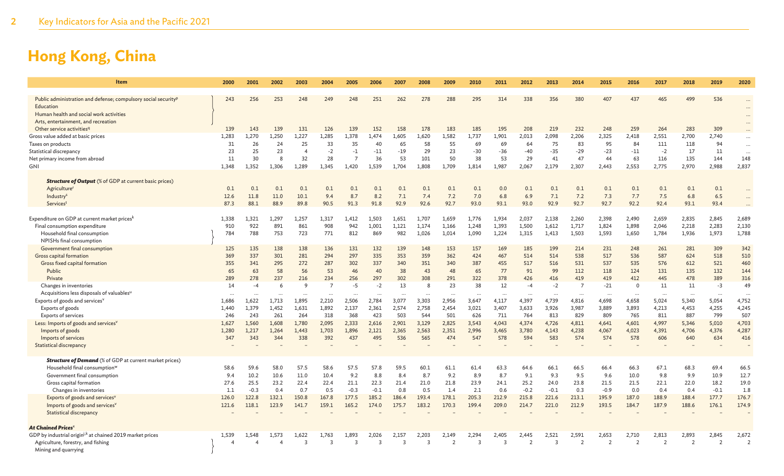| Item                                                                                                                               | 2000         | 2001         | 2002         | 2003           | 2004           | 2005                   | 2006         | 2007         | 2008         | 2009           | 2010                    | 2011                    | 2012          | 2013         | 2014           | 2015          | 2016           | 2017           | 2018           | 2019         | 2020                             |
|------------------------------------------------------------------------------------------------------------------------------------|--------------|--------------|--------------|----------------|----------------|------------------------|--------------|--------------|--------------|----------------|-------------------------|-------------------------|---------------|--------------|----------------|---------------|----------------|----------------|----------------|--------------|----------------------------------|
| Public administration and defense; compulsory social security <sup>p</sup><br>Education<br>Human health and social work activities | 243          | 256          | 253          | 248            | 249            | 248                    | 251          | 262          | 278          | 288            | 295                     | 314                     | 338           | 356          | 380            | 407           | 437            | 465            | 499            | 536          | $\cdots$<br>$\cdots$<br>$\cdots$ |
| Arts, entertainment, and recreation                                                                                                |              |              |              |                |                |                        |              |              |              |                |                         |                         |               |              |                |               |                |                |                |              | $\cdots$                         |
| Other service activities <sup>q</sup>                                                                                              | 139          | 143          | 139          | 131            | 126            | 139                    | 152          | 158          | 178          | 183            | 185                     | 195                     | 208           | 219          | 232            | 248           | 259            | 264            | 283            | 309          |                                  |
| Gross value added at basic prices                                                                                                  | 1,283        | 1.270        | 1.250        | 1,227          | 1,285          | 1,378                  | .474         | 1,605        | 1,620        | 1,582          | 1,737                   | 1,901                   | 2,013         | 2,098        | 2,206          | 2,325         | 2,418          | 2,551          | 2,700          | 2,740        |                                  |
| Taxes on products                                                                                                                  | 31           | 26           | 24           | 25             | 33             | 35                     | 40           | 65           | 58           | 55             | 69                      | 69                      | 64            | 75           | 83             | 95            | 84             | 111            | 118            | 94           |                                  |
| Statistical discrepancy                                                                                                            | 23           | 25           | 23           | $\overline{4}$ | $-2$           | $-1$<br>$\overline{7}$ | $-11$        | $-19$        | 29           | 23             | $-30$                   | $-36$                   | -40           | $-35$        | $-29$          | $-23$         | $-11$          | $-2$           | 17             | 11           | $\ddotsc$                        |
| Net primary income from abroad<br>GNI                                                                                              | 11           | 30           | $\mathbf{8}$ | 32             | 28             |                        | 36           | 53           | 101          | 50             | 38                      | 53                      | 29            | 41           | 47             | 44            | 63             | 116            | 135            | 144          | 148                              |
|                                                                                                                                    | 1,348        | 1,352        | 1,306        | 1,289          | 1,345          | 1,420                  | 1,539        | 1.704        | 1,808        | 1,709          | 1,814                   | 1,987                   | 2,067         | 2,179        | 2,307          | 2,443         | 2,553          | 2,775          | 2,970          | 2,988        | 2,837                            |
| <b>Structure of Output</b> (% of GDP at current basic prices)                                                                      |              |              |              |                |                |                        |              |              |              |                |                         |                         |               |              |                |               |                |                |                |              |                                  |
| <b>Agriculture</b> <sup>r</sup>                                                                                                    | 0.1          | 0.1          | 0.1          | 0.1            | 0.1            | 0.1                    | 0.1          | 0.1          | 0.1          | 0.1            | 0.1                     | 0.0                     | 0.1           | 0.1          | 0.1            | 0.1           | 0.1            | 0.1            | 0.1            | 0.1          |                                  |
| Industry <sup>s</sup>                                                                                                              | 12.6         | 11.8         | 11.0         | 10.1           | 9.4            | 8.7                    | 8.2          | 7.1          | 7.4          | 7.2            | 7.0                     | 6.8                     | 6.9           | 7.1          | 7.2            | 7.3           | 7.7            | 7.5            | 6.8            | 6.5          |                                  |
| Servicest                                                                                                                          | 87.3         | 88.1         | 88.9         | 89.8           | 90.5           | 91.3                   | 91.8         | 92.9         | 92.6         | 92.7           | 93.0                    | 93.1                    | 93.0          | 92.9         | 92.7           | 92.7          | 92.2           | 92.4           | 93.1           | 93.4         |                                  |
|                                                                                                                                    |              |              |              |                |                |                        |              |              |              |                |                         |                         |               |              |                |               |                |                |                |              |                                  |
| Expenditure on GDP at current market prices <sup>k</sup>                                                                           | 1,338        | 1,321        | 1.297        | 1,257          | 1,317          | 1,412                  | 1,503        | 1,651        | 1.707        | 1,659          | 1,776                   | 1,934                   | 2,037         | 2,138        | 2,260          | 2,398         | 2,490          | 2,659          | 2,835          | 2,845        | 2,689                            |
| Final consumption expenditure                                                                                                      | 910          | 922          | 891          | 861            | 908            | 942                    | 1,001        | 1,121        | 1,174        | 1,166          | 1,248                   | 1,393                   | 1,500         | 1,612        | 1,717          | 1,824         | 1,898          | 2,046          | 2,218          | 2,283        | 2,130                            |
| Household final consumption                                                                                                        | 784          | 788          | 753          | 723            | 771            | 812                    | 869          | 982          | 1,026        | 1,014          | 1,090                   | 1,224                   | 1,315         | 1,413        | 1,503          | 1,593         | 1,650          | 1,784          | 1,936          | 1,973        | 1,788                            |
| NPISHs final consumption                                                                                                           |              |              |              |                |                |                        |              |              |              |                |                         |                         |               |              |                |               |                |                |                |              |                                  |
| Government final consumption                                                                                                       | 125          | 135          | 138          | 138            | 136            | 131                    | 132          | 139          | 148          | 153            | 157                     | 169                     | 185           | 199          | 214            | 231           | 248            | 261            | 281            | 309          | 342                              |
| Gross capital formation                                                                                                            | 369          | 337          | 301          | 281            | 294            | 297                    | 335          | 353          | 359          | 362            | 424                     | 467                     | 514           | 514          | 538            | 517           | 536            | 587            | 624            | 518          | 510                              |
| Gross fixed capital formation                                                                                                      | 355          | 341          | 295          | 272            | 287            | 302                    | 337          | 340          | 351          | 340            | 387                     | 455                     | 517           | 516          | 531            | 537           | 535            | 576            | 612            | 521          | 460                              |
| Public                                                                                                                             | 65           | 63           | 58           | 56             | 53             | 46                     | 40           | 38           | 43           | 48             | 65                      | 77                      | 91            | 99           | 112            | 118           | 124            | 131            | 135            | 132          | 144                              |
| Private                                                                                                                            | 289          | 278          | 237          | 216            | 234            | 256                    | 297          | 302          | 308          | 291            | 322                     | 378                     | 426           | 416          | 419            | 419           | 412            | 445            | 478            | 389          | 316                              |
| Changes in inventories                                                                                                             | 14           | $-4$         | 6            | 9              | $\overline{7}$ | $-5$                   | $-2$         | 13           | 8            | 23             | 38                      | 12                      | $-4$          | $-2$         | $\overline{7}$ | $-21$         | $\Omega$       | 11             | 11             | $-3$         | 49                               |
| Acquisitions less disposals of valuables <sup>u</sup>                                                                              |              |              |              |                |                |                        |              |              |              |                |                         |                         |               | $\ldots$     |                |               |                |                | $\cdots$       |              |                                  |
| Exports of goods and services <sup>v</sup>                                                                                         | 1,686        | 1,622        | 1,713        | 1,895          | 2,210          | 2,506                  | 2,784        | 3,077        | 3,303        | 2,956          | 3,647                   | 4,117                   | 4,397         | 4,739        | 4,816          | 4,698         | 4,658          | 5,024          | 5,340          | 5,054        | 4,752                            |
| Exports of goods                                                                                                                   | 1,440        | 1,379        | 1,452        | 1,631          | 1,892          | 2,137                  | 2,361        | 2,574<br>503 | 2,758        | 2,454<br>501   | 3,021                   | 3,407                   | 3,633         | 3,926        | 3,987          | 3,889         | 3,893          | 4,213          | 4,453          | 4,255        | 4,245                            |
| Exports of services                                                                                                                | 246<br>1,627 | 243<br>1,560 | 261<br>1.608 | 264<br>1,780   | 318<br>2,095   | 368<br>2,333           | 423<br>2,616 | 2,901        | 544<br>3,129 | 2,825          | 626<br>3,543            | 711<br>4,043            | 764<br>4,374  | 813<br>4,726 | 829<br>4,811   | 809<br>4,641  | 765<br>4,601   | 811<br>4,997   | 887<br>5,346   | 799<br>5,010 | 507<br>4,703                     |
| Less: Imports of goods and services <sup>v</sup><br>Imports of goods                                                               | 1,280        | 1,217        | 1,264        | 1,443          | 1,703          | 1,896                  | 2,121        | 2,365        | 2,563        | 2,351          | 2,996                   | 3,465                   | 3,780         | 4,143        | 4,238          | 4,067         | 4,023          | 4,391          | 4,706          | 4,376        | 4,287                            |
| Imports of services                                                                                                                | 347          | 343          | 344          | 338            | 392            | 437                    | 495          | 536          | 565          | 474            | 547                     | 578                     | 594           | 583          | 574            | 574           | 578            | 606            | 640            | 634          | 416                              |
| <b>Statistical discrepancy</b>                                                                                                     |              |              |              |                |                |                        |              |              |              |                |                         |                         |               |              |                |               |                |                |                |              |                                  |
|                                                                                                                                    |              |              |              |                |                |                        |              |              |              |                |                         |                         |               |              |                |               |                |                |                |              |                                  |
| <b>Structure of Demand</b> (% of GDP at current market prices)                                                                     |              |              |              |                |                |                        |              |              |              |                |                         |                         |               |              |                |               |                |                |                |              |                                  |
| Household final consumption <sup>w</sup>                                                                                           | 58.6         | 59.6         | 58.0         | 57.5           | 58.6           | 57.5                   | 57.8         | 59.5         | 60.1         | 61.1           | 61.4                    | 63.3                    | 64.6          | 66.1         | 66.5           | 66.4          | 66.3           | 67.1           | 68.3           | 69.4         | 66.5                             |
| Government final consumption                                                                                                       | 9.4          | 10.2         | 10.6         | 11.0           | 10.4           | 9.2                    | 8.8          | 8.4          | 8.7          | 9.2            | 8.9                     | 8.7                     | 9.1           | 9.3          | 9.5            | 9.6           | 10.0           | 9.8            | 9.9            | 10.9         | 12.7                             |
| Gross capital formation                                                                                                            | 27.6         | 25.5         | 23.2         | 22.4           | 22.4           | 21.1                   | 22.3         | 21.4         | 21.0         | 21.8           | 23.9                    | 24.1                    | 25.2          | 24.0         | 23.8           | 21.5          | 21.5           | 22.1           | 22.0           | 18.2         | 19.0                             |
| Changes in inventories                                                                                                             | 1.1          | $-0.3$       | 0.4          | 0.7            | 0.5            | $-0.3$                 | $-0.1$       | 0.8          | 0.5          | 1.4            | 2.1                     | 0.6                     | $-0.2$        | $-0.1$       | 0.3            | $-0.9$        | 0.0            | 0.4            | 0.4            | $-0.1$       | 1.8                              |
| Exports of goods and services'                                                                                                     | 126.0        | 122.8        | 132.1        | 150.8          | 167.8          | 177.5                  | 185.2        | 186.4        | 193.4        | 178.1          | 205.3                   | 212.9                   | 215.8         | 221.6        | 213.1          | 195.9         | 187.0          | 188.9          | 188.4          | 177.7        | 176.7                            |
| Imports of goods and services'                                                                                                     | 121.6        | 118.1        | 123.9        | 141.7          | 159.1          | 165.2                  | 174.0        | 175.7        | 183.2        | 170.3          | 199.4                   | 209.0                   | 214.7         | 221.0        | 212.9          | 193.5         | 184.7          | 187.9          | 188.6          | 176.1        | 174.9                            |
| <b>Statistical discrepancy</b>                                                                                                     |              |              |              |                |                |                        |              |              |              |                |                         |                         |               |              |                |               |                |                |                |              |                                  |
|                                                                                                                                    |              |              |              |                |                |                        |              |              |              |                |                         |                         |               |              |                |               |                |                |                |              |                                  |
| <b>At Chained Prices</b> <sup>×</sup>                                                                                              |              |              |              |                |                |                        |              |              |              |                |                         |                         |               |              |                |               |                |                |                |              |                                  |
| GDP by industrial origin <sup>j,k</sup> at chained 2019 market prices                                                              | 1,539        | 1.548        | 1.573        | 1,622          | 1,763          | 1,893                  | 2,026        | 2,157        | 2,203        | 2,149          | 2,294                   | 2,405                   | 2,445         | 2,521        | 2,591          | 2,653         | 2,710          | 2,813          | 2,893          | 2,845        | 2,672                            |
| Agriculture, forestry, and fishing                                                                                                 |              |              |              | $\overline{3}$ | 3              | 3                      | 3            | 3            | 3            | $\overline{2}$ | $\overline{\mathbf{3}}$ | $\overline{\mathbf{3}}$ | $\mathcal{P}$ | 3            | $\overline{z}$ | $\mathcal{P}$ | $\overline{z}$ | $\overline{2}$ | $\overline{2}$ | 2            | $\overline{z}$                   |
| Mining and quarrying                                                                                                               |              |              |              |                |                |                        |              |              |              |                |                         |                         |               |              |                |               |                |                |                |              |                                  |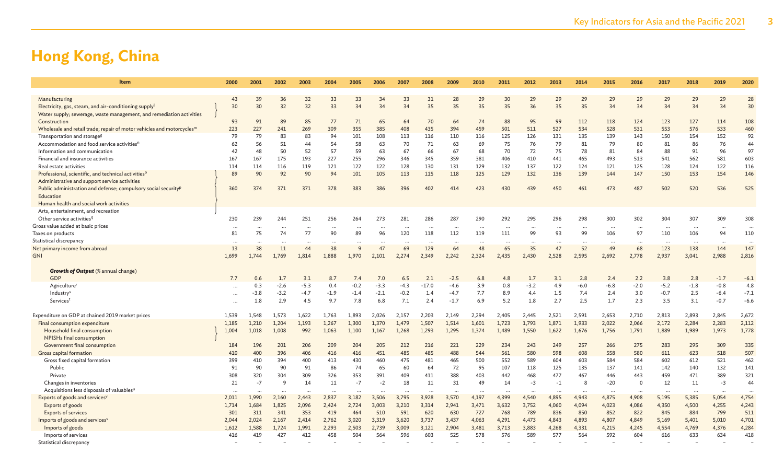| <b>Item</b>                                                                                                                  | 2000     | 2001     | 2002      | 2003     | 2004     | 2005                 | 2006                 | 2007     | 2008                 | 2009     | 2010     | 2011      | 2012     | 2013     | 2014     | 2015     | 2016     | 2017                 | 2018      | 2019     | 2020     |
|------------------------------------------------------------------------------------------------------------------------------|----------|----------|-----------|----------|----------|----------------------|----------------------|----------|----------------------|----------|----------|-----------|----------|----------|----------|----------|----------|----------------------|-----------|----------|----------|
| Manufacturing                                                                                                                | 43       | 39       | 36        | 32       | 33       | 33                   | 34                   | 33       | 31                   | 28       | 29       | 30        | 29       | 29       | 29       | 29       | 29       | 29                   | 29        | 29       | 28       |
| Electricity, gas, steam, and air-conditioning supply<br>Water supply; sewerage, waste management, and remediation activities | 30       | 30       | 32        | 32       | 33       | 34                   | 34                   | 34       | 35                   | 35       | 35       | 35        | 36       | 35       | 35       | 34       | 34       | 34                   | 34        | 34       | 30       |
| Construction                                                                                                                 | 93       | 91       | 89        | 85       | 77       | 71                   | 65                   | 64       | 70                   | 64       | 74       | 88        | 95       | 99       | 112      | 118      | 124      | 123                  | 127       | 114      | 108      |
| Wholesale and retail trade; repair of motor vehicles and motorcycles <sup>m</sup>                                            | 223      | 227      | 241       | 269      | 309      | 355                  | 385                  | 408      | 435                  | 394      | 459      | 501       | 511      | 527      | 534      | 528      | 531      | 553                  | 576       | 533      | 460      |
| Transportation and storage <sup>g</sup>                                                                                      | 79       | 79       | 83        | 83       | 94       | 101                  | 108                  | 113      | 116                  | 110      | 116      | 125       | 126      | 131      | 135      | 139      | 143      | 150                  | 154       | 152      | 92       |
| Accommodation and food service activities <sup>n</sup>                                                                       | 62       | 56       | 51        | 44       | 54       | 58                   | 63                   | 70       | 71                   | 63       | 69       | 75        | 76       | 79       | 81       | 79       | 80       | 81                   | 86        | 76       | 44       |
| Information and communication                                                                                                | 42       | 48       | 50        | 52       | 57       | 59                   | 63                   | 67       | 66                   | 67       | 68       | 70        | 72       | 75       | 78       | 81       | 84       | 88                   | 91        | 96       | 97       |
| Financial and insurance activities                                                                                           | 167      | 167      | 175       | 193      | 227      | 255                  | 296                  | 346      | 345                  | 359      | 381      | 406       | 410      | 441      | 465      | 493      | 513      | 541                  | 562       | 581      | 603      |
| Real estate activities                                                                                                       | 114      | 114      | 116       | 119      | 121      | 122                  | 122                  | 128      | 130                  | 131      | 129      | 132       | 137      | 122      | 124      | 121      | 125      | 128                  | 124       | 122      | 116      |
| Professional, scientific, and technical activities <sup>o</sup><br>Administrative and support service activities             | 89       | 90       | 92        | 90       | 94       | 101                  | 105                  | 113      | 115                  | 118      | 125      | 129       | 132      | 136      | 139      | 144      | 147      | 150                  | 153       | 154      | 146      |
| Public administration and defense; compulsory social security <sup>p</sup><br>Education                                      | 360      | 374      | 371       | 371      | 378      | 383                  | 386                  | 396      | 402                  | 414      | 423      | 430       | 439      | 450      | 461      | 473      | 487      | 502                  | 520       | 536      | 525      |
| Human health and social work activities                                                                                      |          |          |           |          |          |                      |                      |          |                      |          |          |           |          |          |          |          |          |                      |           |          |          |
| Arts, entertainment, and recreation                                                                                          |          |          |           |          |          |                      |                      |          |                      |          |          |           |          |          |          |          |          |                      |           |          |          |
| Other service activities <sup>q</sup>                                                                                        | 230      | 239      | 244       | 251      | 256      | 264                  | 273                  | 281      | 286                  | 287      | 290      | 292       | 295      | 296      | 298      | 300      | 302      | 304                  | 307       | 309      | 308      |
| Gross value added at basic prices                                                                                            | $\cdots$ | $\cdots$ | $\ddotsc$ | $\cdots$ |          | $\ddotsc$            | $\cdots$             | $\cdots$ | $\ddotsc$            | $\cdots$ | $\cdots$ |           | $\cdots$ | $\cdots$ | $\cdots$ | $\cdots$ | $\cdots$ | $\ddot{\phantom{a}}$ | $\ddotsc$ | $\cdots$ | $\cdots$ |
| Taxes on products                                                                                                            | 81       | 75       | 74        | 77       | 90       | 89                   | 96                   | 120      | 118                  | 112      | 119      | 111       | 99       | 93       | 99       | 106      | 97       | 110                  | 106       | 94       | 110      |
| Statistical discrepancy                                                                                                      | $\cdots$ | $\cdots$ | $\cdots$  |          |          |                      | $\ddot{\phantom{0}}$ | $\cdots$ | $\cdots$             |          |          | $\ddotsc$ |          | $\cdots$ |          | $\cdots$ |          | $\ddotsc$            | $\cdots$  |          |          |
| Net primary income from abroad                                                                                               | 13       | 38       | 11        | 44       | 38       | q                    | 47                   | 69       | 129                  | 64       | 48       | 65        | 35       | 47       | 52       | 49       | 68       | 123                  | 138       | 144      | 147      |
| <b>GNI</b>                                                                                                                   | 1,699    | 1,744    | 1,769     | 1,814    | 1,888    | 1,970                | 2,101                | 2,274    | 2,349                | 2,242    | 2,324    | 2,435     | 2,430    | 2,528    | 2,595    | 2,692    | 2,778    | 2,937                | 3,041     | 2,988    | 2,816    |
| <b>Growth of Output</b> (% annual change)                                                                                    |          |          |           |          |          |                      |                      |          |                      |          |          |           |          |          |          |          |          |                      |           |          |          |
| GDP                                                                                                                          | 7.7      | 0.6      | 1.7       | 3.1      | 8.7      | 7.4                  | 7.0                  | 6.5      | 2.1                  | $-2.5$   | 6.8      | 4.8       | 1.7      | 3.1      | 2.8      | 2.4      | 2.2      | 3.8                  | 2.8       | $-1.7$   | $-6.1$   |
| Agriculture                                                                                                                  |          | 0.3      | $-2.6$    | $-5.3$   | 0.4      | $-0.2$               | $-3.3$               | $-4.3$   | $-17.0$              | $-4.6$   | 3.9      | 0.8       | $-3.2$   | 4.9      | $-6.0$   | $-6.8$   | $-2.0$   | $-5.2$               | $-1.8$    | $-0.8$   | 4.8      |
| Industry <sup>s</sup>                                                                                                        | $\cdots$ | $-3.8$   | $-3.2$    | -4.7     | $-1.9$   | $-1.4$               | $-2.1$               | $-0.2$   | 1.4                  | $-4.7$   | 7.7      | 8.9       | 4.4      | 1.5      | 7.4      | 2.4      | 3.0      | $-0.7$               | 2.5       | $-6.4$   | $-7.1$   |
| Servicest                                                                                                                    | $\cdots$ | 1.8      | 2.9       | 4.5      | 9.7      | 7.8                  | 6.8                  | 7.1      | 2.4                  | $-1.7$   | 6.9      | 5.2       | 1.8      | 2.7      | 2.5      | 1.7      | 2.3      | 3.5                  | 3.1       | $-0.7$   | $-6.6$   |
|                                                                                                                              |          |          |           |          |          |                      |                      |          |                      |          |          |           |          |          |          |          |          |                      |           |          |          |
| Expenditure on GDP at chained 2019 market prices                                                                             | 1,539    | 1,548    | 1,573     | 1,622    | 1,763    | 1,893                | 2,026                | 2,157    | 2,203                | 2,149    | 2,294    | 2,405     | 2,445    | 2,521    | 2,591    | 2,653    | 2,710    | 2,813                | 2,893     | 2,845    | 2,672    |
| Final consumption expenditure                                                                                                | 1,185    | 1,210    | 1,204     | 1,193    | 1,267    | 1,300                | 1,370                | 1,479    | 1,507                | 1,514    | 1,601    | 1,723     | 1,793    | 1,871    | 1,933    | 2,022    | 2,066    | 2,172                | 2,284     | 2,283    | 2,112    |
| Household final consumption                                                                                                  | 1,004    | 1,018    | 1,008     | 992      | 1,063    | 1,100                | 1,167                | 1,268    | 1,293                | 1,295    | 1,374    | 1,489     | 1,550    | 1,622    | 1,676    | 1,756    | 1,791    | 1,889                | 1,989     | 1,973    | 1,778    |
| <b>NPISHs final consumption</b>                                                                                              |          |          |           |          |          |                      |                      |          |                      |          |          |           |          |          |          |          |          |                      |           |          |          |
| Government final consumption                                                                                                 | 184      | 196      | 201       | 206      | 209      | 204                  | 205                  | 212      | 216                  | 221      | 229      | 234       | 243      | 249      | 257      | 266      | 275      | 283                  | 295       | 309      | 335      |
| <b>Gross capital formation</b>                                                                                               | 410      | 400      | 396       | 406      | 416      | 416                  | 451                  | 485      | 485                  | 488      | 544      | 561       | 580      | 598      | 608      | 558      | 580      | 611                  | 623       | 518      | 507      |
| Gross fixed capital formation                                                                                                | 399      | 410      | 394       | 400      | 413      | 430                  | 460                  | 475      | 481                  | 465      | 500      | 552       | 589      | 604      | 603      | 584      | 584      | 602                  | 612       | 521      | 462      |
| Public                                                                                                                       | 91       | 90       | 90        | 91       | 86       | 74                   | 65                   | 60       | 64                   | 72       | 95       | 107       | 118      | 125      | 135      | 137      | 141      | 142                  | 140       | 132      | 141      |
| Private                                                                                                                      | 308      | 320      | 304       | 309      | 326      | 353                  | 391                  | 409      | 411                  | 388      | 403      | 442       | 468      | 477      | 467      | 446      | 443      | 459                  | 471       | 389      | 321      |
| Changes in inventories                                                                                                       | 21       | $-7$     | 9         | 14       | 11       | $-7$                 | $-2$                 | 18       | 11                   | 31       | 49       | 14        | $-3$     | $-1$     | 8        | $-20$    | $\Omega$ | 12                   | 11        | $-3$     | 44       |
| Acquisitions less disposals of valuables <sup>u</sup>                                                                        |          | $\cdots$ |           |          | $\cdots$ | $\ddot{\phantom{a}}$ |                      | $\cdots$ | $\ddot{\phantom{a}}$ |          |          | $\cdots$  |          | $\cdots$ | $\cdots$ | $\cdots$ | $\cdots$ |                      | $\cdots$  |          | $\cdots$ |
| Exports of goods and services <sup>v</sup>                                                                                   | 2,011    | 1,990    | 2,160     | 2,443    | 2,837    | 3,182                | 3,506                | 3,795    | 3,928                | 3,570    | 4,197    | 4,399     | 4,540    | 4,895    | 4,943    | 4,875    | 4,908    | 5,195                | 5,385     | 5,054    | 4,754    |
| Exports of goods                                                                                                             | 1,714    | 1,684    | 1,825     | 2,096    | 2,424    | 2,724                | 3,003                | 3,210    | 3,314                | 2,941    | 3,471    | 3,632     | 3,752    | 4,060    | 4,094    | 4,023    | 4,086    | 4,350                | 4,500     | 4,255    | 4,243    |
| <b>Exports of services</b>                                                                                                   | 301      | 311      | 341       | 353      | 419      | 464                  | 510                  | 591      | 620                  | 630      | 727      | 768       | 789      | 836      | 850      | 852      | 822      | 845                  | 884       | 799      | 511      |
| Imports of goods and services <sup>v</sup>                                                                                   | 2,044    | 2,024    | 2,167     | 2,414    | 2,762    | 3,020                | 3,319                | 3,620    | 3,737                | 3,437    | 4,063    | 4,291     | 4,473    | 4,843    | 4,893    | 4,807    | 4,849    | 5,169                | 5,401     | 5,010    | 4,701    |
| Imports of goods                                                                                                             | 1,612    | 1,588    | 1,724     | 1,991    | 2,293    | 2,503                | 2,739                | 3,009    | 3,121                | 2,904    | 3,481    | 3,713     | 3,883    | 4,268    | 4,331    | 4,215    | 4,245    | 4,554                | 4,769     | 4,376    | 4,284    |
| Imports of services<br>Statistical discrepancy                                                                               | 416      | 419      | 427       | 412      | 458      | 504                  | 564                  | 596      | 603                  | 525      | 578      | 576       | 589      | 577      | 564      | 592      | 604      | 616                  | 633       | 634      | 418      |
|                                                                                                                              |          |          |           |          |          |                      |                      |          |                      |          |          |           |          |          |          |          |          |                      |           |          |          |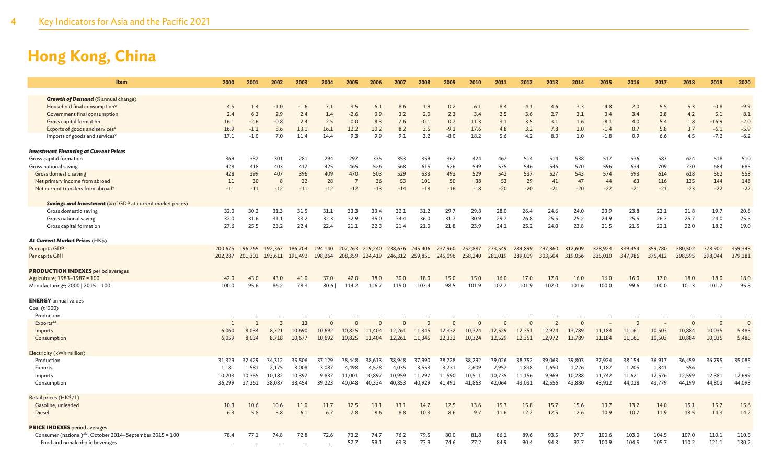| Item                                                                  | 2000         | 2001    | 2002                            | 2003    | 2004     | 2005            | 2006    | 2007            | 2008    | 2009     | 2010     | 2011         | 2012     | 2013           | 2014     | 2015    | 2016     | 2017    | 2018     | 2019     | 2020         |
|-----------------------------------------------------------------------|--------------|---------|---------------------------------|---------|----------|-----------------|---------|-----------------|---------|----------|----------|--------------|----------|----------------|----------|---------|----------|---------|----------|----------|--------------|
| <b>Growth of Demand</b> (% annual change)                             |              |         |                                 |         |          |                 |         |                 |         |          |          |              |          |                |          |         |          |         |          |          |              |
| Household final consumption <sup>w</sup>                              | 4.5          | 1.4     | $-1.0$                          | $-1.6$  | 7.1      | 3.5             | 6.1     | 8.6             | 1.9     | 0.2      | 6.1      | 8.4          | 4.1      | 4.6            | 3.3      | 4.8     | 2.0      | 5.5     | 5.3      | $-0.8$   | $-9.9$       |
| Government final consumption                                          | 2.4          | 6.3     | 2.9                             | 2.4     | 1.4      | $-2.6$          | 0.9     | 3.2             | 2.0     | 2.3      | 3.4      | 2.5          | 3.6      | 2.7            | 3.1      | 3.4     | 3.4      | 2.8     | 4.2      | 5.1      | 8.1          |
| Gross capital formation                                               | 16.1         | $-2.6$  | $-0.8$                          | 2.4     | 2.5      | 0.0             | 8.3     | 7.6             | $-0.1$  | 0.7      | 11.3     | 3.1          | 3.5      | 3.1            | 1.6      | $-8.1$  | 4.0      | 5.4     | 1.8      | $-16.9$  | $-2.0$       |
| Exports of goods and services <sup>v</sup>                            | 16.9         | $-1.1$  | 8.6                             | 13.1    | 16.1     | 12.2            | 10.2    | 8.2             | 3.5     | $-9.1$   | 17.6     | 4.8          | 3.2      | 7.8            | 1.0      | $-1.4$  | 0.7      | 5.8     | 3.7      | $-6.1$   | $-5.9$       |
| Imports of goods and services <sup>v</sup>                            | 17.1         | $-1.0$  | 7.0                             | 11.4    | 14.4     | 9.3             | 9.9     | 9.1             | 3.2     | $-8.0$   | 18.2     | 5.6          | 4.2      | 8.3            | 1.0      | -1.8    | 0.9      | 6.6     | 4.5      | $-7.2$   | $-6.2$       |
| <b>Investment Financing at Current Prices</b>                         |              |         |                                 |         |          |                 |         |                 |         |          |          |              |          |                |          |         |          |         |          |          |              |
| Gross capital formation                                               | 369          | 337     | 301                             | 281     | 294      | 297             | 335     | 353             | 359     | 362      | 424      | 467          | 514      | 514            | 538      | 517     | 536      | 587     | 624      | 518      | 510          |
| Gross national saving                                                 | 428          | 418     | 403                             | 417     | 425      | 465             | 526     | 568             | 615     | 526      | 549      | 575          | 546      | 546            | 570      | 596     | 634      | 709     | 730      | 684      | 685          |
| Gross domestic saving                                                 | 428          | 399     | 407                             | 396     | 409      | 470             | 503     | 529             | 533     | 493      | 529      | 542          | 537      | 527            | 543      | 574     | 593      | 614     | 618      | 562      | 558          |
| Net primary income from abroad                                        | 11           | 30      | -8                              | 32      | 28       | $\overline{7}$  | 36      | 53              | 101     | 50       | 38       | 53           | 29       | 41             | 47       | 44      | 63       | 116     | 135      | 144      | 148          |
| Net current transfers from abroad <sup>y</sup>                        | $-11$        | $-11$   | $-12$                           | $-11$   | $-12$    | $-12$           | $-13$   | $-14$           | $-18$   | $-16$    | $-18$    | $-20$        | $-20$    | $-21$          | $-20$    | $-22$   | $-21$    | $-21$   | $-23$    | $-22$    | $-22$        |
| <b>Savings and Investment</b> (% of GDP at current market prices)     |              |         |                                 |         |          |                 |         |                 |         |          |          |              |          |                |          |         |          |         |          |          |              |
| Gross domestic saving                                                 | 32.0         | 30.2    | 31.3                            | 31.5    | 31.1     | 33.3            | 33.4    | 32.1            | 31.2    | 29.7     | 29.8     | 28.0         | 26.4     | 24.6           | 24.0     | 23.9    | 23.8     | 23.1    | 21.8     | 19.7     | 20.8         |
| Gross national saving                                                 | 32.0         | 31.6    | 31.1                            | 33.2    | 32.3     | 32.9            | 35.0    | 34.4            | 36.0    | 31.7     | 30.9     | 29.7         | 26.8     | 25.5           | 25.2     | 24.9    | 25.5     | 26.7    | 25.7     | 24.0     | 25.5         |
| Gross capital formation                                               | 27.6         | 25.5    | 23.2                            | 22.4    | 22.4     | 21.1            | 22.3    | 21.4            | 21.0    | 21.8     | 23.9     | 24.1         | 25.2     | 24.0           | 23.8     | 21.5    | 21.5     | 22.1    | 22.0     | 18.2     | 19.0         |
| At Current Market Prices (HK\$)                                       |              |         |                                 |         |          |                 |         |                 |         |          |          |              |          |                |          |         |          |         |          |          |              |
| Per capita GDP                                                        | 200,675      | 196,765 | 192,367                         | 186,704 | 194,140  | 207,263         | 219,240 | 238,676         | 245,406 | 237,960  | 252,887  | 273,549      | 284,899  | 297,860        | 312,609  | 328,924 | 339,454  | 359,780 | 380,502  | 378,901  | 359,343      |
| Per capita GNI                                                        |              |         | 202,287 201,301 193,611 191,492 |         | 198,264  | 208,359 224,419 |         | 246,312 259,851 |         | 245,096  | 258,240  | 281,019      | 289,019  | 303,504        | 319,056  | 335,010 | 347,986  | 375,412 | 398,595  | 398,044  | 379,181      |
| <b>PRODUCTION INDEXES</b> period averages                             |              |         |                                 |         |          |                 |         |                 |         |          |          |              |          |                |          |         |          |         |          |          |              |
| Agriculture; 1983-1987 = 100                                          | 42.0         | 43.0    | 43.0                            | 41.0    | 37.0     | 42.0            | 38.0    | 30.0            | 18.0    | 15.0     | 15.0     | 16.0         | 17.0     | 17.0           | 16.0     | 16.0    | 16.0     | 17.0    | 18.0     | 18.0     | 18.0         |
| Manufacturing <sup>z</sup> ; 2000   2015 = 100                        | 100.0        | 95.6    | 86.2                            | 78.3    | 80.6     | 114.2           | 116.7   | 115.0           | 107.4   | 98.5     | 101.9    | 102.7        | 101.9    | 102.0          | 101.6    | 100.0   | 99.6     | 100.0   | 101.3    | 101.7    | 95.8         |
| <b>ENERGY</b> annual values                                           |              |         |                                 |         |          |                 |         |                 |         |          |          |              |          |                |          |         |          |         |          |          |              |
| Coal (t '000)                                                         |              |         |                                 |         |          |                 |         |                 |         |          |          |              |          |                |          |         |          |         |          |          |              |
| Production                                                            |              |         |                                 |         |          |                 |         |                 |         |          |          |              |          |                |          |         |          |         |          |          |              |
| Exports <sup>aa</sup>                                                 | $\mathbf{1}$ |         | $\overline{3}$                  | 13      | $\Omega$ | $\Omega$        |         |                 |         | $\Omega$ | $\Omega$ | $\mathsf{C}$ | $\Omega$ | $\overline{2}$ | $\Omega$ |         | $\Omega$ |         | $\Omega$ | $\Omega$ | $\mathbf{0}$ |
| Imports                                                               | 6,060        | 8.034   | 8,721                           | 10,690  | 10,692   | 10,825          | 11,404  | 12,261          | 11.345  | 12,332   | 10,324   | 12,529       | 12,351   | 12,974         | 13,789   | 11,184  | 11,161   | 10,503  | 10,884   | 10,035   | 5,485        |
| Consumption                                                           | 6,059        | 8,034   | 8,718                           | 10,677  | 10,692   | 10,825          | 11,404  | 12,261          | 11,345  | 12,332   | 10,324   | 12,529       | 12,351   | 12,972         | 13,789   | 11,184  | 11,161   | 10,503  | 10,884   | 10,035   | 5,485        |
|                                                                       |              |         |                                 |         |          |                 |         |                 |         |          |          |              |          |                |          |         |          |         |          |          |              |
| Electricity (kWh million)                                             |              |         |                                 |         |          |                 |         |                 |         |          |          |              |          |                |          |         |          |         |          |          |              |
| Production                                                            | 31,329       | 32,429  | 34,312                          | 35,506  | 37,129   | 38,448          | 38,613  | 38,948          | 37,990  | 38,728   | 38,292   | 39,026       | 38,752   | 39,063         | 39,803   | 37,924  | 38,154   | 36,917  | 36,459   | 36,795   | 35,085       |
| Exports                                                               | 1,181        | 1,581   | 2,175                           | 3,008   | 3,087    | 4,498           | 4,528   | 4,035           | 3,553   | 3,731    | 2,609    | 2,957        | 1,838    | 1,650          | 1,226    | 1,187   | 1,205    | 1,341   | 556      |          |              |
| Imports                                                               | 10,203       | 10,355  | 10,182                          | 10,397  | 9,837    | 11,001          | 10,897  | 10,959          | 11,297  | 11,590   | 10,511   | 10,735       | 11,156   | 9,969          | 10,288   | 11,742  | 11,621   | 12,576  | 12,599   | 12,381   | 12,699       |
| Consumption                                                           | 36,299       | 37,261  | 38,087                          | 38,454  | 39,223   | 40,048          | 40,334  | 40,853          | 40,929  | 41,491   | 41,863   | 42,064       | 43,031   | 42,556         | 43,880   | 43,912  | 44,028   | 43,779  | 44,199   | 44,803   | 44,098       |
| Retail prices (HK\$/L)                                                |              |         |                                 |         |          |                 |         |                 |         |          |          |              |          |                |          |         |          |         |          |          |              |
| Gasoline, unleaded                                                    | 10.3         | 10.6    | 10.6                            | 11.0    | 11.7     | 12.5            | 13.1    | 13.1            | 14.7    | 12.5     | 13.6     | 15.3         | 15.8     | 15.7           | 15.6     | 13.7    | 13.2     | 14.0    | 15.1     | 15.7     | 15.6         |
| <b>Diesel</b>                                                         | 6.3          | 5.8     | 5.8                             | 6.1     | 6.7      | 7.8             | 8.6     | 8.8             | 10.3    | 8.6      | 9.7      | 11.6         | 12.2     | 12.5           | 12.6     | 10.9    | 10.7     | 11.9    | 13.5     | 14.3     | 14.2         |
| <b>PRICE INDEXES</b> period averages                                  |              |         |                                 |         |          |                 |         |                 |         |          |          |              |          |                |          |         |          |         |          |          |              |
| Consumer (national) <sup>ab</sup> ; October 2014-September 2015 = 100 | 78.4         | 77.1    | 74.8                            | 72.8    | 72.6     | 73.2            | 74.7    | 76.2            | 79.5    | 80.0     | 81.8     | 86.1         | 89.6     | 93.5           | 97.7     | 100.6   | 103.0    | 104.5   | 107.0    | 110.1    | 110.5        |
| Food and nonalcoholic beverages                                       | $\cdots$     |         |                                 |         |          | 57.7            | 59.1    | 63.3            | 73.9    | 74.6     | 77.2     | 84.9         | 90.4     | 94.3           | 97.7     | 100.9   | 104.5    | 105.7   | 110.2    | 121.1    | 130.2        |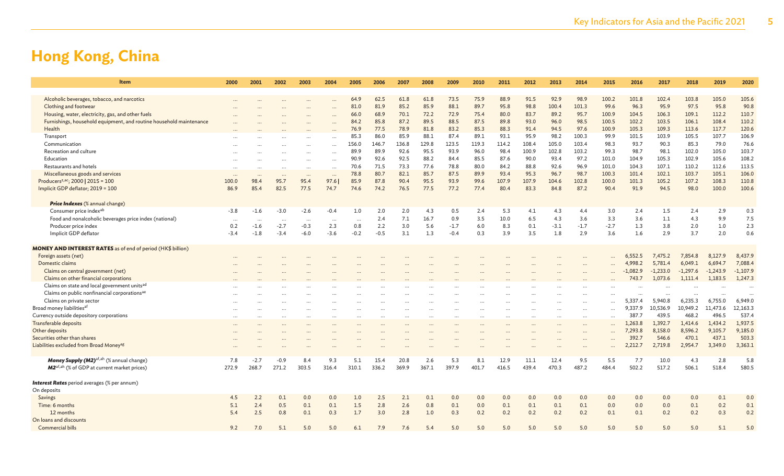| Item                                                                 | 2000              | 2001              | 2002              | 2003             | 2004                 | 2005                     | 2006         | 2007         | 2008         | 2009         | 2010         | 2011         | 2012         | 2013          | 2014          | 2015          | 2016          | 2017          | 2018          | 2019          | 2020          |
|----------------------------------------------------------------------|-------------------|-------------------|-------------------|------------------|----------------------|--------------------------|--------------|--------------|--------------|--------------|--------------|--------------|--------------|---------------|---------------|---------------|---------------|---------------|---------------|---------------|---------------|
|                                                                      |                   |                   |                   |                  |                      |                          |              |              |              |              |              |              |              |               |               |               |               |               |               |               |               |
| Alcoholic beverages, tobacco, and narcotics<br>Clothing and footwear |                   |                   |                   |                  |                      | 64.9<br>81.0             | 62.5<br>81.9 | 61.8<br>85.2 | 61.8<br>85.9 | 73.5<br>88.1 | 75.9<br>89.7 | 88.9<br>95.8 | 91.5<br>98.8 | 92.9<br>100.4 | 98.9<br>101.3 | 100.2<br>99.6 | 101.8<br>96.3 | 102.4<br>95.9 | 103.8<br>97.5 | 105.0<br>95.8 | 105.6<br>90.8 |
| Housing, water, electricity, gas, and other fuels                    |                   |                   |                   |                  | $\cdots$             | 66.0                     | 68.9         | 70.1         | 72.2         | 72.9         | 75.4         | 80.0         | 83.7         | 89.2          | 95.7          | 100.9         | 104.5         | 106.3         | 109.1         | 112.2         | 110.7         |
| Furnishings, household equipment, and routine household maintenance  |                   |                   |                   |                  | $\cdots$             | 84.2                     | 85.8         | 87.2         | 89.5         | 88.5         | 87.5         | 89.8         | 93.0         | 96.0          | 98.5          | 100.5         | 102.2         | 103.5         | 106.1         | 108.4         | 110.2         |
| Health                                                               |                   |                   |                   |                  |                      | 76.9                     | 77.5         | 78.9         | 81.8         | 83.2         | 85.3         | 88.3         | 91.4         | 94.5          | 97.6          | 100.9         | 105.3         | 109.3         | 113.6         | 117.7         | 120.6         |
| Transport                                                            |                   |                   |                   |                  |                      | 85.3                     | 86.0         | 85.9         | 88.1         | 87.4         | 89.1         | 93.1         | 95.9         | 98.2          | 100.3         | 99.9          | 101.5         | 103.9         | 105.5         | 107.7         | 106.9         |
| Communication                                                        |                   |                   |                   |                  | $\cdots$             | 156.0                    | 146.7        | 136.8        | 129.8        | 123.5        | 119.3        | 114.2        | 108.4        | 105.0         | 103.4         | 98.3          | 93.7          | 90.3          | 85.3          | 79.0          | 76.6          |
| Recreation and culture                                               |                   |                   |                   |                  | $\cdots$             | 89.9                     | 89.9         | 92.6         | 95.5         | 93.9         | 96.0         | 98.4         | 100.9        | 102.8         | 103.2         | 99.3          | 98.7          | 98.1          | 102.0         | 105.0         | 103.7         |
| Education                                                            |                   |                   |                   | $\cdots$         | $\cdots$<br>$\cdots$ | 90.9                     | 92.6         | 92.5         | 88.2         | 84.4         | 85.5         | 87.6         | 90.0         | 93.4          | 97.2          | 101.0         | 104.9         | 105.3         | 102.9         | 105.6         | 108.2         |
| Restaurants and hotels                                               |                   |                   |                   |                  | $\cdots$             | 70.6                     | 71.5         | 73.3         | 77.6         | 78.8         | 80.0         | 84.2         | 88.8         | 92.6          | 96.9          | 101.0         | 104.3         | 107.1         | 110.2         | 112.6         | 113.5         |
| Miscellaneous goods and services                                     |                   |                   |                   |                  |                      | 78.8                     | 80.7         | 82.1         | 85.7         | 87.5         | 89.9         | 93.4         | 95.3         | 96.7          | 98.7          | 100.3         | 101.4         | 102.1         | 103.7         | 105.1         | 106.0         |
| Producers <sup>z,ac</sup> ; 2000   2015 = 100                        | $\cdots$<br>100.0 | $\ddotsc$<br>98.4 | $\ddotsc$<br>95.7 | $\cdots$<br>95.4 | $\cdots$<br>97.6     | 85.9                     | 87.8         | 90.4         | 95.5         | 93.9         | 99.6         | 107.9        | 107.9        | 104.6         | 102.8         | 100.0         | 101.3         | 105.2         | 107.2         | 108.3         | 110.8         |
| Implicit GDP deflator; 2019 = 100                                    | 86.9              | 85.4              | 82.5              | 77.5             | 74.7                 | 74.6                     | 74.2         | 76.5         | 77.5         | 77.2         | 77.4         | 80.4         | 83.3         | 84.8          | 87.2          | 90.4          | 91.9          | 94.5          | 98.0          | 100.0         | 100.6         |
|                                                                      |                   |                   |                   |                  |                      |                          |              |              |              |              |              |              |              |               |               |               |               |               |               |               |               |
| <b>Price Indexes</b> (% annual change)                               |                   |                   |                   |                  |                      |                          |              |              |              |              |              |              |              |               |               |               |               |               |               |               |               |
| Consumer price indexab                                               | $-3.8$            | $-1.6$            | $-3.0$            | $-2.6$           | $-0.4$               | 1.0                      | 2.0          | 2.0          | 4.3          | 0.5          | 2.4          | 5.3          | 4.1          | 4.3           | 4.4           | 3.0           | 2.4           | 1.5           | 2.4           | 2.9           | 0.3           |
| Food and nonalcoholic beverages price index (national)               | $\cdots$          | $\ddots$          | $\ddotsc$         | $\cdots$         |                      | $\overline{\phantom{a}}$ | 2.4          | 7.1          | 16.7         | 0.9          | 3.5          | 10.0         | 6.5          | 4.3           | 3.6           | 3.3           | 3.6           | 1.1           | 4.3           | 9.9           | 7.5           |
| Producer price index                                                 | 0.2               | $-1.6$            | $-2.7$            | $-0.3$           | 2.3                  | 0.8                      | 2.2          | 3.0          | 5.6          | $-1.7$       | 6.0          | 8.3          | 0.1          | $-3.1$        | $-1.7$        | $-2.7$        | 1.3           | 3.8           | 2.0           | 1.0           | 2.3           |
| Implicit GDP deflator                                                | $-3.4$            | $-1.8$            | $-3.4$            | $-6.0$           | $-3.6$               | $-0.2$                   | $-0.5$       | 3.1          | 1.3          | $-0.4$       | 0.3          | 3.9          | 3.5          | 1.8           | 2.9           | 3.6           | 1.6           | 2.9           | 3.7           | 2.0           | 0.6           |
|                                                                      |                   |                   |                   |                  |                      |                          |              |              |              |              |              |              |              |               |               |               |               |               |               |               |               |
| <b>MONEY AND INTEREST RATES</b> as of end of period (HK\$ billion)   |                   |                   |                   |                  |                      |                          |              |              |              |              |              |              |              |               |               |               |               |               |               |               |               |
| Foreign assets (net)                                                 |                   |                   |                   |                  |                      |                          |              |              |              |              |              |              |              |               |               |               | 6,552.5       | 7,475.2       | 7,854.8       | 8,127.9       | 8,437.9       |
| Domestic claims                                                      |                   |                   |                   |                  |                      |                          |              |              |              |              |              |              |              |               |               |               | 4.998.2       | 5,781.4       | 6,049.1       | 6,694.7       | 7,088.4       |
| Claims on central government (net)                                   |                   |                   |                   |                  |                      |                          |              |              |              |              |              |              |              |               |               |               | $-1,082.9$    | $-1,233.0$    | $-1,297.6$    | $-1,243.9$    | $-1,107.9$    |
| Claims on other financial corporations                               |                   |                   |                   |                  |                      |                          |              |              |              |              |              |              |              |               |               |               | 743.7         | 1,073.6       | 1,111.4       | 1,183.5       | 1,247.3       |
| Claims on state and local government units <sup>ad</sup>             |                   |                   |                   |                  |                      |                          |              |              |              |              |              |              |              |               |               |               |               |               |               |               |               |
| Claims on public nonfinancial corporations <sup>ae</sup>             |                   |                   |                   |                  |                      |                          |              |              |              |              |              |              |              |               |               |               |               | $\ddotsc$     | $\cdots$      |               |               |
| Claims on private sector                                             |                   |                   |                   |                  |                      |                          |              |              |              |              |              |              |              |               |               |               | 5,337.4       | 5,940.8       | 6,235.3       | 6,755.0       | 6,949.0       |
| Broad money liabilities <sup>af</sup>                                |                   |                   |                   |                  |                      |                          |              |              |              |              |              |              |              |               |               |               | 9.337.9       | 10.536.9      | 10,949.2      | 11,473.6      | 12,163.3      |
| Currency outside depository corporations                             | $\cdots$          | $\cdots$          | $\cdots$          | $\cdots$         |                      | $\cdots$                 |              |              |              | $\cdots$     | $\cdots$     |              | $\cdots$     | $\cdots$      | $\cdots$      | $\cdots$      | 387.          | 439.5         | 468.2         | 496.5         | 537.4         |
| Transferable deposits                                                |                   |                   |                   |                  |                      |                          |              |              |              |              |              |              |              |               |               |               | 1.263.8       | 1.392.7       | 1.414.6       | 1.434.2       | 1,937.5       |
| Other deposits                                                       |                   |                   |                   |                  |                      |                          |              |              |              |              |              |              |              |               | $\cdots$      |               | 7,293.8       | 8,158.0       | 8,596.2       | 9,105.7       | 9,185.0       |
| Securities other than shares                                         |                   |                   |                   |                  |                      |                          |              |              |              |              |              |              |              |               | $\cdots$      | $\cdots$      | 392.7         | 546.6         | 470.1         | 437.1         | 503.3         |
| Liabilities excluded from Broad Money <sup>ag</sup>                  |                   |                   |                   |                  |                      |                          |              | $\ddotsc$    |              |              |              |              |              |               | $\cdots$      | $\cdots$      | 2,212.7       | 2,719.8       | 2,954.7       | 3,349.0       | 3,363.1       |
| Money Supply (M2) <sup>af,ah</sup> (% annual change)                 | 7.8               | $-2.7$            | $-0.9$            | 8.4              | 9.3                  | 5.1                      | 15.4         | 20.8         | 2.6          | 5.3          | 8.1          | 12.9         | 11.1         | 12.4          | 9.5           | 5.5           | 7.7           | 10.0          | 4.3           | 2.8           | 5.8           |
| M2 <sup>af, ah</sup> (% of GDP at current market prices)             | 272.9             | 268.7             | 271.2             | 303.5            | 316.4                | 310.1                    | 336.2        | 369.9        | 367.1        | 397.9        | 401.7        | 416.5        | 439.4        | 470.3         | 487.2         | 484.4         | 502.2         | 517.2         | 506.1         | 518.4         | 580.5         |
|                                                                      |                   |                   |                   |                  |                      |                          |              |              |              |              |              |              |              |               |               |               |               |               |               |               |               |
| <b>Interest Rates</b> period averages (% per annum)                  |                   |                   |                   |                  |                      |                          |              |              |              |              |              |              |              |               |               |               |               |               |               |               |               |
| On deposits                                                          |                   |                   |                   |                  |                      |                          |              |              |              |              |              |              |              |               |               |               |               |               |               |               |               |
| Savings                                                              | 4.5               | 2.2               | 0.1               | 0.0              | 0.0                  | 1.0                      | 2.5          | 2.1          | 0.1          | 0.0          | 0.0          | 0.0          | 0.0          | 0.0           | 0.0           | 0.0           | 0.0           | 0.0           | 0.0           | 0.1           | 0.0           |
| Time: 6 months                                                       | 5.1               | 2.4               | 0.5               | 0.1              | 0.1                  | 1.5                      | 2.8          | 2.6          | 0.8          | 0.1          | 0.0          | 0.1          | 0.1          | 0.1           | 0.1           | 0.0           | 0.0           | 0.0           | 0.1           | 0.2           | 0.1           |
| 12 months                                                            | 5.4               | 2.5               | 0.8               | 0.1              | 0.3                  | 1.7                      | 3.0          | 2.8          | 1.0          | 0.3          | 0.2          | 0.2          | 0.2          | 0.2           | 0.2           | 0.1           | 0.1           | 0.2           | 0.2           | 0.3           | 0.2           |
| On loans and discounts                                               |                   |                   |                   |                  |                      |                          |              |              |              |              |              |              |              |               |               |               |               |               |               |               |               |
| <b>Commercial bills</b>                                              | 9.2               | 7.0               | 5.1               | 5.0              | 5.0                  | 6.1                      | 7.9          | 7.6          | 5.4          | 5.0          | 5.0          | 5.0          | 5.0          | 5.0           | 5.0           | 5.0           | 5.0           | 5.0           | 5.0           | 5.1           | 5.0           |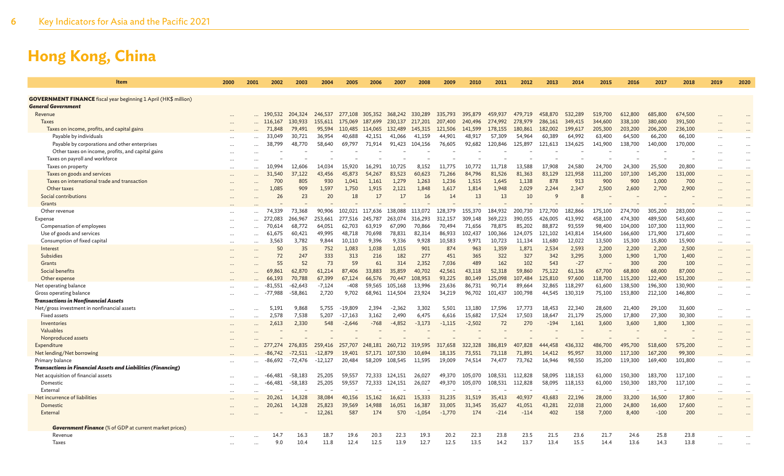| Item                                                                        | 2000      | 2001 | 2002          | 2003           | 2004          | 2005            | 2006            | 2007              | 2008              | 2009              | 2010               | 2011            | 2012            | 2013             | 2014           | 2015            | 2016           | 2017             | 2018           | 2019      | 2020                 |
|-----------------------------------------------------------------------------|-----------|------|---------------|----------------|---------------|-----------------|-----------------|-------------------|-------------------|-------------------|--------------------|-----------------|-----------------|------------------|----------------|-----------------|----------------|------------------|----------------|-----------|----------------------|
| <b>GOVERNMENT FINANCE</b> fiscal year beginning 1 April (HK\$ million)      |           |      |               |                |               |                 |                 |                   |                   |                   |                    |                 |                 |                  |                |                 |                |                  |                |           |                      |
| General Government                                                          |           |      |               |                |               |                 |                 |                   |                   |                   |                    |                 |                 |                  |                |                 |                |                  |                |           |                      |
| Revenue                                                                     |           |      | 190,532       | 204,324        | 246,537       | 277,108         | 305,352         | 368,242           | 330,289           | 335,793           | 395,879            | 459,937         | 479,719         | 458,870          | 532,289        | 519,700         | 612,800        | 685,800          | 674,500        |           |                      |
| <b>Taxes</b>                                                                |           |      | 116,167       | 130,933        | 155,611       | 175,069         | 187.699         | 230.137           | 217.201           | 207,400           | 240,496            | 274,992         | 278,979         | 286,161          | 349,415        | 344,600         | 338,100        | 380,600          | 391,500        |           |                      |
| Taxes on income, profits, and capital gains                                 |           |      | 71,848        | 79,491         | 95,594        | 110,485         | 114,065         | 132,489           | 145,315           | 121,506           | 141,599            | 178,155         | 180,861         | 182,002          | 199,617        | 205,300         | 203,200        | 206,200          | 236,100        |           |                      |
| Payable by individuals                                                      |           |      | 33,049        | 30.721         | 36,954        | 40,688          | 42,151          | 41,066            | 41,159            | 44,901            | 48,917             | 57,309          | 54,964          | 60,389           | 64,992         | 63,400          | 64,500         | 66,200           | 66,100         | $\ddotsc$ |                      |
| Payable by corporations and other enterprises                               |           |      | 38,799        | 48,770         | 58,640        | 69,797          | 71,914          | 91,423            | 104,156           | 76,605            | 92,682             | 120,846         | 125,897         | 121,613          | 134,625        | 141,900         | 138,700        | 140,000          | 170,000        |           |                      |
| Other taxes on income, profits, and capital gains                           |           |      |               |                |               |                 |                 |                   |                   |                   |                    |                 |                 |                  |                |                 |                |                  |                |           |                      |
| Taxes on payroll and workforce                                              |           |      |               |                |               |                 |                 |                   |                   |                   |                    |                 |                 |                  |                |                 |                |                  |                |           | $\cdots$             |
| Taxes on property                                                           |           |      | 10,994        | 12,606         | 14,034        | 15,920          | 16,291          | 10,725            | 8,152             | 11,775            | 10,772             | 11,718          | 13,588          | 17,908           | 24,580         | 24,700          | 24,300         | 25,500           | 20,800         |           | $\cdots$             |
| Taxes on goods and services<br>Taxes on international trade and transaction |           |      | 31,540<br>700 | 37,122<br>805  | 43,456<br>930 | 45,873<br>1.041 | 54,267<br>1.161 | 83,523<br>1,279   | 60,623<br>1,263   | 71,266<br>1,236   | 84,796<br>1,515    | 81,526<br>1,645 | 81,363<br>1,138 | 83,129<br>878    | 121,958<br>913 | 111,200<br>900  | 107,100<br>900 | 145,200<br>1,000 | 131,000<br>700 |           | $\cdots$             |
| Other taxes                                                                 |           |      | 1,085         | 909            | 1.597         | 1,750           | 1,915           | 2,121             | 1,848             | 1,617             | 1,814              | 1,948           | 2,029           | 2,244            | 2,347          | 2,500           | 2,600          | 2,700            | 2,900          |           | $\cdots$             |
| Social contributions                                                        |           |      | 26            | 23             | 20            | 18              | 17              | 17                | 16                | 14                | 13                 | 13              | 10              | 9                | $\mathcal{R}$  |                 |                |                  |                |           |                      |
| Grants                                                                      |           |      |               |                |               |                 |                 |                   |                   |                   |                    |                 |                 |                  |                |                 |                |                  |                |           |                      |
| Other revenue                                                               |           |      | 74.339        | 73,368         | 90,906        | 102,021         | 117.636         | 138,088           | 113.072           | 128,379           | 155,370            | 184,932         | 200,730         | 172,700          | 182,866        | 175,100         | 274,700        | 305,200          | 283,000        |           | $\cdots$             |
| Expense                                                                     |           |      | 272.083       | 266,967        | 253,661       | 277.516         | 245,787         | 263,074           | 316,293           | 312,157           | 309,148            | 369,223         | 390.055         | 426,005          | 413,992        | 458,100         | 474,300        | 489,500          | 543,600        |           | $\cdots$             |
| Compensation of employees                                                   |           |      | 70,614        | 68.772         | 64.051        | 62.703          | 63.919          | 67.090            | 70,866            | 70,494            | 71.656             | 78,875          | 85,202          | 88,872           | 93,559         | 98,400          | 104,000        | 107,300          | 113,900        |           | $\cdots$             |
| Use of goods and services                                                   |           |      | 61,675        | 60,421         | 49,995        | 48,718          | 70,698          | 78,831            | 82,314            | 86,933            | 102,437            | 100,366         | 124,075         | 121,102          | 143,814        | 154,600         | 166,600        | 171,900          | 171,600        |           | $\cdots$             |
| Consumption of fixed capital                                                |           |      | 3,563         | 3,782          | 9.844         | 10.110          | 9,396           | 9,336             | 9,928             | 10,583            | 9,971              | 10,723          | 11,134          | 11.680           | 12,022         | 13,500          | 15,300         | 15,800           | 15,900         | $\cdots$  | $\cdots$             |
| Interest                                                                    | $\cdots$  |      | 50            | 35             | 752           | 1,083           | 1,038           | 1,015             | 901               | 874               | 963                | 1,359           | 1,871           | 2,534            | 2,593          | 2,200           | 2,200          | 2,200            | 2,500          |           | $\cdots$             |
| <b>Subsidies</b>                                                            |           |      | 72            | 247            | 333           | 313             | 216             | 182               | 277               | 451               | 365                | 322             | 327             | 342              | 3,295          | 3,000           | 1,900          | 1,700            | 1,400          |           |                      |
| Grants                                                                      |           |      | 55            | 52             | 73            | 59              | 61              | 314               | 2,352             | 7,036             | 489                | 162             | 102             | 543              | $-27$          |                 | 300            | 200              | 100            |           | $\ddot{\phantom{a}}$ |
| Social benefits                                                             |           |      | 69,861        | 62,870         | 61,214        | 87,406          | 33,883          | 35,859            | 40,702            | 42,561            | 43,118             | 52,318          | 59,860          | 75,122           | 61,136         | 67,700          | 68,800         | 68,000           | 87,000         |           |                      |
| Other expense                                                               |           |      | 66,193        | 70,788         | 67,399        | 67,124          | 66,576          | 70,447            | 108,953           | 93,225            | 80,149             | 125,098         | 107,484         | 125,810          | 97,600         | 118,700         | 115,200        | 122,400          | 151,200        |           |                      |
| Net operating balance                                                       |           |      | .551<br>-8.   | $-62.643$      | $-7.124$      | $-408$          | 59.565          | 105.168           | 13.996            | 23.636            | 86.731             | 90.714          | 89,664          | 32,865           | 118,297        | 61,600          | 138,500        | 196,300          | 130,900        |           |                      |
| Gross operating balance                                                     |           |      | -77,988       | $-58,861$      | 2,720         | 9,702           |                 | 68,961 114,504    | 23,924            | 34,219            | 96,702             | 101,437         | 100,798         | 44,545           | 130,319        | 75,100          | 153,800        | 212,100          | 146,800        |           |                      |
| <b>Transactions in Nonfinancial Assets</b>                                  |           |      |               |                |               |                 |                 |                   |                   |                   |                    |                 |                 |                  |                |                 |                |                  |                |           |                      |
| Net/gross investment in nonfinancial assets                                 | $\cdots$  |      | 5,191         | 9.868          | 5,755         | $-19.809$       | 2.394           | $-2.362$          | 3.302             | 5.501             | 13.180             | 17.596          | 17.773          | 18.453           | 22,340         | 28,600          | 21,400         | 29,100           | 31,600         | $\cdots$  | $\cdots$             |
| <b>Fixed assets</b><br>Inventories                                          |           |      | 2,578         | 7,538<br>2,330 | 5,207<br>548  | $-17,163$       | 3,162<br>$-768$ | 2,490<br>$-4,852$ | 6,475<br>$-3,173$ | 6,616<br>$-1,115$ | 15,682<br>$-2,502$ | 17,524<br>72    | 17,503<br>270   | 18,647<br>$-194$ | 21,179         | 25,000<br>3,600 | 17,800         | 27,300<br>1,800  | 30,300         |           | $\ddotsc$            |
| Valuables                                                                   |           |      | 2,613         |                |               | $-2,646$        |                 |                   |                   |                   |                    |                 |                 |                  | 1,161          |                 | 3,600          |                  | 1,300          |           |                      |
| Nonproduced assets                                                          |           |      |               |                |               |                 |                 |                   |                   |                   |                    |                 |                 |                  |                |                 |                |                  |                |           |                      |
| Expenditure                                                                 |           |      |               | 276,835        | 259,416       | 257,707         | 248,181         | 260,712           | 319,595           | 317,658           | 322,328            | 386,819         | 407<br>.828     | 444,458          | 436,332        | 486,700         | 495,700        | 518,600          | 575,200        |           |                      |
| Net lending/Net borrowing                                                   |           |      | -86.742       | $-72.511$      | $-12.879$     | 19,401          | 57.171          | 107.530           | 10.694            | 18.135            | 73.551             | 73,118          | 71,891          | 14,412           | 95,957         | 33,000          | 117,100        | 167,200          | 99,300         |           |                      |
| Primary balance                                                             |           |      | -86,692       | -72,476        | $-12,127$     | 20,484          | 58,209          | 108,545           | 11,595            | 19,009            | 74,514             | 74,477          | 73,762          | 16,946           | 98,550         | 35,200          | 119,300        | 169,400          | 101,800        |           |                      |
| <b>Transactions in Financial Assets and Liabilities (Financing)</b>         |           |      |               |                |               |                 |                 |                   |                   |                   |                    |                 |                 |                  |                |                 |                |                  |                |           |                      |
| Net acquisition of financial assets                                         |           |      | -66,481       | $-58,183$      | 25,205        | 59,557          | 72,333          | 124,151           | 26,027            | 49,370            | 105,070            | 108,531         | 112,828         | 58,095           | 118,153        | 61,000          | 150,300        | 183,700          | 117,100        |           |                      |
| Domestic                                                                    |           |      | $-66,481$     | $-58,183$      | 25,205        | 59,557          | 72,333          | 124,151           | 26,027            | 49,370            | 105,070            | 108,531         | 112,828         | 58,095           | 118,153        | 61,000          | 150,300        | 183,700          | 117,100        | $\ddots$  | $\cdots$             |
| External                                                                    |           |      |               |                |               |                 |                 |                   |                   |                   |                    |                 |                 |                  |                |                 |                |                  |                |           | $\cdots$             |
| Net incurrence of liabilities                                               | $\ddotsc$ |      | 20,261        | 14,328         | 38,084        | 40,156          | 15,162          | 16,621            | 15,333            | 31,235            | 31,519             | 35,413          | 40,937          | 43,683           | 22,196         | 28,000          | 33,200         | 16,500           | 17,800         | $\ddotsc$ | $\cdots$             |
| Domestic                                                                    |           |      | 20,261        | 14,328         | 25,823        | 39,569          | 14,988          | 16,051            | 16,387            | 33,005            | 31,345             | 35,627          | 41,051          | 43,281           | 22,038         | 21,000          | 24,800         | 16,600           | 17,600         |           |                      |
| External                                                                    |           |      |               |                | 12,261        | 587             | 174             | 570               | $-1,054$          | $-1.770$          | 174                | $-214$          | $-114$          | 402              | 158            | 7,000           | 8,400          | $-100$           | 200            |           |                      |
| <b>Government Finance</b> (% of GDP at current market prices)               |           |      |               |                |               |                 |                 |                   |                   |                   |                    |                 |                 |                  |                |                 |                |                  |                |           |                      |
| Revenue                                                                     |           |      |               | 16.3           | 18.7          | 19.6            | 20.3            | 22.3              | 19.3              | 20.2              | 22.3               | 23.8            | 23.5            | 21.5             | 23.6           | 21.7            | 24.6           | 25.8             | 23.8           |           |                      |
| Taxes                                                                       |           |      | 9.0           | 10.4           | 11.8          | 12.4            | 12.5            | 13.9              | 12.7              | 12.5              | 13.5               | 14.2            | 13.7            | 13.4             | 15.5           | 14.4            | 13.6           | 14.3             | 13.8           |           |                      |
|                                                                             |           |      |               |                |               |                 |                 |                   |                   |                   |                    |                 |                 |                  |                |                 |                |                  |                |           |                      |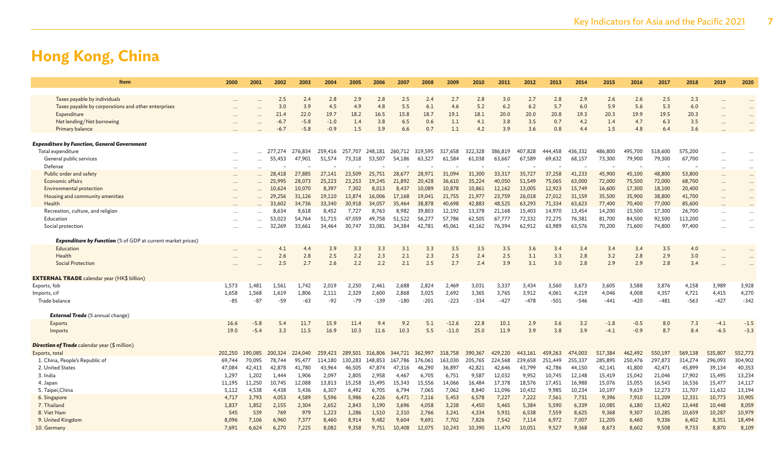| Item                                                               | 2000      | 2001      | 2002    | 2003    | 2004    | 2005                    | 2006    | 2007    | 2008    | 2009    | 2010    | 2011    | 2012    | 2013    | 2014    | 2015    | 2016    | 2017    | 2018    | 2019                 | 2020     |
|--------------------------------------------------------------------|-----------|-----------|---------|---------|---------|-------------------------|---------|---------|---------|---------|---------|---------|---------|---------|---------|---------|---------|---------|---------|----------------------|----------|
| Taxes payable by individuals                                       |           |           | 2.5     | 2.4     | 2.8     | 2.9                     | 2.8     | 2.5     | 2.4     | 2.7     | 2.8     | 3.0     | 2.7     | 2.8     | 2.9     | 2.6     | 2.6     | 2.5     | 2.3     |                      |          |
| Taxes payable by corporations and other enterprises                |           |           | 3.0     | 3.9     | 4.5     | 4.9                     | 4.8     | 5.5     | 6.1     | 4.6     | 5.2     | 6.2     | 6.2     | 5.7     | 6.0     | 5.9     | 5.6     | 5.3     | 6.0     |                      |          |
| Expenditure                                                        |           |           | 21.4    | 22.0    | 19.7    | 18.2                    | 16.5    | 15.8    | 18.7    | 19.1    | 18.1    | 20.0    | 20.0    | 20.8    | 19.3    | 20.3    | 19.9    | 19.5    | 20.3    | $\ddot{\phantom{a}}$ |          |
| Net lending/Net borrowing                                          |           |           | $-6.7$  | $-5.8$  | $-1.0$  | 1.4                     | 3.8     | 6.5     | 0.6     | 1.1     | 4.1     | 3.8     | 3.5     | 0.7     | 4.2     | 1.4     | 4.7     | 6.3     | 3.5     |                      |          |
| Primary balance                                                    |           |           | -6.7    | $-5.8$  | $-0.9$  | 1.5                     | 3.9     | 6.6     | 0.7     | 1.1     | 4.2     | 3.9     | 3.6     | 0.8     | 4.4     | 1.5     | 4.8     | 6.4     | 3.6     |                      |          |
|                                                                    |           |           |         |         |         |                         |         |         |         |         |         |         |         |         |         |         |         |         |         |                      |          |
| <b>Expenditure by Function, General Government</b>                 |           |           |         |         |         |                         |         |         |         |         |         |         |         |         |         |         |         |         |         |                      |          |
| Total expenditure                                                  |           |           | 277,274 | 276,834 | 259,416 | 257,707 248,181 260,712 |         |         | 319,595 | 317,658 | 322,328 | 386,819 | 407,828 | 444,458 | 436,332 | 486,800 | 495,700 | 518,600 | 575,200 |                      |          |
| General public services                                            | $\cdots$  | $\ddotsc$ | 55,453  | 47,901  | 51,574  | 73,318                  | 53,507  | 54,186  | 63,327  | 61,584  | 61,038  | 63,667  | 67,589  | 69,632  | 68,157  | 73,300  | 79,900  | 79,300  | 67,700  | $\ddotsc$            |          |
| Defense                                                            |           | $\cdots$  |         |         |         |                         |         |         |         |         |         |         |         |         |         |         |         |         |         |                      |          |
| Public order and safety                                            |           |           | 28,418  | 27,885  | 27,141  | 23,509                  | 25,751  | 28,677  | 28,971  | 31,094  | 31,300  | 33,317  | 35,727  | 37,258  | 41,233  | 45,900  | 45,100  | 48,800  | 53,800  |                      | $\cdots$ |
| Economic affairs                                                   | $\cdots$  |           | 25,995  | 28,073  | 25,223  | 23,253                  | 19,245  | 21,892  | 20,428  | 36,610  | 35,224  | 40,050  | 51,549  | 75,065  | 63,000  | 72,000  | 75,500  | 72,000  | 68,700  |                      |          |
| <b>Environmental protection</b>                                    |           |           | 10,624  | 10,070  | 8,397   | 7,302                   | 8.013   | 8,437   | 10,089  | 10,878  | 10,861  | 12,162  | 13,005  | 12,923  | 15,749  | 16,600  | 17,300  | 18,100  | 20,400  |                      |          |
| Housing and community amenities                                    |           |           | 29,256  | 31,126  | 19,110  | 13,874                  | 16,006  | 17,168  | 19,041  | 21,755  | 21,977  | 23,759  | 26,018  | 27,012  | 31,159  | 35,500  | 35,900  | 38,800  | 41,700  |                      |          |
| Health                                                             |           |           | 33,602  | 34,736  | 33,340  | 30,918                  | 34,057  | 35,464  | 38,878  | 40,698  | 42,883  | 48,525  | 63,293  | 71.334  | 63,623  | 77,400  | 70,400  | 77,000  | 85,600  | $\ddotsc$            |          |
| Recreation, culture, and religion                                  |           |           | 8,634   | 8,618   | 8,452   | 7,727                   | 8,763   | 8,982   | 39,803  | 12,192  | 13,378  | 21,168  | 15,403  | 14,970  | 13,454  | 14,200  | 15,500  | 17,300  | 26,700  |                      | $\cdots$ |
| Education                                                          |           |           | 53,023  | 54,764  | 51,715  | 47,059                  | 49,758  | 51,522  | 56,277  | 57,786  | 62,505  | 67,777  | 72,332  | 72,275  | 76,381  | 81,700  | 84,500  | 92,500  | 113,200 |                      |          |
| Social protection                                                  | $\ddotsc$ |           | 32,269  | 33,661  | 34,464  | 30.747                  | 33,081  | 34,384  | 42,781  | 45,061  | 43,162  | 76,394  | 62,912  | 63,989  | 63,576  | 70,200  | 71,600  | 74,800  | 97,400  | $\ddot{\phantom{a}}$ |          |
| <b>Expenditure by Function</b> (% of GDP at current market prices) |           |           |         |         |         |                         |         |         |         |         |         |         |         |         |         |         |         |         |         |                      |          |
| Education                                                          |           |           | 4.1     | 4.4     | 3.9     | 3.3                     | 3.3     | 3.1     | 3.3     | 3.5     | 3.5     | 3.5     | 3.6     | 3.4     | 3.4     | 3.4     | 3.4     | 3.5     | 4.0     |                      |          |
| Health                                                             |           |           | 2.6     | 2.8     | 2.5     | 2.2                     | 2.3     | 2.1     | 2.3     | 2.5     | 2.4     | 2.5     | 3.1     | 3.3     | 2.8     | 3.2     | 2.8     | 2.9     | 3.0     |                      |          |
| <b>Social Protection</b>                                           |           |           | 2.5     | 2.7     | 2.6     | 2.2                     | 2.2     | 2.1     | 2.5     | 2.7     | 2.4     | 3.9     | 3.1     | 3.0     | 2.8     | 2.9     | 2.9     | 2.8     | 3.4     |                      |          |
|                                                                    |           |           |         |         |         |                         |         |         |         |         |         |         |         |         |         |         |         |         |         |                      |          |
| <b>EXTERNAL TRADE</b> calendar year (HK\$ billion)                 |           |           |         |         |         |                         |         |         |         |         |         |         |         |         |         |         |         |         |         |                      |          |
| Exports, fob                                                       | 1,573     | 1.481     | 1.561   | 1,742   | 2,019   | 2,250                   | 2,461   | 2,688   | 2,824   | 2,469   | 3,031   | 3,337   | 3,434   | 3,560   | 3,673   | 3,605   | 3,588   | 3,876   | 4,158   | 3,989                | 3,928    |
| Imports, cif                                                       | 1,658     | 1.568     | 1.619   | 1,806   | 2,111   | 2.329                   | 2.600   | 2,868   | 3,025   | 2,692   | 3,365   | 3,765   | 3,912   | 4,061   | 4,219   | 4,046   | 4,008   | 4,357   | 4,721   | 4,415                | 4,270    |
| Trade balance                                                      | $-85$     | $-87$     | $-59$   | $-63$   | $-92$   | $-79$                   | $-139$  | $-180$  | $-201$  | $-223$  | $-334$  | $-427$  | $-478$  | $-501$  | $-546$  | $-441$  | $-420$  | $-481$  | $-563$  | $-427$               | $-342$   |
| <b>External Trade</b> (% annual change)                            |           |           |         |         |         |                         |         |         |         |         |         |         |         |         |         |         |         |         |         |                      |          |
| <b>Exports</b>                                                     | 16.6      | $-5.8$    | 5.4     | 11.7    | 15.9    | 11.4                    | 9.4     | 9.2     | 5.1     | $-12.6$ | 22.8    | 10.1    | 2.9     | 3.6     | 3.2     | $-1.8$  | $-0.5$  | 8.0     | 7.3     | $-4.1$               | $-1.5$   |
| Imports                                                            | 19.0      | $-5.4$    | 3.3     | 11.5    | 16.9    | 10.3                    | 11.6    | 10.3    | 5.5     | $-11.0$ | 25.0    | 11.9    | 3.9     | 3.8     | 3.9     | $-4.1$  | $-0.9$  | 8.7     | 8.4     | $-6.5$               | $-3.3$   |
|                                                                    |           |           |         |         |         |                         |         |         |         |         |         |         |         |         |         |         |         |         |         |                      |          |
| <b>Direction of Trade</b> calendar year (\$ million)               |           |           |         |         |         |                         |         |         |         |         |         |         |         |         |         |         |         |         |         |                      |          |
| Exports, total                                                     | 202,250   | 190,085   | 200,324 | 224,040 | 259,423 | 289,501                 | 316,806 | 344,721 | 362,997 | 318,758 | 390,367 | 429,220 | 443,161 | 459,263 | 474,003 | 517,384 | 462,492 | 550,197 | 569,138 | 535,807              | 552,773  |
| 1. China, People's Republic of                                     | 69,744    | 70,095    | 78,744  | 95,477  | 114,180 | 130,283                 | 148,853 | 167,786 | 176,061 | 163,030 | 205,765 | 224,568 | 239,658 | 251,449 | 255,337 | 285,895 | 250,476 | 297,873 | 314,274 | 296,093              | 304,902  |
| 2. United States                                                   | 47,084    | 42,413    | 42,878  | 41,780  | 43,964  | 46,505                  | 47,874  | 47,316  | 46,290  | 36,897  | 42,821  | 42,646  | 43,799  | 42,786  | 44,150  | 42,141  | 41,800  | 42,471  | 45,899  | 39,134               | 40,353   |
| 3. India                                                           | 1,297     | 1,202     | 1,444   | 1,906   | 2,097   | 2,805                   | 2,958   | 4,467   | 6,705   | 6,751   | 9,587   | 12,032  | 9,952   | 10,745  | 12,148  | 15,419  | 15,042  | 21,046  | 17,902  | 15,495               | 13,234   |
| 4. Japan                                                           | 11,195    | 11.250    | 10.745  | 12,088  | 13,813  | 15,258                  | 15.495  | 15.343  | 15,556  | 14,066  | 16,484  | 17,378  | 18,576  | 17.451  | 16,988  | 15,076  | 15,055  | 16,543  | 16,536  | 15,477               | 14,117   |
| 5. Taipei, China                                                   | 5,112     | 4,538     | 4,438   | 5,436   | 6,307   | 6,492                   | 6,705   | 6,794   | 7,065   | 7,062   | 8,840   | 11,096  | 10,432  | 9,985   | 10,234  | 10,197  | 9,619   | 12,273  | 11,707  | 11,632               | 13,194   |
| 6. Singapore                                                       | 4,717     | 3,793     | 4,053   | 4,589   | 5,596   | 5,986                   | 6,226   | 6,471   | 7,116   | 5,453   | 6,578   | 7,227   | 7,222   | 7,561   | 7,731   | 9,396   | 7,910   | 11,209  | 12,331  | 10,773               | 10,905   |
| 7. Thailand                                                        | 1,837     | 1,852     | 2,155   | 2,304   | 2,652   | 2,843                   | 3,190   | 3,696   | 4,058   | 3,238   | 4,450   | 5,465   | 5,384   | 5,590   | 6,339   | 10,085  | 6,180   | 13,402  | 13,448  | 10,448               | 8,059    |
| 8. Viet Nam                                                        | 545       | 539       | 769     | 979     | 1,223   | 1,286                   | 1,510   | 2,310   | 2,766   | 3,241   | 4,334   | 5,931   | 6,538   | 7,559   | 8,625   | 9,368   | 9,307   | 10,285  | 10,659  | 10,287               | 10,979   |
| 9. United Kingdom                                                  | 8,096     | 7,106     | 6,960   | 7,377   | 8,460   | 8,914                   | 9,482   | 9,604   | 9,691   | 7,702   | 7,826   | 7,542   | 7,114   | 6,972   | 7,007   | 11,205  | 6,460   | 9,336   | 6,402   | 8,351                | 18,494   |
| 10. Germany                                                        | 7,691     | 6,624     | 6,270   | 7,225   | 8,082   | 9,358                   | 9,751   | 10,408  | 12.075  | 10.243  | 10.390  | 11,470  | 10,051  | 9.527   | 9,368   | 8,673   | 8,602   | 9,508   | 9,733   | 8,870                | 8,109    |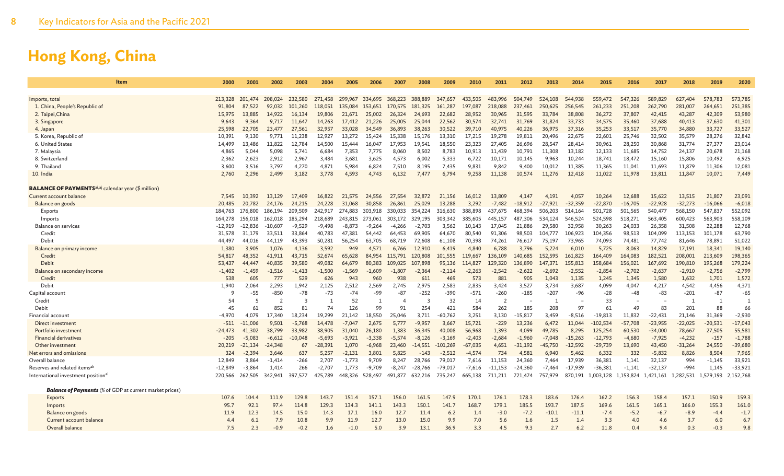| 2000   | 2001         | 2002                                                                                                                                                                                                                                                                                                                                                                                                                                                                                                                                                                   | 2003                                                                                                                                                                                                                                    | 2004                                                                                                                                                                                                                                         | 2005                                                                                                                                                                                                                                    | 2006                                                                                                                                                                                                                                      | 2007                                                                                                                                                                                                                               | 2008                                                                                                                                                                                                                          | 2009                                                                                                                                                                                                                               | 2010                                                                                                                                                                                                                                     | 2011                                                                                                                                                                                                                           | 2012                                                                                                                                                                                                                                                   | 2013                                                                                                                                                                                                                         | 2014                                                                                                                                                                                                                           | 2015                                                                                                                                                                                                                                      | 2016                                                                                                                                                                                                                                                                                | 2017                                                                                                                                                                                                                                                           | 2018                                                                                                                                                                                                                                                                | 2019                                                                                                                                                                                                                                                                                 | 2020                                                                                                                                                                                                                                                                                |
|--------|--------------|------------------------------------------------------------------------------------------------------------------------------------------------------------------------------------------------------------------------------------------------------------------------------------------------------------------------------------------------------------------------------------------------------------------------------------------------------------------------------------------------------------------------------------------------------------------------|-----------------------------------------------------------------------------------------------------------------------------------------------------------------------------------------------------------------------------------------|----------------------------------------------------------------------------------------------------------------------------------------------------------------------------------------------------------------------------------------------|-----------------------------------------------------------------------------------------------------------------------------------------------------------------------------------------------------------------------------------------|-------------------------------------------------------------------------------------------------------------------------------------------------------------------------------------------------------------------------------------------|------------------------------------------------------------------------------------------------------------------------------------------------------------------------------------------------------------------------------------|-------------------------------------------------------------------------------------------------------------------------------------------------------------------------------------------------------------------------------|------------------------------------------------------------------------------------------------------------------------------------------------------------------------------------------------------------------------------------|------------------------------------------------------------------------------------------------------------------------------------------------------------------------------------------------------------------------------------------|--------------------------------------------------------------------------------------------------------------------------------------------------------------------------------------------------------------------------------|--------------------------------------------------------------------------------------------------------------------------------------------------------------------------------------------------------------------------------------------------------|------------------------------------------------------------------------------------------------------------------------------------------------------------------------------------------------------------------------------|--------------------------------------------------------------------------------------------------------------------------------------------------------------------------------------------------------------------------------|-------------------------------------------------------------------------------------------------------------------------------------------------------------------------------------------------------------------------------------------|-------------------------------------------------------------------------------------------------------------------------------------------------------------------------------------------------------------------------------------------------------------------------------------|----------------------------------------------------------------------------------------------------------------------------------------------------------------------------------------------------------------------------------------------------------------|---------------------------------------------------------------------------------------------------------------------------------------------------------------------------------------------------------------------------------------------------------------------|--------------------------------------------------------------------------------------------------------------------------------------------------------------------------------------------------------------------------------------------------------------------------------------|-------------------------------------------------------------------------------------------------------------------------------------------------------------------------------------------------------------------------------------------------------------------------------------|
|        |              |                                                                                                                                                                                                                                                                                                                                                                                                                                                                                                                                                                        |                                                                                                                                                                                                                                         |                                                                                                                                                                                                                                              |                                                                                                                                                                                                                                         |                                                                                                                                                                                                                                           |                                                                                                                                                                                                                                    |                                                                                                                                                                                                                               |                                                                                                                                                                                                                                    |                                                                                                                                                                                                                                          |                                                                                                                                                                                                                                |                                                                                                                                                                                                                                                        |                                                                                                                                                                                                                              |                                                                                                                                                                                                                                |                                                                                                                                                                                                                                           |                                                                                                                                                                                                                                                                                     |                                                                                                                                                                                                                                                                |                                                                                                                                                                                                                                                                     |                                                                                                                                                                                                                                                                                      |                                                                                                                                                                                                                                                                                     |
|        |              |                                                                                                                                                                                                                                                                                                                                                                                                                                                                                                                                                                        |                                                                                                                                                                                                                                         |                                                                                                                                                                                                                                              |                                                                                                                                                                                                                                         |                                                                                                                                                                                                                                           |                                                                                                                                                                                                                                    |                                                                                                                                                                                                                               |                                                                                                                                                                                                                                    |                                                                                                                                                                                                                                          |                                                                                                                                                                                                                                |                                                                                                                                                                                                                                                        |                                                                                                                                                                                                                              |                                                                                                                                                                                                                                |                                                                                                                                                                                                                                           |                                                                                                                                                                                                                                                                                     |                                                                                                                                                                                                                                                                |                                                                                                                                                                                                                                                                     |                                                                                                                                                                                                                                                                                      | 573,785                                                                                                                                                                                                                                                                             |
|        |              |                                                                                                                                                                                                                                                                                                                                                                                                                                                                                                                                                                        |                                                                                                                                                                                                                                         |                                                                                                                                                                                                                                              |                                                                                                                                                                                                                                         |                                                                                                                                                                                                                                           |                                                                                                                                                                                                                                    |                                                                                                                                                                                                                               |                                                                                                                                                                                                                                    |                                                                                                                                                                                                                                          |                                                                                                                                                                                                                                |                                                                                                                                                                                                                                                        |                                                                                                                                                                                                                              |                                                                                                                                                                                                                                |                                                                                                                                                                                                                                           |                                                                                                                                                                                                                                                                                     |                                                                                                                                                                                                                                                                |                                                                                                                                                                                                                                                                     |                                                                                                                                                                                                                                                                                      | 251,385<br>53,980                                                                                                                                                                                                                                                                   |
|        |              |                                                                                                                                                                                                                                                                                                                                                                                                                                                                                                                                                                        |                                                                                                                                                                                                                                         |                                                                                                                                                                                                                                              |                                                                                                                                                                                                                                         |                                                                                                                                                                                                                                           |                                                                                                                                                                                                                                    |                                                                                                                                                                                                                               |                                                                                                                                                                                                                                    |                                                                                                                                                                                                                                          |                                                                                                                                                                                                                                |                                                                                                                                                                                                                                                        |                                                                                                                                                                                                                              |                                                                                                                                                                                                                                |                                                                                                                                                                                                                                           |                                                                                                                                                                                                                                                                                     |                                                                                                                                                                                                                                                                |                                                                                                                                                                                                                                                                     |                                                                                                                                                                                                                                                                                      | 41,301                                                                                                                                                                                                                                                                              |
|        |              |                                                                                                                                                                                                                                                                                                                                                                                                                                                                                                                                                                        |                                                                                                                                                                                                                                         |                                                                                                                                                                                                                                              |                                                                                                                                                                                                                                         |                                                                                                                                                                                                                                           |                                                                                                                                                                                                                                    |                                                                                                                                                                                                                               |                                                                                                                                                                                                                                    |                                                                                                                                                                                                                                          |                                                                                                                                                                                                                                |                                                                                                                                                                                                                                                        |                                                                                                                                                                                                                              |                                                                                                                                                                                                                                |                                                                                                                                                                                                                                           |                                                                                                                                                                                                                                                                                     |                                                                                                                                                                                                                                                                |                                                                                                                                                                                                                                                                     |                                                                                                                                                                                                                                                                                      | 33,527                                                                                                                                                                                                                                                                              |
|        |              |                                                                                                                                                                                                                                                                                                                                                                                                                                                                                                                                                                        |                                                                                                                                                                                                                                         |                                                                                                                                                                                                                                              |                                                                                                                                                                                                                                         |                                                                                                                                                                                                                                           |                                                                                                                                                                                                                                    |                                                                                                                                                                                                                               |                                                                                                                                                                                                                                    |                                                                                                                                                                                                                                          |                                                                                                                                                                                                                                |                                                                                                                                                                                                                                                        |                                                                                                                                                                                                                              |                                                                                                                                                                                                                                |                                                                                                                                                                                                                                           |                                                                                                                                                                                                                                                                                     |                                                                                                                                                                                                                                                                |                                                                                                                                                                                                                                                                     |                                                                                                                                                                                                                                                                                      | 32,842                                                                                                                                                                                                                                                                              |
|        |              |                                                                                                                                                                                                                                                                                                                                                                                                                                                                                                                                                                        |                                                                                                                                                                                                                                         |                                                                                                                                                                                                                                              |                                                                                                                                                                                                                                         |                                                                                                                                                                                                                                           |                                                                                                                                                                                                                                    |                                                                                                                                                                                                                               |                                                                                                                                                                                                                                    |                                                                                                                                                                                                                                          |                                                                                                                                                                                                                                |                                                                                                                                                                                                                                                        |                                                                                                                                                                                                                              |                                                                                                                                                                                                                                |                                                                                                                                                                                                                                           |                                                                                                                                                                                                                                                                                     |                                                                                                                                                                                                                                                                |                                                                                                                                                                                                                                                                     |                                                                                                                                                                                                                                                                                      | 23,014                                                                                                                                                                                                                                                                              |
|        |              |                                                                                                                                                                                                                                                                                                                                                                                                                                                                                                                                                                        |                                                                                                                                                                                                                                         |                                                                                                                                                                                                                                              |                                                                                                                                                                                                                                         |                                                                                                                                                                                                                                           |                                                                                                                                                                                                                                    |                                                                                                                                                                                                                               |                                                                                                                                                                                                                                    |                                                                                                                                                                                                                                          |                                                                                                                                                                                                                                |                                                                                                                                                                                                                                                        |                                                                                                                                                                                                                              |                                                                                                                                                                                                                                |                                                                                                                                                                                                                                           |                                                                                                                                                                                                                                                                                     |                                                                                                                                                                                                                                                                |                                                                                                                                                                                                                                                                     |                                                                                                                                                                                                                                                                                      | 21,168                                                                                                                                                                                                                                                                              |
|        |              |                                                                                                                                                                                                                                                                                                                                                                                                                                                                                                                                                                        |                                                                                                                                                                                                                                         |                                                                                                                                                                                                                                              |                                                                                                                                                                                                                                         |                                                                                                                                                                                                                                           |                                                                                                                                                                                                                                    |                                                                                                                                                                                                                               |                                                                                                                                                                                                                                    |                                                                                                                                                                                                                                          |                                                                                                                                                                                                                                | 10.145                                                                                                                                                                                                                                                 |                                                                                                                                                                                                                              |                                                                                                                                                                                                                                |                                                                                                                                                                                                                                           |                                                                                                                                                                                                                                                                                     |                                                                                                                                                                                                                                                                |                                                                                                                                                                                                                                                                     |                                                                                                                                                                                                                                                                                      | 6,925                                                                                                                                                                                                                                                                               |
|        | 3,516        | 3,797                                                                                                                                                                                                                                                                                                                                                                                                                                                                                                                                                                  | 4,270                                                                                                                                                                                                                                   |                                                                                                                                                                                                                                              | 5,984                                                                                                                                                                                                                                   | 6,824                                                                                                                                                                                                                                     | 7,510                                                                                                                                                                                                                              | 8,195                                                                                                                                                                                                                         | 7,435                                                                                                                                                                                                                              | 9,831                                                                                                                                                                                                                                    |                                                                                                                                                                                                                                | 9,400                                                                                                                                                                                                                                                  | 10,012                                                                                                                                                                                                                       |                                                                                                                                                                                                                                |                                                                                                                                                                                                                                           |                                                                                                                                                                                                                                                                                     |                                                                                                                                                                                                                                                                |                                                                                                                                                                                                                                                                     |                                                                                                                                                                                                                                                                                      | 12,081                                                                                                                                                                                                                                                                              |
| 2,760  | 2,296        | 2,499                                                                                                                                                                                                                                                                                                                                                                                                                                                                                                                                                                  | 3,182                                                                                                                                                                                                                                   | 3,778                                                                                                                                                                                                                                        | 4,593                                                                                                                                                                                                                                   | 4.743                                                                                                                                                                                                                                     | 6,132                                                                                                                                                                                                                              | 7.477                                                                                                                                                                                                                         | 6,794                                                                                                                                                                                                                              | 9,258                                                                                                                                                                                                                                    | 11,138                                                                                                                                                                                                                         | 10,574                                                                                                                                                                                                                                                 | 11,276                                                                                                                                                                                                                       | 12,418                                                                                                                                                                                                                         | 11,022                                                                                                                                                                                                                                    | 11,978                                                                                                                                                                                                                                                                              | 13,811                                                                                                                                                                                                                                                         | 11,847                                                                                                                                                                                                                                                              | 10,071                                                                                                                                                                                                                                                                               | 7,449                                                                                                                                                                                                                                                                               |
|        |              |                                                                                                                                                                                                                                                                                                                                                                                                                                                                                                                                                                        |                                                                                                                                                                                                                                         |                                                                                                                                                                                                                                              |                                                                                                                                                                                                                                         |                                                                                                                                                                                                                                           |                                                                                                                                                                                                                                    |                                                                                                                                                                                                                               |                                                                                                                                                                                                                                    |                                                                                                                                                                                                                                          |                                                                                                                                                                                                                                |                                                                                                                                                                                                                                                        |                                                                                                                                                                                                                              |                                                                                                                                                                                                                                |                                                                                                                                                                                                                                           |                                                                                                                                                                                                                                                                                     |                                                                                                                                                                                                                                                                |                                                                                                                                                                                                                                                                     |                                                                                                                                                                                                                                                                                      |                                                                                                                                                                                                                                                                                     |
|        | 10.392       | 13,129                                                                                                                                                                                                                                                                                                                                                                                                                                                                                                                                                                 | 17,409                                                                                                                                                                                                                                  | 16,822                                                                                                                                                                                                                                       | 21.575                                                                                                                                                                                                                                  | 24,556                                                                                                                                                                                                                                    | 27,554                                                                                                                                                                                                                             | 32,872                                                                                                                                                                                                                        | 21.156                                                                                                                                                                                                                             | 16,012                                                                                                                                                                                                                                   | 13,809                                                                                                                                                                                                                         | 4,147                                                                                                                                                                                                                                                  | 4.191                                                                                                                                                                                                                        | 4,057                                                                                                                                                                                                                          | 10,264                                                                                                                                                                                                                                    | 12,688                                                                                                                                                                                                                                                                              | 15.622                                                                                                                                                                                                                                                         | 13,515                                                                                                                                                                                                                                                              | 21,807                                                                                                                                                                                                                                                                               | 23,091                                                                                                                                                                                                                                                                              |
|        | 20,782       | 24,176                                                                                                                                                                                                                                                                                                                                                                                                                                                                                                                                                                 | 24,215                                                                                                                                                                                                                                  | 24,228                                                                                                                                                                                                                                       | 31,068                                                                                                                                                                                                                                  | 30,858                                                                                                                                                                                                                                    | 26,861                                                                                                                                                                                                                             | 25,029                                                                                                                                                                                                                        | 13,288                                                                                                                                                                                                                             | 3,292                                                                                                                                                                                                                                    | $-7,482$                                                                                                                                                                                                                       | $-18,912$                                                                                                                                                                                                                                              | $-27,921$                                                                                                                                                                                                                    | $-32,359$                                                                                                                                                                                                                      | $-22,870$                                                                                                                                                                                                                                 | $-16,705$                                                                                                                                                                                                                                                                           | $-22,928$                                                                                                                                                                                                                                                      | $-32,273$                                                                                                                                                                                                                                                           | $-16,066$                                                                                                                                                                                                                                                                            | $-6,018$                                                                                                                                                                                                                                                                            |
|        | 176,800      | 186,194                                                                                                                                                                                                                                                                                                                                                                                                                                                                                                                                                                | 209,509                                                                                                                                                                                                                                 | 242,917                                                                                                                                                                                                                                      | 274,883                                                                                                                                                                                                                                 | 303,918                                                                                                                                                                                                                                   | 330,033                                                                                                                                                                                                                            | 354,224                                                                                                                                                                                                                       | 316,630                                                                                                                                                                                                                            | 388,898                                                                                                                                                                                                                                  | 437,675                                                                                                                                                                                                                        | 468,394                                                                                                                                                                                                                                                | 506,203                                                                                                                                                                                                                      | 514,164                                                                                                                                                                                                                        | 501,728                                                                                                                                                                                                                                   | 501,565                                                                                                                                                                                                                                                                             | 540,477                                                                                                                                                                                                                                                        | 568,150                                                                                                                                                                                                                                                             | 547,837                                                                                                                                                                                                                                                                              | 552,092                                                                                                                                                                                                                                                                             |
|        | 156.018      | 162,018                                                                                                                                                                                                                                                                                                                                                                                                                                                                                                                                                                | 185,294                                                                                                                                                                                                                                 | 218,689                                                                                                                                                                                                                                      | 243,815                                                                                                                                                                                                                                 | 273,061                                                                                                                                                                                                                                   | 303,172                                                                                                                                                                                                                            | 329,195                                                                                                                                                                                                                       | 303,342                                                                                                                                                                                                                            | 385,605                                                                                                                                                                                                                                  | 445,157                                                                                                                                                                                                                        | 487,306                                                                                                                                                                                                                                                | 534,124                                                                                                                                                                                                                      | 546,524                                                                                                                                                                                                                        | 524,598                                                                                                                                                                                                                                   | 518,271                                                                                                                                                                                                                                                                             | 563,405                                                                                                                                                                                                                                                        | 600,423                                                                                                                                                                                                                                                             | 563,903                                                                                                                                                                                                                                                                              | 558,109                                                                                                                                                                                                                                                                             |
|        | $-12,836$    | $-10,607$                                                                                                                                                                                                                                                                                                                                                                                                                                                                                                                                                              | $-9,529$                                                                                                                                                                                                                                | $-9,498$                                                                                                                                                                                                                                     | $-8,873$                                                                                                                                                                                                                                | $-9,264$                                                                                                                                                                                                                                  | -4,266                                                                                                                                                                                                                             | $-2,703$                                                                                                                                                                                                                      | 3,562                                                                                                                                                                                                                              | 10,143                                                                                                                                                                                                                                   | 17,045                                                                                                                                                                                                                         | 21,886                                                                                                                                                                                                                                                 | 29,580                                                                                                                                                                                                                       | 32,958                                                                                                                                                                                                                         | 30,263                                                                                                                                                                                                                                    | 24,033                                                                                                                                                                                                                                                                              |                                                                                                                                                                                                                                                                | 31,508                                                                                                                                                                                                                                                              | 22,288                                                                                                                                                                                                                                                                               | 12,768                                                                                                                                                                                                                                                                              |
|        | 31,179       | 33,511                                                                                                                                                                                                                                                                                                                                                                                                                                                                                                                                                                 | 33,864                                                                                                                                                                                                                                  |                                                                                                                                                                                                                                              |                                                                                                                                                                                                                                         |                                                                                                                                                                                                                                           |                                                                                                                                                                                                                                    | 69,905                                                                                                                                                                                                                        |                                                                                                                                                                                                                                    | 80,540                                                                                                                                                                                                                                   |                                                                                                                                                                                                                                |                                                                                                                                                                                                                                                        | 104,777                                                                                                                                                                                                                      |                                                                                                                                                                                                                                |                                                                                                                                                                                                                                           |                                                                                                                                                                                                                                                                                     |                                                                                                                                                                                                                                                                |                                                                                                                                                                                                                                                                     |                                                                                                                                                                                                                                                                                      | 63,790                                                                                                                                                                                                                                                                              |
|        |              |                                                                                                                                                                                                                                                                                                                                                                                                                                                                                                                                                                        |                                                                                                                                                                                                                                         |                                                                                                                                                                                                                                              |                                                                                                                                                                                                                                         |                                                                                                                                                                                                                                           |                                                                                                                                                                                                                                    |                                                                                                                                                                                                                               |                                                                                                                                                                                                                                    |                                                                                                                                                                                                                                          |                                                                                                                                                                                                                                |                                                                                                                                                                                                                                                        |                                                                                                                                                                                                                              |                                                                                                                                                                                                                                |                                                                                                                                                                                                                                           |                                                                                                                                                                                                                                                                                     |                                                                                                                                                                                                                                                                |                                                                                                                                                                                                                                                                     |                                                                                                                                                                                                                                                                                      | 51,022                                                                                                                                                                                                                                                                              |
|        |              |                                                                                                                                                                                                                                                                                                                                                                                                                                                                                                                                                                        |                                                                                                                                                                                                                                         |                                                                                                                                                                                                                                              |                                                                                                                                                                                                                                         |                                                                                                                                                                                                                                           |                                                                                                                                                                                                                                    |                                                                                                                                                                                                                               |                                                                                                                                                                                                                                    |                                                                                                                                                                                                                                          |                                                                                                                                                                                                                                |                                                                                                                                                                                                                                                        |                                                                                                                                                                                                                              |                                                                                                                                                                                                                                |                                                                                                                                                                                                                                           |                                                                                                                                                                                                                                                                                     |                                                                                                                                                                                                                                                                |                                                                                                                                                                                                                                                                     |                                                                                                                                                                                                                                                                                      | 19,140                                                                                                                                                                                                                                                                              |
|        |              |                                                                                                                                                                                                                                                                                                                                                                                                                                                                                                                                                                        |                                                                                                                                                                                                                                         |                                                                                                                                                                                                                                              |                                                                                                                                                                                                                                         |                                                                                                                                                                                                                                           |                                                                                                                                                                                                                                    |                                                                                                                                                                                                                               |                                                                                                                                                                                                                                    |                                                                                                                                                                                                                                          |                                                                                                                                                                                                                                |                                                                                                                                                                                                                                                        |                                                                                                                                                                                                                              |                                                                                                                                                                                                                                |                                                                                                                                                                                                                                           |                                                                                                                                                                                                                                                                                     |                                                                                                                                                                                                                                                                |                                                                                                                                                                                                                                                                     |                                                                                                                                                                                                                                                                                      | 198,365                                                                                                                                                                                                                                                                             |
|        |              |                                                                                                                                                                                                                                                                                                                                                                                                                                                                                                                                                                        |                                                                                                                                                                                                                                         |                                                                                                                                                                                                                                              |                                                                                                                                                                                                                                         |                                                                                                                                                                                                                                           |                                                                                                                                                                                                                                    |                                                                                                                                                                                                                               |                                                                                                                                                                                                                                    |                                                                                                                                                                                                                                          |                                                                                                                                                                                                                                |                                                                                                                                                                                                                                                        |                                                                                                                                                                                                                              |                                                                                                                                                                                                                                |                                                                                                                                                                                                                                           |                                                                                                                                                                                                                                                                                     |                                                                                                                                                                                                                                                                |                                                                                                                                                                                                                                                                     |                                                                                                                                                                                                                                                                                      | 179,224                                                                                                                                                                                                                                                                             |
|        |              |                                                                                                                                                                                                                                                                                                                                                                                                                                                                                                                                                                        |                                                                                                                                                                                                                                         |                                                                                                                                                                                                                                              |                                                                                                                                                                                                                                         |                                                                                                                                                                                                                                           |                                                                                                                                                                                                                                    |                                                                                                                                                                                                                               |                                                                                                                                                                                                                                    |                                                                                                                                                                                                                                          |                                                                                                                                                                                                                                |                                                                                                                                                                                                                                                        |                                                                                                                                                                                                                              |                                                                                                                                                                                                                                |                                                                                                                                                                                                                                           |                                                                                                                                                                                                                                                                                     |                                                                                                                                                                                                                                                                |                                                                                                                                                                                                                                                                     |                                                                                                                                                                                                                                                                                      | $-2,799$<br>1,572                                                                                                                                                                                                                                                                   |
|        |              |                                                                                                                                                                                                                                                                                                                                                                                                                                                                                                                                                                        |                                                                                                                                                                                                                                         |                                                                                                                                                                                                                                              |                                                                                                                                                                                                                                         |                                                                                                                                                                                                                                           |                                                                                                                                                                                                                                    |                                                                                                                                                                                                                               |                                                                                                                                                                                                                                    |                                                                                                                                                                                                                                          |                                                                                                                                                                                                                                |                                                                                                                                                                                                                                                        |                                                                                                                                                                                                                              |                                                                                                                                                                                                                                |                                                                                                                                                                                                                                           |                                                                                                                                                                                                                                                                                     |                                                                                                                                                                                                                                                                |                                                                                                                                                                                                                                                                     |                                                                                                                                                                                                                                                                                      |                                                                                                                                                                                                                                                                                     |
|        |              |                                                                                                                                                                                                                                                                                                                                                                                                                                                                                                                                                                        |                                                                                                                                                                                                                                         |                                                                                                                                                                                                                                              |                                                                                                                                                                                                                                         |                                                                                                                                                                                                                                           |                                                                                                                                                                                                                                    |                                                                                                                                                                                                                               |                                                                                                                                                                                                                                    |                                                                                                                                                                                                                                          |                                                                                                                                                                                                                                |                                                                                                                                                                                                                                                        |                                                                                                                                                                                                                              |                                                                                                                                                                                                                                |                                                                                                                                                                                                                                           |                                                                                                                                                                                                                                                                                     |                                                                                                                                                                                                                                                                |                                                                                                                                                                                                                                                                     |                                                                                                                                                                                                                                                                                      | 4,371<br>$-65$                                                                                                                                                                                                                                                                      |
|        |              |                                                                                                                                                                                                                                                                                                                                                                                                                                                                                                                                                                        |                                                                                                                                                                                                                                         |                                                                                                                                                                                                                                              |                                                                                                                                                                                                                                         |                                                                                                                                                                                                                                           |                                                                                                                                                                                                                                    |                                                                                                                                                                                                                               |                                                                                                                                                                                                                                    |                                                                                                                                                                                                                                          |                                                                                                                                                                                                                                |                                                                                                                                                                                                                                                        |                                                                                                                                                                                                                              |                                                                                                                                                                                                                                |                                                                                                                                                                                                                                           |                                                                                                                                                                                                                                                                                     |                                                                                                                                                                                                                                                                |                                                                                                                                                                                                                                                                     |                                                                                                                                                                                                                                                                                      | $\overline{1}$                                                                                                                                                                                                                                                                      |
|        |              |                                                                                                                                                                                                                                                                                                                                                                                                                                                                                                                                                                        |                                                                                                                                                                                                                                         |                                                                                                                                                                                                                                              |                                                                                                                                                                                                                                         |                                                                                                                                                                                                                                           |                                                                                                                                                                                                                                    |                                                                                                                                                                                                                               |                                                                                                                                                                                                                                    |                                                                                                                                                                                                                                          |                                                                                                                                                                                                                                |                                                                                                                                                                                                                                                        |                                                                                                                                                                                                                              |                                                                                                                                                                                                                                |                                                                                                                                                                                                                                           |                                                                                                                                                                                                                                                                                     |                                                                                                                                                                                                                                                                |                                                                                                                                                                                                                                                                     |                                                                                                                                                                                                                                                                                      | 66                                                                                                                                                                                                                                                                                  |
|        |              |                                                                                                                                                                                                                                                                                                                                                                                                                                                                                                                                                                        |                                                                                                                                                                                                                                         |                                                                                                                                                                                                                                              |                                                                                                                                                                                                                                         |                                                                                                                                                                                                                                           |                                                                                                                                                                                                                                    |                                                                                                                                                                                                                               |                                                                                                                                                                                                                                    |                                                                                                                                                                                                                                          |                                                                                                                                                                                                                                |                                                                                                                                                                                                                                                        |                                                                                                                                                                                                                              |                                                                                                                                                                                                                                |                                                                                                                                                                                                                                           |                                                                                                                                                                                                                                                                                     |                                                                                                                                                                                                                                                                |                                                                                                                                                                                                                                                                     |                                                                                                                                                                                                                                                                                      | $-2,930$                                                                                                                                                                                                                                                                            |
|        | $-11.006$    |                                                                                                                                                                                                                                                                                                                                                                                                                                                                                                                                                                        |                                                                                                                                                                                                                                         |                                                                                                                                                                                                                                              |                                                                                                                                                                                                                                         |                                                                                                                                                                                                                                           |                                                                                                                                                                                                                                    |                                                                                                                                                                                                                               |                                                                                                                                                                                                                                    |                                                                                                                                                                                                                                          |                                                                                                                                                                                                                                |                                                                                                                                                                                                                                                        |                                                                                                                                                                                                                              |                                                                                                                                                                                                                                |                                                                                                                                                                                                                                           |                                                                                                                                                                                                                                                                                     |                                                                                                                                                                                                                                                                |                                                                                                                                                                                                                                                                     |                                                                                                                                                                                                                                                                                      | $-17,043$                                                                                                                                                                                                                                                                           |
|        |              |                                                                                                                                                                                                                                                                                                                                                                                                                                                                                                                                                                        |                                                                                                                                                                                                                                         |                                                                                                                                                                                                                                              |                                                                                                                                                                                                                                         |                                                                                                                                                                                                                                           |                                                                                                                                                                                                                                    |                                                                                                                                                                                                                               |                                                                                                                                                                                                                                    |                                                                                                                                                                                                                                          |                                                                                                                                                                                                                                |                                                                                                                                                                                                                                                        |                                                                                                                                                                                                                              |                                                                                                                                                                                                                                |                                                                                                                                                                                                                                           |                                                                                                                                                                                                                                                                                     |                                                                                                                                                                                                                                                                |                                                                                                                                                                                                                                                                     |                                                                                                                                                                                                                                                                                      | 55,581                                                                                                                                                                                                                                                                              |
| $-205$ | $-5,083$     | $-6,612$                                                                                                                                                                                                                                                                                                                                                                                                                                                                                                                                                               | $-10,048$                                                                                                                                                                                                                               | $-5,693$                                                                                                                                                                                                                                     | $-3.921$                                                                                                                                                                                                                                | $-3.338$                                                                                                                                                                                                                                  | $-5.574$                                                                                                                                                                                                                           | $-8,126$                                                                                                                                                                                                                      | $-3,169$                                                                                                                                                                                                                           | $-2,403$                                                                                                                                                                                                                                 | $-2,684$                                                                                                                                                                                                                       | $-1,960$                                                                                                                                                                                                                                               | $-7.048$                                                                                                                                                                                                                     | $-15,263$                                                                                                                                                                                                                      | $-12,793$                                                                                                                                                                                                                                 | $-4,680$                                                                                                                                                                                                                                                                            | $-7,925$                                                                                                                                                                                                                                                       | $-4,232$                                                                                                                                                                                                                                                            | $-157$                                                                                                                                                                                                                                                                               | $-1,788$                                                                                                                                                                                                                                                                            |
|        | $-21.134$    | $-24.348$                                                                                                                                                                                                                                                                                                                                                                                                                                                                                                                                                              | 67                                                                                                                                                                                                                                      | $-28,391$                                                                                                                                                                                                                                    | 1,070                                                                                                                                                                                                                                   | $-6.968$                                                                                                                                                                                                                                  | 23,460                                                                                                                                                                                                                             | $-14.551$                                                                                                                                                                                                                     | $-101,269$                                                                                                                                                                                                                         | $-67.035$                                                                                                                                                                                                                                | 4,651                                                                                                                                                                                                                          | $-31.192$                                                                                                                                                                                                                                              | $-45.750$                                                                                                                                                                                                                    | $-12,592$                                                                                                                                                                                                                      | $-29,739$                                                                                                                                                                                                                                 | 13,690                                                                                                                                                                                                                                                                              | 43,450                                                                                                                                                                                                                                                         | $-31,264$                                                                                                                                                                                                                                                           | 24,550                                                                                                                                                                                                                                                                               | $-39,680$                                                                                                                                                                                                                                                                           |
|        | $-2,394$     | 3,646                                                                                                                                                                                                                                                                                                                                                                                                                                                                                                                                                                  | 637                                                                                                                                                                                                                                     | 5,257                                                                                                                                                                                                                                        | $-2,131$                                                                                                                                                                                                                                | 3,801                                                                                                                                                                                                                                     | 5,825                                                                                                                                                                                                                              | -143                                                                                                                                                                                                                          | $-2,512$                                                                                                                                                                                                                           | $-4,574$                                                                                                                                                                                                                                 | 734                                                                                                                                                                                                                            | 4,581                                                                                                                                                                                                                                                  | 6,940                                                                                                                                                                                                                        | 5,462                                                                                                                                                                                                                          | 6,332                                                                                                                                                                                                                                     | 332                                                                                                                                                                                                                                                                                 | $-5,832$                                                                                                                                                                                                                                                       | 8,826                                                                                                                                                                                                                                                               | 8,504                                                                                                                                                                                                                                                                                | 7,965                                                                                                                                                                                                                                                                               |
|        | 3,864        | -1,414                                                                                                                                                                                                                                                                                                                                                                                                                                                                                                                                                                 | -266                                                                                                                                                                                                                                    | 2,707                                                                                                                                                                                                                                        | $-1,773$                                                                                                                                                                                                                                | 9,709                                                                                                                                                                                                                                     | 8,247                                                                                                                                                                                                                              | 28,766                                                                                                                                                                                                                        | 79,017                                                                                                                                                                                                                             | 7,616                                                                                                                                                                                                                                    | 11,153                                                                                                                                                                                                                         | 24,360                                                                                                                                                                                                                                                 | 7,464                                                                                                                                                                                                                        | 17,939                                                                                                                                                                                                                         | 36,381                                                                                                                                                                                                                                    | 1,141                                                                                                                                                                                                                                                                               | 32,137                                                                                                                                                                                                                                                         | 994                                                                                                                                                                                                                                                                 | $-1,145$                                                                                                                                                                                                                                                                             | 33,921                                                                                                                                                                                                                                                                              |
|        | $-3.864$     | 1.414                                                                                                                                                                                                                                                                                                                                                                                                                                                                                                                                                                  | 266                                                                                                                                                                                                                                     | $-2.707$                                                                                                                                                                                                                                     | 1.773                                                                                                                                                                                                                                   | $-9.709$                                                                                                                                                                                                                                  | -8.247                                                                                                                                                                                                                             | $-28,766$                                                                                                                                                                                                                     | $-79.017$                                                                                                                                                                                                                          | $-7,616$                                                                                                                                                                                                                                 | $-11.153$                                                                                                                                                                                                                      | $-24.360$                                                                                                                                                                                                                                              | $-7.464$                                                                                                                                                                                                                     | $-17.939$                                                                                                                                                                                                                      | $-36,381$                                                                                                                                                                                                                                 | $-1,141$                                                                                                                                                                                                                                                                            | $-32.137$                                                                                                                                                                                                                                                      | $-994$                                                                                                                                                                                                                                                              | 1.145                                                                                                                                                                                                                                                                                | $-33.921$                                                                                                                                                                                                                                                                           |
|        | 262,505      | 342,941                                                                                                                                                                                                                                                                                                                                                                                                                                                                                                                                                                | 397,577                                                                                                                                                                                                                                 | 425,789                                                                                                                                                                                                                                      | 448,326                                                                                                                                                                                                                                 | 528,497                                                                                                                                                                                                                                   | 491,877                                                                                                                                                                                                                            | 632,216                                                                                                                                                                                                                       | 735,247                                                                                                                                                                                                                            | 665,138                                                                                                                                                                                                                                  | 711,211                                                                                                                                                                                                                        | 721,474                                                                                                                                                                                                                                                | 757,979                                                                                                                                                                                                                      |                                                                                                                                                                                                                                |                                                                                                                                                                                                                                           |                                                                                                                                                                                                                                                                                     | 1,421,161                                                                                                                                                                                                                                                      |                                                                                                                                                                                                                                                                     |                                                                                                                                                                                                                                                                                      | 2,152,768                                                                                                                                                                                                                                                                           |
|        |              |                                                                                                                                                                                                                                                                                                                                                                                                                                                                                                                                                                        |                                                                                                                                                                                                                                         |                                                                                                                                                                                                                                              |                                                                                                                                                                                                                                         |                                                                                                                                                                                                                                           |                                                                                                                                                                                                                                    |                                                                                                                                                                                                                               |                                                                                                                                                                                                                                    |                                                                                                                                                                                                                                          |                                                                                                                                                                                                                                |                                                                                                                                                                                                                                                        |                                                                                                                                                                                                                              |                                                                                                                                                                                                                                |                                                                                                                                                                                                                                           |                                                                                                                                                                                                                                                                                     |                                                                                                                                                                                                                                                                |                                                                                                                                                                                                                                                                     |                                                                                                                                                                                                                                                                                      |                                                                                                                                                                                                                                                                                     |
|        | 104.4        | 111.9                                                                                                                                                                                                                                                                                                                                                                                                                                                                                                                                                                  | 129.8                                                                                                                                                                                                                                   | 143.7                                                                                                                                                                                                                                        | 151.4                                                                                                                                                                                                                                   | 157.1                                                                                                                                                                                                                                     | 156.0                                                                                                                                                                                                                              | 161.5                                                                                                                                                                                                                         | 147.9                                                                                                                                                                                                                              | 170.1                                                                                                                                                                                                                                    | 176.1                                                                                                                                                                                                                          | 178.3                                                                                                                                                                                                                                                  | 183.6                                                                                                                                                                                                                        | 176.4                                                                                                                                                                                                                          | 162.2                                                                                                                                                                                                                                     | 156.3                                                                                                                                                                                                                                                                               | 158.4                                                                                                                                                                                                                                                          | 157.1                                                                                                                                                                                                                                                               | 150.9                                                                                                                                                                                                                                                                                | 159.3                                                                                                                                                                                                                                                                               |
| 95.7   | 92.1         | 97.4                                                                                                                                                                                                                                                                                                                                                                                                                                                                                                                                                                   | 114.8                                                                                                                                                                                                                                   | 129.3                                                                                                                                                                                                                                        | 134.3                                                                                                                                                                                                                                   | 141.1                                                                                                                                                                                                                                     | 143.3                                                                                                                                                                                                                              | 150.1                                                                                                                                                                                                                         | 141.7                                                                                                                                                                                                                              | 168.7                                                                                                                                                                                                                                    | 179.1                                                                                                                                                                                                                          | 185.5                                                                                                                                                                                                                                                  | 193.7                                                                                                                                                                                                                        | 187.5                                                                                                                                                                                                                          | 169.6                                                                                                                                                                                                                                     | 161.5                                                                                                                                                                                                                                                                               | 165.1                                                                                                                                                                                                                                                          | 166.0                                                                                                                                                                                                                                                               | 155.3                                                                                                                                                                                                                                                                                | 161.0                                                                                                                                                                                                                                                                               |
| 11.9   |              | 14.5                                                                                                                                                                                                                                                                                                                                                                                                                                                                                                                                                                   | 15.0                                                                                                                                                                                                                                    | 14.3                                                                                                                                                                                                                                         | 17.1                                                                                                                                                                                                                                    | 16.0                                                                                                                                                                                                                                      | 12.7                                                                                                                                                                                                                               | 11.4                                                                                                                                                                                                                          | 6.2                                                                                                                                                                                                                                | 1.4                                                                                                                                                                                                                                      | $-3.0$                                                                                                                                                                                                                         | $-7.2$                                                                                                                                                                                                                                                 | $-10.1$                                                                                                                                                                                                                      | $-11.1$                                                                                                                                                                                                                        | $-7.4$                                                                                                                                                                                                                                    | $-5.2$                                                                                                                                                                                                                                                                              | $-6.7$                                                                                                                                                                                                                                                         | $-8.9$                                                                                                                                                                                                                                                              | $-4.4$                                                                                                                                                                                                                                                                               | $-1.7$                                                                                                                                                                                                                                                                              |
|        |              |                                                                                                                                                                                                                                                                                                                                                                                                                                                                                                                                                                        |                                                                                                                                                                                                                                         |                                                                                                                                                                                                                                              |                                                                                                                                                                                                                                         |                                                                                                                                                                                                                                           |                                                                                                                                                                                                                                    |                                                                                                                                                                                                                               |                                                                                                                                                                                                                                    |                                                                                                                                                                                                                                          | 5.6                                                                                                                                                                                                                            |                                                                                                                                                                                                                                                        |                                                                                                                                                                                                                              | 1.4                                                                                                                                                                                                                            |                                                                                                                                                                                                                                           |                                                                                                                                                                                                                                                                                     |                                                                                                                                                                                                                                                                |                                                                                                                                                                                                                                                                     |                                                                                                                                                                                                                                                                                      | 6.7                                                                                                                                                                                                                                                                                 |
|        |              |                                                                                                                                                                                                                                                                                                                                                                                                                                                                                                                                                                        |                                                                                                                                                                                                                                         |                                                                                                                                                                                                                                              |                                                                                                                                                                                                                                         |                                                                                                                                                                                                                                           |                                                                                                                                                                                                                                    |                                                                                                                                                                                                                               |                                                                                                                                                                                                                                    |                                                                                                                                                                                                                                          |                                                                                                                                                                                                                                |                                                                                                                                                                                                                                                        |                                                                                                                                                                                                                              |                                                                                                                                                                                                                                |                                                                                                                                                                                                                                           |                                                                                                                                                                                                                                                                                     |                                                                                                                                                                                                                                                                |                                                                                                                                                                                                                                                                     |                                                                                                                                                                                                                                                                                      | 9.8                                                                                                                                                                                                                                                                                 |
|        | 10,391<br>54 | 213,328<br>201,474<br>91,804<br>87,522<br>15,975<br>13,885<br>9,643<br>9,364<br>25,598<br>22,705<br>9.130<br>14,499<br>13,486<br>4,865<br>5,044<br>2,362<br>2,623<br>3,600<br>7,545<br>20,485<br>184,763<br>164,278<br>$-12,919$<br>31,578<br>44,497<br>44.016<br>1,380<br>3,905<br>54,817<br>48,352<br>53,437<br>44,447<br>$-1,402$<br>$-1,459$<br>538<br>605<br>1.940<br>2.064<br>$-55$<br>9<br>-5<br>45<br>61<br>$-4,970$<br>4.079<br>$-511$<br>$-24,473$<br>41,302<br>20,219<br>324<br>12,849<br>$-12.849$<br>220,566<br>107.6<br>12.3<br>6.1<br>4.4<br>7.5<br>2.3 | 208,024<br>92,032<br>14,922<br>9,717<br>23,477<br>9.771<br>11,822<br>5,098<br>2,912<br>44,119<br>1.076<br>41,911<br>40,835<br>$-1,516$<br>777<br>2,293<br>$-850$<br>$\overline{2}$<br>852<br>17,340<br>9,501<br>38,799<br>7.9<br>$-0.9$ | 232,580<br>101,260<br>16,134<br>11,647<br>27,561<br>11,238<br>12,784<br>5,741<br>2,967<br>43.393<br>4,136<br>43,715<br>39,580<br>$-1,413$<br>529<br>1.942<br>$-78$<br>$\overline{3}$<br>81<br>18,234<br>$-5,768$<br>33,982<br>10.8<br>$-0.2$ | 271,458<br>118,051<br>19,806<br>14,263<br>32,957<br>12,927<br>14,500<br>6,684<br>3,484<br>4,871<br>40,783<br>50,281<br>3,592<br>52,674<br>49,082<br>$-1,500$<br>626<br>2,125<br>$-73$<br>74<br>19,299<br>14,478<br>38,905<br>9.9<br>1.6 | 299,967<br>135,084<br>21,671<br>17,412<br>33,028<br>13,272<br>15,444<br>7,353<br>3,681<br>47,381<br>56,254<br>949<br>65,628<br>64,679<br>$-1,569$<br>943<br>2,512<br>$-74$<br>52<br>126<br>21.142<br>$-7.047$<br>31,040<br>11.9<br>$-1.0$ | 334,695<br>153,651<br>25,002<br>21,226<br>34,549<br>15.424<br>16,047<br>7,775<br>3,625<br>54,442<br>63,705<br>4.571<br>84,954<br>80,383<br>$-1,609$<br>960<br>2.569<br>-99<br>-1<br>99<br>18.550<br>2.675<br>26,180<br>12.7<br>5.0 | 368,223<br>170,575<br>26,324<br>25,005<br>36,893<br>15,338<br>17,953<br>8,060<br>4,573<br>64,453<br>68,719<br>6,766<br>115,791<br>109,025<br>$-1,807$<br>938<br>2.745<br>-87<br>91<br>25.046<br>5.777<br>1,383<br>13.0<br>3.9 | 388,889<br>181,325<br>24,693<br>25,044<br>38,263<br>15,176<br>19,541<br>8.502<br>6,002<br>72,608<br>12,910<br>120,808<br>107,898<br>$-2,364$<br>611<br>2,975<br>$-252$<br>-3<br>254<br>3,711<br>$-9,957$<br>36,345<br>15.0<br>13.1 | 347,657<br>161,287<br>22,682<br>22,562<br>30,522<br>13,310<br>18,550<br>8,783<br>5,333<br>64,670<br>61,108<br>6,419<br>101,555<br>95.136<br>$-2,114$<br>469<br>2,583<br>-390<br>32<br>421<br>$-60.762$<br>3,667<br>40,008<br>9.9<br>36.9 | 433,505<br>197,087<br>28,952<br>30,574<br>39,710<br>17,215<br>23,323<br>10,913<br>6,722<br>70,398<br>4.840<br>119,667<br>114,827<br>$-2,263$<br>573<br>2,835<br>$-571$<br>14<br>584<br>3,251<br>15,721<br>56,968<br>7.0<br>3.3 | 483,996<br>218,088<br>30,965<br>32,741<br>40,975<br>19,278<br>27,405<br>11,439<br>10,171<br>9,842<br>91,306<br>74,261<br>6,788<br>136,109<br>129,320<br>$-2,542$<br>881<br>3,424<br>$-260$<br>$\overline{2}$<br>262<br>3,130<br>$-229$<br>1,393<br>4.5 | 504,749<br>237,461<br>31,595<br>31,769<br>40,226<br>19,811<br>26,696<br>10,791<br>98,503<br>76,617<br>3,796<br>140,685<br>136,890<br>$-2,622$<br>905<br>3,527<br>$-185$<br>185<br>$-15,817$<br>13,236<br>4,099<br>1.6<br>9.3 | 524,108<br>250,625<br>33,784<br>31,824<br>36,975<br>20,496<br>28,547<br>11,308<br>9,963<br>75,197<br>5,224<br>152,595<br>147,371<br>$-2,692$<br>1.043<br>3,734<br>$-207$<br>1<br>208<br>3,459<br>6,472<br>49,785<br>1.5<br>2.7 | 544,938<br>256,545<br>38,808<br>33,733<br>37,316<br>22,675<br>28,414<br>13,182<br>10,244<br>11,385<br>106,923<br>73,965<br>6,010<br>161,823<br>155,813<br>$-2,552$<br>1,135<br>3,687<br>$-96$<br>97<br>$-8,516$<br>11,044<br>8,295<br>6.2 | 559,472<br>261,233<br>36,272<br>34,575<br>35,253<br>22,601<br>30,961<br>12,133<br>18,741<br>11,365<br>104,356<br>74,093<br>5,725<br>164,409<br>158,684<br>$-2,854$<br>1,245<br>4,099<br>$-28$<br>33<br>61<br>$-19,813$<br>$-102,534$<br>125,254<br>870,191 1,003,128<br>3.3<br>11.8 | 547,326<br>251,208<br>37,807<br>35,460<br>33,517<br>25,746<br>28,250<br>11,685<br>18,472<br>11,041<br>98,513<br>74,481<br>8,063<br>164,083<br>156,021<br>$-2,702$<br>1,345<br>4,047<br>$-48$<br>49<br>11,832<br>$-57,708$<br>60,530<br>1,153,824<br>4.0<br>0.4 | 589,829<br>262,790<br>42,415<br>37,688<br>35,770<br>32,502<br>30,868<br>14,752<br>15,160<br>11,693<br>26,358<br>104,099<br>77,742<br>14,829<br>182,521<br>167.692<br>$-2,637$<br>1,580<br>4,217<br>$-83$<br>83<br>$-22,431$<br>$-23,955$<br>$-34,000$<br>4.6<br>9.4 | 627,404<br>281,007<br>43,287<br>40,413<br>34,880<br>35,579<br>31,774<br>24,137<br>15,806<br>11,879<br>113,153<br>81,646<br>17,191<br>208,001<br>190,810<br>$-2,910$<br>1,632<br>4,542<br>$-201$<br>$\overline{1}$<br>201<br>21,146<br>$-22,025$<br>78,667<br>1,282,531<br>3.7<br>0.3 | 578,783<br>264,651<br>42,309<br>37,630<br>33,727<br>28,276<br>27,377<br>20,678<br>10,492<br>11,306<br>101,178<br>78,891<br>18,341<br>213,609<br>195,268<br>$-2,756$<br>1,701<br>4,456<br>$-87$<br>$\mathbf{1}$<br>88<br>31,369<br>$-20,531$<br>27,505<br>1,579,193<br>6.0<br>$-0.3$ |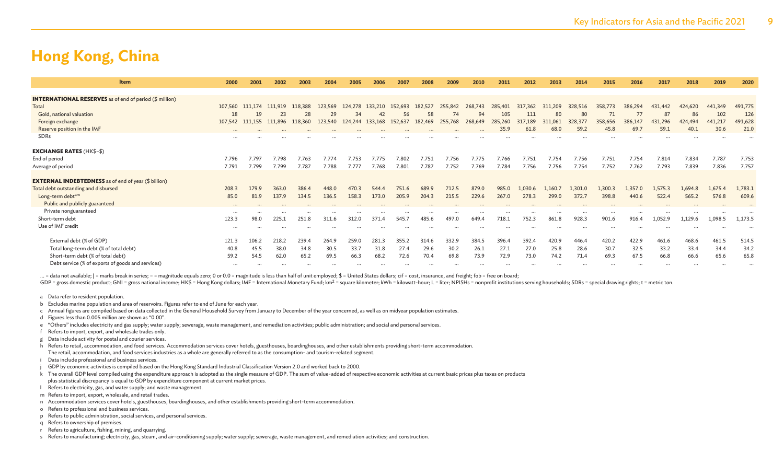| <b>INTERNATIONAL RESERVES</b> as of end of period (\$ million)<br>Total<br>311,209<br>386,294<br>424,620<br>441,349<br>107,560<br>124,278<br>431,442<br>111.174<br>111,919<br>118,388<br>123.569<br>133,210<br>152,693<br>182,527<br>255,842<br>268,743<br>285,401<br>317,362<br>328,516<br>358,773<br>29<br>80<br>77<br>87<br>86<br>102<br>Gold, national valuation<br>23<br>28<br>58<br>74<br>105<br>18<br>56<br>111<br>80<br>34<br>42<br>94<br>19<br>152,637<br>317,189<br>328,377<br>431,296<br>424,494<br>441,217<br>107,542 111,155<br>111,896<br>118,360<br>123,540<br>124,244<br>133,168<br>182,469<br>255,768<br>268,649<br>285,260<br>311,061<br>358,656<br>386,147<br>Foreign exchange<br>Reserve position in the IMF<br>69.7<br>59.2<br>59.1<br>40.1<br>30.6<br>35.9<br>68.0<br>45.8<br>61.8<br>$\cdots$<br>SDRs<br><b>EXCHANGE RATES (HK\$-\$)</b><br>7.754<br>7.834<br>7.787<br>End of period<br>7.796<br>7.797<br>7.798<br>7.763<br>7.774<br>7.753<br>7.775<br>7.802<br>7.751<br>7.756<br>7.751<br>7.754<br>7.756<br>7.751<br>7.814<br>7.775<br>7.766<br>7.787<br>7.788<br>7.777<br>7.80<br>7.787<br>7.752<br>7.784<br>7.756<br>7.756<br>7.754<br>7.752<br>7.762<br>7.793<br>7.839<br>7.836<br>7.791<br>7.799<br>7.799<br>7.768<br>7.769<br>Average of period<br><b>EXTERNAL INDEBTEDNESS</b> as of end of year (\$ billion)<br>Total debt outstanding and disbursed<br>1,357.0<br>1,675.4<br>208.3<br>179.9<br>363.0<br>386.4<br>448.0<br>470.3<br>751.6<br>689.9<br>712.5<br>879.0<br>985.0<br>1,030.6<br>1.160.7<br>1,301.0<br>1,300.3<br>1.575.3<br>1,694.8<br>544.4<br>215.5<br>Long-term debtam<br>137.9<br>158.3<br>205.9<br>229.6<br>267.0<br>278.3<br>372.7<br>398.8<br>440.6<br>522.4<br>576.8<br>85.0<br>81.9<br>134.5<br>136.5<br>204.3<br>299.0<br>565.2<br>173.0<br>Public and publicly guaranteed<br>$\cdots$<br>Private nonguaranteed<br>$\cdots$<br>$\cdots$<br>$\cdots$<br>$\ddotsc$<br>$\cdots$<br>$\cdots$<br>$\cdots$<br>$\cdots$<br>$\cdots$<br>$\cdots$<br>928.3<br>123.3<br>251.8<br>497.0<br>718.1<br>752.3<br>901.6<br>1,129.6<br>1,098.5<br>Short-term debt<br>98.0<br>225.1<br>311.6<br>312.0<br>371.4<br>545.7<br>485.6<br>649.4<br>861.8<br>916.4<br>1,052.9<br>Use of IMF credit<br><br>332.9<br>420.9<br>422.9<br>468.6<br>External debt (% of GDP)<br>121.3<br>218.2<br>239.4<br>259.0<br>281.3<br>355.2<br>314.6<br>384.5<br>396.4<br>392.4<br>420.2<br>461.5<br>106.2<br>264.9<br>446.4<br>461.6<br>Total long-term debt (% of total debt)<br>40.8<br>38.0<br>33.7<br>27.4<br>29.6<br>30.2<br>25.8<br>28.6<br>32.5<br>33.4<br>45.5<br>34.8<br>30.5<br>31.8<br>26.1<br>27.1<br>27.0<br>30.7<br>33.2<br>34.4<br>69.8<br>73.0<br>67.5<br>Short-term debt (% of total debt)<br>62.0<br>65.2<br>66.3<br>68.2<br>72.6<br>70.4<br>73.9<br>72.9<br>71.4<br>69.3<br>66.8<br>66.6<br>65.6<br>59.2<br>54.5<br>69.5<br>74.2 | <b>Item</b>                                       | 2000     | 2001     | 2002 | 2003     | 2004 | 2005 | 2006 | 2007 | 2008 | 2009 | 2010 | 2011 | 2012 | 2013 | 2014 | 2015 | 2016 | 2017     | 2018     | 2019     | 2020    |
|-------------------------------------------------------------------------------------------------------------------------------------------------------------------------------------------------------------------------------------------------------------------------------------------------------------------------------------------------------------------------------------------------------------------------------------------------------------------------------------------------------------------------------------------------------------------------------------------------------------------------------------------------------------------------------------------------------------------------------------------------------------------------------------------------------------------------------------------------------------------------------------------------------------------------------------------------------------------------------------------------------------------------------------------------------------------------------------------------------------------------------------------------------------------------------------------------------------------------------------------------------------------------------------------------------------------------------------------------------------------------------------------------------------------------------------------------------------------------------------------------------------------------------------------------------------------------------------------------------------------------------------------------------------------------------------------------------------------------------------------------------------------------------------------------------------------------------------------------------------------------------------------------------------------------------------------------------------------------------------------------------------------------------------------------------------------------------------------------------------------------------------------------------------------------------------------------------------------------------------------------------------------------------------------------------------------------------------------------------------------------------------------------------------------------------------------------------------------------------------------------------------------------------------------------------------------------------------------------------------------------------------------------------------------------------------------------------------------------------------------------------------------------------------------------------------------------------------------------------------------|---------------------------------------------------|----------|----------|------|----------|------|------|------|------|------|------|------|------|------|------|------|------|------|----------|----------|----------|---------|
|                                                                                                                                                                                                                                                                                                                                                                                                                                                                                                                                                                                                                                                                                                                                                                                                                                                                                                                                                                                                                                                                                                                                                                                                                                                                                                                                                                                                                                                                                                                                                                                                                                                                                                                                                                                                                                                                                                                                                                                                                                                                                                                                                                                                                                                                                                                                                                                                                                                                                                                                                                                                                                                                                                                                                                                                                                                                   |                                                   |          |          |      |          |      |      |      |      |      |      |      |      |      |      |      |      |      |          |          |          |         |
|                                                                                                                                                                                                                                                                                                                                                                                                                                                                                                                                                                                                                                                                                                                                                                                                                                                                                                                                                                                                                                                                                                                                                                                                                                                                                                                                                                                                                                                                                                                                                                                                                                                                                                                                                                                                                                                                                                                                                                                                                                                                                                                                                                                                                                                                                                                                                                                                                                                                                                                                                                                                                                                                                                                                                                                                                                                                   |                                                   |          |          |      |          |      |      |      |      |      |      |      |      |      |      |      |      |      |          |          |          |         |
|                                                                                                                                                                                                                                                                                                                                                                                                                                                                                                                                                                                                                                                                                                                                                                                                                                                                                                                                                                                                                                                                                                                                                                                                                                                                                                                                                                                                                                                                                                                                                                                                                                                                                                                                                                                                                                                                                                                                                                                                                                                                                                                                                                                                                                                                                                                                                                                                                                                                                                                                                                                                                                                                                                                                                                                                                                                                   |                                                   |          |          |      |          |      |      |      |      |      |      |      |      |      |      |      |      |      |          |          |          | 491,775 |
|                                                                                                                                                                                                                                                                                                                                                                                                                                                                                                                                                                                                                                                                                                                                                                                                                                                                                                                                                                                                                                                                                                                                                                                                                                                                                                                                                                                                                                                                                                                                                                                                                                                                                                                                                                                                                                                                                                                                                                                                                                                                                                                                                                                                                                                                                                                                                                                                                                                                                                                                                                                                                                                                                                                                                                                                                                                                   |                                                   |          |          |      |          |      |      |      |      |      |      |      |      |      |      |      |      |      |          |          |          | 126     |
|                                                                                                                                                                                                                                                                                                                                                                                                                                                                                                                                                                                                                                                                                                                                                                                                                                                                                                                                                                                                                                                                                                                                                                                                                                                                                                                                                                                                                                                                                                                                                                                                                                                                                                                                                                                                                                                                                                                                                                                                                                                                                                                                                                                                                                                                                                                                                                                                                                                                                                                                                                                                                                                                                                                                                                                                                                                                   |                                                   |          |          |      |          |      |      |      |      |      |      |      |      |      |      |      |      |      |          |          |          | 491,628 |
|                                                                                                                                                                                                                                                                                                                                                                                                                                                                                                                                                                                                                                                                                                                                                                                                                                                                                                                                                                                                                                                                                                                                                                                                                                                                                                                                                                                                                                                                                                                                                                                                                                                                                                                                                                                                                                                                                                                                                                                                                                                                                                                                                                                                                                                                                                                                                                                                                                                                                                                                                                                                                                                                                                                                                                                                                                                                   |                                                   |          |          |      |          |      |      |      |      |      |      |      |      |      |      |      |      |      |          |          |          | 21.0    |
|                                                                                                                                                                                                                                                                                                                                                                                                                                                                                                                                                                                                                                                                                                                                                                                                                                                                                                                                                                                                                                                                                                                                                                                                                                                                                                                                                                                                                                                                                                                                                                                                                                                                                                                                                                                                                                                                                                                                                                                                                                                                                                                                                                                                                                                                                                                                                                                                                                                                                                                                                                                                                                                                                                                                                                                                                                                                   |                                                   |          |          |      |          |      |      |      |      |      |      |      |      |      |      |      |      |      |          |          |          |         |
|                                                                                                                                                                                                                                                                                                                                                                                                                                                                                                                                                                                                                                                                                                                                                                                                                                                                                                                                                                                                                                                                                                                                                                                                                                                                                                                                                                                                                                                                                                                                                                                                                                                                                                                                                                                                                                                                                                                                                                                                                                                                                                                                                                                                                                                                                                                                                                                                                                                                                                                                                                                                                                                                                                                                                                                                                                                                   |                                                   |          |          |      |          |      |      |      |      |      |      |      |      |      |      |      |      |      |          |          |          |         |
|                                                                                                                                                                                                                                                                                                                                                                                                                                                                                                                                                                                                                                                                                                                                                                                                                                                                                                                                                                                                                                                                                                                                                                                                                                                                                                                                                                                                                                                                                                                                                                                                                                                                                                                                                                                                                                                                                                                                                                                                                                                                                                                                                                                                                                                                                                                                                                                                                                                                                                                                                                                                                                                                                                                                                                                                                                                                   |                                                   |          |          |      |          |      |      |      |      |      |      |      |      |      |      |      |      |      |          |          |          |         |
|                                                                                                                                                                                                                                                                                                                                                                                                                                                                                                                                                                                                                                                                                                                                                                                                                                                                                                                                                                                                                                                                                                                                                                                                                                                                                                                                                                                                                                                                                                                                                                                                                                                                                                                                                                                                                                                                                                                                                                                                                                                                                                                                                                                                                                                                                                                                                                                                                                                                                                                                                                                                                                                                                                                                                                                                                                                                   |                                                   |          |          |      |          |      |      |      |      |      |      |      |      |      |      |      |      |      |          |          |          | 7.753   |
|                                                                                                                                                                                                                                                                                                                                                                                                                                                                                                                                                                                                                                                                                                                                                                                                                                                                                                                                                                                                                                                                                                                                                                                                                                                                                                                                                                                                                                                                                                                                                                                                                                                                                                                                                                                                                                                                                                                                                                                                                                                                                                                                                                                                                                                                                                                                                                                                                                                                                                                                                                                                                                                                                                                                                                                                                                                                   |                                                   |          |          |      |          |      |      |      |      |      |      |      |      |      |      |      |      |      |          |          |          | 7.757   |
|                                                                                                                                                                                                                                                                                                                                                                                                                                                                                                                                                                                                                                                                                                                                                                                                                                                                                                                                                                                                                                                                                                                                                                                                                                                                                                                                                                                                                                                                                                                                                                                                                                                                                                                                                                                                                                                                                                                                                                                                                                                                                                                                                                                                                                                                                                                                                                                                                                                                                                                                                                                                                                                                                                                                                                                                                                                                   |                                                   |          |          |      |          |      |      |      |      |      |      |      |      |      |      |      |      |      |          |          |          |         |
|                                                                                                                                                                                                                                                                                                                                                                                                                                                                                                                                                                                                                                                                                                                                                                                                                                                                                                                                                                                                                                                                                                                                                                                                                                                                                                                                                                                                                                                                                                                                                                                                                                                                                                                                                                                                                                                                                                                                                                                                                                                                                                                                                                                                                                                                                                                                                                                                                                                                                                                                                                                                                                                                                                                                                                                                                                                                   |                                                   |          |          |      |          |      |      |      |      |      |      |      |      |      |      |      |      |      |          |          |          | 1,783.1 |
|                                                                                                                                                                                                                                                                                                                                                                                                                                                                                                                                                                                                                                                                                                                                                                                                                                                                                                                                                                                                                                                                                                                                                                                                                                                                                                                                                                                                                                                                                                                                                                                                                                                                                                                                                                                                                                                                                                                                                                                                                                                                                                                                                                                                                                                                                                                                                                                                                                                                                                                                                                                                                                                                                                                                                                                                                                                                   |                                                   |          |          |      |          |      |      |      |      |      |      |      |      |      |      |      |      |      |          |          |          | 609.6   |
|                                                                                                                                                                                                                                                                                                                                                                                                                                                                                                                                                                                                                                                                                                                                                                                                                                                                                                                                                                                                                                                                                                                                                                                                                                                                                                                                                                                                                                                                                                                                                                                                                                                                                                                                                                                                                                                                                                                                                                                                                                                                                                                                                                                                                                                                                                                                                                                                                                                                                                                                                                                                                                                                                                                                                                                                                                                                   |                                                   |          |          |      |          |      |      |      |      |      |      |      |      |      |      |      |      |      |          |          |          |         |
|                                                                                                                                                                                                                                                                                                                                                                                                                                                                                                                                                                                                                                                                                                                                                                                                                                                                                                                                                                                                                                                                                                                                                                                                                                                                                                                                                                                                                                                                                                                                                                                                                                                                                                                                                                                                                                                                                                                                                                                                                                                                                                                                                                                                                                                                                                                                                                                                                                                                                                                                                                                                                                                                                                                                                                                                                                                                   |                                                   |          |          |      |          |      |      |      |      |      |      |      |      |      |      |      |      |      |          |          |          |         |
|                                                                                                                                                                                                                                                                                                                                                                                                                                                                                                                                                                                                                                                                                                                                                                                                                                                                                                                                                                                                                                                                                                                                                                                                                                                                                                                                                                                                                                                                                                                                                                                                                                                                                                                                                                                                                                                                                                                                                                                                                                                                                                                                                                                                                                                                                                                                                                                                                                                                                                                                                                                                                                                                                                                                                                                                                                                                   |                                                   |          |          |      |          |      |      |      |      |      |      |      |      |      |      |      |      |      |          |          |          | 1,173.5 |
|                                                                                                                                                                                                                                                                                                                                                                                                                                                                                                                                                                                                                                                                                                                                                                                                                                                                                                                                                                                                                                                                                                                                                                                                                                                                                                                                                                                                                                                                                                                                                                                                                                                                                                                                                                                                                                                                                                                                                                                                                                                                                                                                                                                                                                                                                                                                                                                                                                                                                                                                                                                                                                                                                                                                                                                                                                                                   |                                                   |          |          |      |          |      |      |      |      |      |      |      |      |      |      |      |      |      |          |          |          |         |
|                                                                                                                                                                                                                                                                                                                                                                                                                                                                                                                                                                                                                                                                                                                                                                                                                                                                                                                                                                                                                                                                                                                                                                                                                                                                                                                                                                                                                                                                                                                                                                                                                                                                                                                                                                                                                                                                                                                                                                                                                                                                                                                                                                                                                                                                                                                                                                                                                                                                                                                                                                                                                                                                                                                                                                                                                                                                   |                                                   |          |          |      |          |      |      |      |      |      |      |      |      |      |      |      |      |      |          |          |          |         |
|                                                                                                                                                                                                                                                                                                                                                                                                                                                                                                                                                                                                                                                                                                                                                                                                                                                                                                                                                                                                                                                                                                                                                                                                                                                                                                                                                                                                                                                                                                                                                                                                                                                                                                                                                                                                                                                                                                                                                                                                                                                                                                                                                                                                                                                                                                                                                                                                                                                                                                                                                                                                                                                                                                                                                                                                                                                                   |                                                   |          |          |      |          |      |      |      |      |      |      |      |      |      |      |      |      |      |          |          |          | 514.5   |
|                                                                                                                                                                                                                                                                                                                                                                                                                                                                                                                                                                                                                                                                                                                                                                                                                                                                                                                                                                                                                                                                                                                                                                                                                                                                                                                                                                                                                                                                                                                                                                                                                                                                                                                                                                                                                                                                                                                                                                                                                                                                                                                                                                                                                                                                                                                                                                                                                                                                                                                                                                                                                                                                                                                                                                                                                                                                   |                                                   |          |          |      |          |      |      |      |      |      |      |      |      |      |      |      |      |      |          |          |          | 34.2    |
|                                                                                                                                                                                                                                                                                                                                                                                                                                                                                                                                                                                                                                                                                                                                                                                                                                                                                                                                                                                                                                                                                                                                                                                                                                                                                                                                                                                                                                                                                                                                                                                                                                                                                                                                                                                                                                                                                                                                                                                                                                                                                                                                                                                                                                                                                                                                                                                                                                                                                                                                                                                                                                                                                                                                                                                                                                                                   |                                                   |          |          |      |          |      |      |      |      |      |      |      |      |      |      |      |      |      |          |          |          | 65.8    |
|                                                                                                                                                                                                                                                                                                                                                                                                                                                                                                                                                                                                                                                                                                                                                                                                                                                                                                                                                                                                                                                                                                                                                                                                                                                                                                                                                                                                                                                                                                                                                                                                                                                                                                                                                                                                                                                                                                                                                                                                                                                                                                                                                                                                                                                                                                                                                                                                                                                                                                                                                                                                                                                                                                                                                                                                                                                                   | Debt service (% of exports of goods and services) | $\cdots$ | $\cdots$ |      | $\cdots$ |      |      |      |      |      |      |      |      |      |      |      |      |      | $\cdots$ | $\cdots$ | $\cdots$ |         |

... = data not available; | = marks break in series; - = magnitude equals zero; 0 or 0.0 = magnitude is less than half of unit employed; \$ = United States dollars; cif = cost, insurance, and freight; fob = free on board;

GDP = gross domestic product; GNI = gross national income; HK\$ = Hong Kong dollars; IMF = International Monetary Fund; km<sup>2</sup> = square kilometer; kWh = kilowatt-hour; L = liter; NPISHs = nonprofit institutions serving house

- a Data refer to resident population.
- b Excludes marine population and area of reservoirs. Figures refer to end of June for each year.
- c Annual figures are compiled based on data collected in the General Household Survey from January to December of the year concerned, as well as on midyear population estimates.
- d Figures less than 0.005 million are shown as "0.00".
- e "Others" includes electricity and gas supply; water supply; sewerage, waste management, and remediation activities; public administration; and social and personal services.
- f Refers to import, export, and wholesale trades only.
- g Data include activity for postal and courier services.
- h Refers to retail, accommodation, and food services. Accommodation services cover hotels, guesthouses, boardinghouses, and other establishments providing short-term accommodation. The retail, accommodation, and food services industries as a whole are generally referred to as the consumption- and tourism-related segment.
- Data include professional and business services.
- j GDP by economic activities is compiled based on the Hong Kong Standard Industrial Classification Version 2.0 and worked back to 2000.
- k The overall GDP level compiled using the expenditure approach is adopted as the single measure of GDP. The sum of value-added of respective economic activities at current basic prices plus taxes on products
- plus statistical discrepancy is equal to GDP by expenditure component at current market prices.
- l Refers to electricity, gas, and water supply; and waste management.
- m Refers to import, export, wholesale, and retail trades.
- n Accommodation services cover hotels, guesthouses, boardinghouses, and other establishments providing short-term accommodation.
- o Refers to professional and business services.
- p Refers to public administration, social services, and personal services.
- q Refers to ownership of premises.
- r Refers to agriculture, fishing, mining, and quarrying.
- s Refers to manufacturing; electricity, gas, steam, and air-conditioning supply; water supply; sewerage, waste management, and remediation activities; and construction.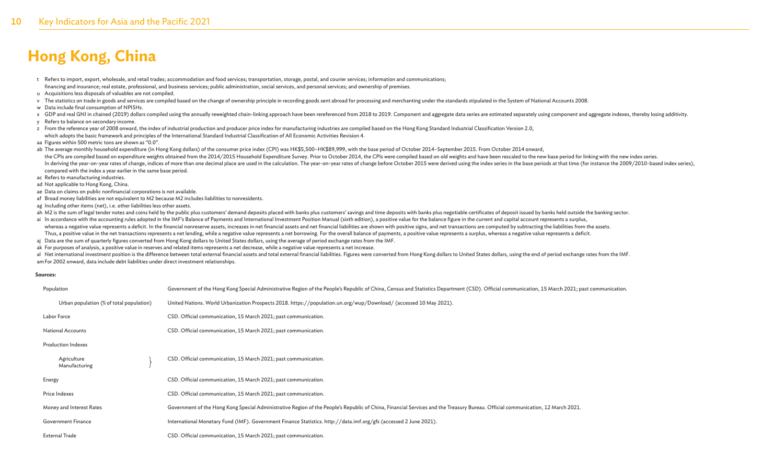- t Refers to import, export, wholesale, and retail trades; accommodation and food services; transportation, storage, postal, and courier services; information and communications; financing and insurance; real estate, professional, and business services; public administration, social services, and personal services; and ownership of premises. u Acquisitions less disposals of valuables are not compiled.
- v The statistics on trade in goods and services are compiled based on the change of ownership principle in recording goods sent abroad for processing and merchanting under the standards stipulated in the System of National
- w Data include final consumption of NPISHs.
- x GDP and real GNI in chained (2019) dollars compiled using the annually reweighted chain-linking approach have been rereferenced from 2018 to 2019. Component and aggregate data series are estimated separately using compon
- y Refers to balance on secondary income.
- z From the reference year of 2008 onward, the index of industrial production and producer price index for manufacturing industries are compiled based on the Hong Kong Standard Industrial Classification Version 2.0, which adopts the basic framework and principles of the International Standard Industrial Classification of All Economic Activities Revision 4.
- aa Figures within 500 metric tons are shown as "0.0".
- ab The average monthly household expenditure (in Hong Kong dollars) of the consumer price index (CPI) was HK\$5,500-HK\$89,999, with the base period of October 2014-September 2015. From October 2014 onward, the CPIs are compiled based on expenditure weights obtained from the 2014/2015 Household Expenditure Survey. Prior to October 2014, the CPIs were compiled based on old weights and have been rescaled to the new base period In deriving the year-on-year rates of change, indices of more than one decimal place are used in the calculation. The year-on-year rates of change before October 2015 were derived using the index series in the base periods compared with the index a year earlier in the same base period.
- ac Refers to manufacturing industries.
- ad Not applicable to Hong Kong, China.
- ae Data on claims on public nonfinancial corporations is not available.
- af Broad money liabilities are not equivalent to M2 because M2 includes liabilities to nonresidents.
- ag Including other items (net), i.e. other liabilities less other assets.
- ah M2 is the sum of legal tender notes and coins held by the public plus customers' demand deposits placed with banks plus customers' savings and time deposits with banks plus negotiable certificates of deposit issued by b ai In accordance with the accounting rules adopted in the IMF's Balance of Payments and International Investment Position Manual (sixth edition), a positive value for the balance figure in the current and capital account r
- whereas a negative value represents a deficit. In the financial nonreserve assets, increases in net financial assets and net financial labilities are shown with positive signs, and net transactions are computed by subtract Thus, a positive value in the net transactions represents a net lending, while a negative value represents a net borrowing. For the overall balance of payments, a positive value represents a surplus, whereas a negative val
- aj Data are the sum of quarterly figures converted from Hong Kong dollars to United States dollars, using the average of period exchange rates from the IMF.
- ak For purposes of analysis, a positive value in reserves and related items represents a net decrease, while a negative value represents a net increase.

al Net international investment position is the difference between total external financial assets and total external financial liabilities. Figures were converted from Hong Kong dollars to United States dollars, using the amFor 2002 onward, data include debt liabilities under direct investment relationships.

#### **Sources:**

| Population                               | Government of the Hong Kong Special Administrative Region of the People's Republic of China, Census and Statistics Department (CSD). Official communication, 15 March 2021; past communication. |
|------------------------------------------|-------------------------------------------------------------------------------------------------------------------------------------------------------------------------------------------------|
| Urban population (% of total population) | United Nations. World Urbanization Prospects 2018. https://population.un.org/wup/Download/ (accessed 10 May 2021).                                                                              |
| Labor Force                              | CSD. Official communication, 15 March 2021; past communication.                                                                                                                                 |
| <b>National Accounts</b>                 | CSD. Official communication, 15 March 2021; past communication.                                                                                                                                 |
| <b>Production Indexes</b>                |                                                                                                                                                                                                 |
| Agriculture<br>Manufacturing             | CSD. Official communication, 15 March 2021; past communication.                                                                                                                                 |
| Energy                                   | CSD. Official communication, 15 March 2021; past communication.                                                                                                                                 |
| Price Indexes                            | CSD. Official communication, 15 March 2021; past communication.                                                                                                                                 |
| Money and Interest Rates                 | Government of the Hong Kong Special Administrative Region of the People's Republic of China, Financial Services and the Treasury Bureau. Official communication, 12 March 2021.                 |
| Government Finance                       | International Monetary Fund (IMF). Government Finance Statistics. http://data.imf.org/gfs (accessed 2 June 2021).                                                                               |
| <b>External Trade</b>                    | CSD. Official communication, 15 March 2021; past communication.                                                                                                                                 |